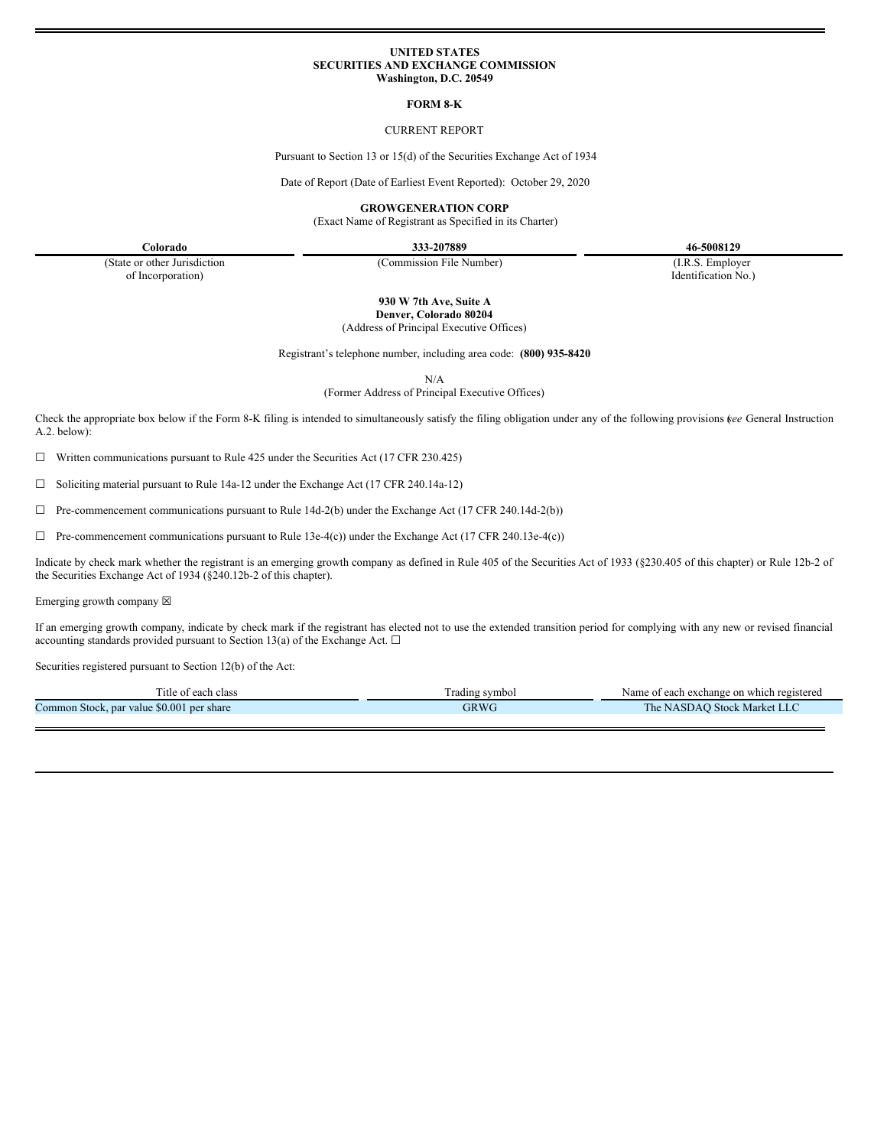#### **UNITED STATES SECURITIES AND EXCHANGE COMMISSION Washington, D.C. 20549**

#### **FORM 8-K**

#### CURRENT REPORT

Pursuant to Section 13 or 15(d) of the Securities Exchange Act of 1934

Date of Report (Date of Earliest Event Reported): October 29, 2020

**GROWGENERATION CORP**

(Exact Name of Registrant as Specified in its Charter)

**Colorado 333-207889 46-5008129**

(State or other Jurisdiction of Incorporation)

(Commission File Number) (I.R.S. Employer

Identification No.)

**930 W 7th Ave, Suite A Denver, Colorado 80204**

(Address of Principal Executive Offices)

Registrant's telephone number, including area code: **(800) 935-8420**

N/A

(Former Address of Principal Executive Offices)

Check the appropriate box below if the Form 8-K filing is intended to simultaneously satisfy the filing obligation under any of the following provisions (*see* General Instruction A.2. below):

 $\Box$  Written communications pursuant to Rule 425 under the Securities Act (17 CFR 230.425)

☐ Soliciting material pursuant to Rule 14a-12 under the Exchange Act (17 CFR 240.14a-12)

☐ Pre-commencement communications pursuant to Rule 14d-2(b) under the Exchange Act (17 CFR 240.14d-2(b))

 $\Box$  Pre-commencement communications pursuant to Rule 13e-4(c)) under the Exchange Act (17 CFR 240.13e-4(c))

Indicate by check mark whether the registrant is an emerging growth company as defined in Rule 405 of the Securities Act of 1933 (§230.405 of this chapter) or Rule 12b-2 of the Securities Exchange Act of 1934 (§240.12b-2 of this chapter).

Emerging growth company  $\boxtimes$ 

If an emerging growth company, indicate by check mark if the registrant has elected not to use the extended transition period for complying with any new or revised financial accounting standards provided pursuant to Section 13(a) of the Exchange Act.  $\square$ 

Securities registered pursuant to Section 12(b) of the Act:

| ntle of<br>class<br>each                     | Fading symbol | n exchange on which registered<br>e of each<br>Name    |
|----------------------------------------------|---------------|--------------------------------------------------------|
| \$0.001 per share<br>Common Stock, par value | GRWC          | . Market LLC<br>l he.<br>NASDAU.<br>Stock <sup>1</sup> |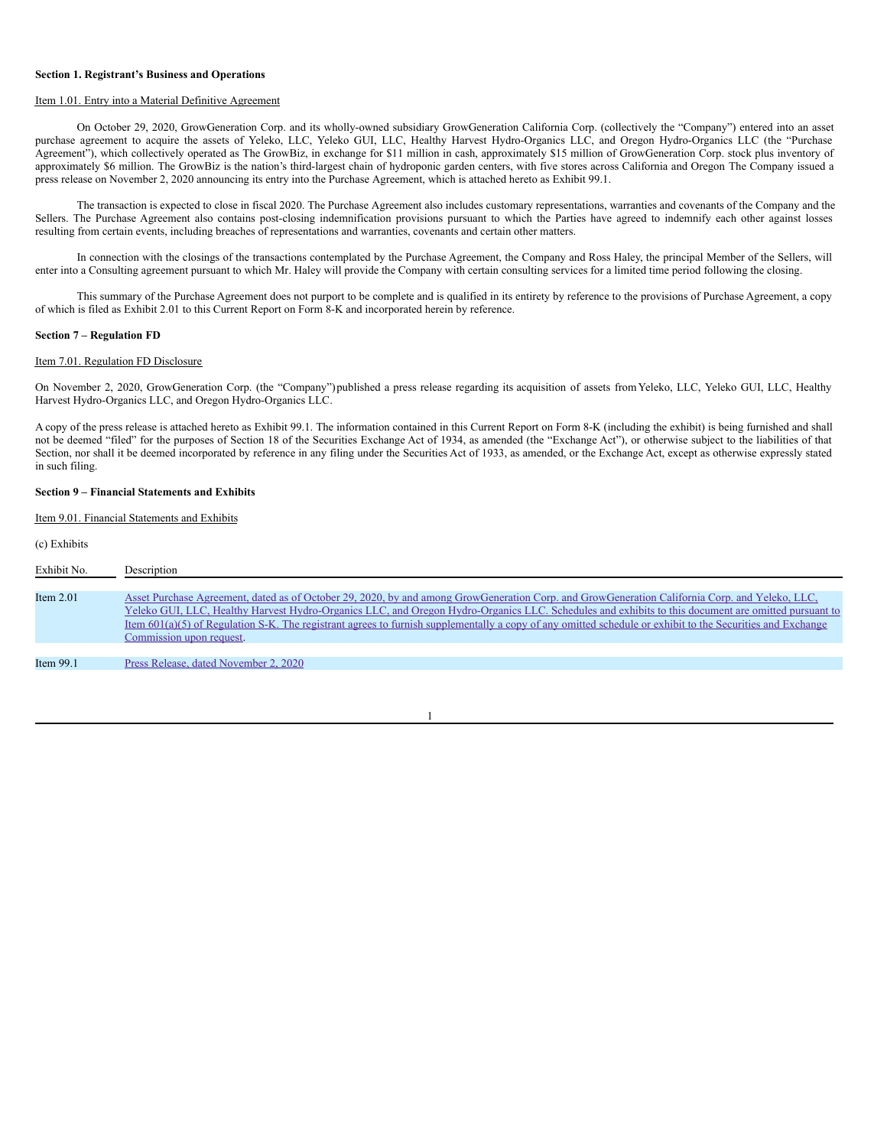#### **Section 1. Registrant's Business and Operations**

### Item 1.01. Entry into a Material Definitive Agreement

On October 29, 2020, GrowGeneration Corp. and its wholly-owned subsidiary GrowGeneration California Corp. (collectively the "Company") entered into an asset purchase agreement to acquire the assets of Yeleko, LLC, Yeleko GUI, LLC, Healthy Harvest Hydro-Organics LLC, and Oregon Hydro-Organics LLC (the "Purchase Agreement"), which collectively operated as The GrowBiz, in exchange for \$11 million in cash, approximately \$15 million of GrowGeneration Corp. stock plus inventory of approximately \$6 million. The GrowBiz is the nation's third-largest chain of hydroponic garden centers, with five stores across California and Oregon. The Company issued a press release on November 2, 2020 announcing its entry into the Purchase Agreement, which is attached hereto as Exhibit 99.1.

The transaction is expected to close in fiscal 2020. The Purchase Agreement also includes customary representations, warranties and covenants of the Company and the Sellers. The Purchase Agreement also contains post-closing indemnification provisions pursuant to which the Parties have agreed to indemnify each other against losses resulting from certain events, including breaches of representations and warranties, covenants and certain other matters.

In connection with the closings of the transactions contemplated by the Purchase Agreement, the Company and Ross Haley, the principal Member of the Sellers, will enter into a Consulting agreement pursuant to which Mr. Haley will provide the Company with certain consulting services for a limited time period following the closing.

This summary of the Purchase Agreement does not purport to be complete and is qualified in its entirety by reference to the provisions of Purchase Agreement, a copy of which is filed as Exhibit 2.01 to this Current Report on Form 8-K and incorporated herein by reference.

#### **Section 7 – Regulation FD**

#### Item 7.01. Regulation FD Disclosure

On November 2, 2020, GrowGeneration Corp. (the "Company")published a press release regarding its acquisition of assets fromYeleko, LLC, Yeleko GUI, LLC, Healthy Harvest Hydro-Organics LLC, and Oregon Hydro-Organics LLC.

A copy of the press release is attached hereto as Exhibit 99.1. The information contained in this Current Report on Form 8-K (including the exhibit) is being furnished and shall not be deemed "filed" for the purposes of Section 18 of the Securities Exchange Act of 1934, as amended (the "Exchange Act"), or otherwise subject to the liabilities of that Section, nor shall it be deemed incorporated by reference in any filing under the Securities Act of 1933, as amended, or the Exchange Act, except as otherwise expressly stated in such filing.

## **Section 9 – Financial Statements and Exhibits**

Item 9.01. Financial Statements and Exhibits

(c) Exhibits

| Exhibit No. | Description                                                                                                                                                                                                                                                                                                                                                                                                                                                                                       |
|-------------|---------------------------------------------------------------------------------------------------------------------------------------------------------------------------------------------------------------------------------------------------------------------------------------------------------------------------------------------------------------------------------------------------------------------------------------------------------------------------------------------------|
| Item $2.01$ | Asset Purchase Agreement, dated as of October 29, 2020, by and among GrowGeneration Corp. and GrowGeneration California Corp. and Yeleko, LLC,<br>Yeleko GUI, LLC, Healthy Harvest Hydro-Organics LLC, and Oregon Hydro-Organics LLC. Schedules and exhibits to this document are omitted pursuant to<br>Item $601(a)(5)$ of Regulation S-K. The registrant agrees to furnish supplementally a copy of any omitted schedule or exhibit to the Securities and Exchange<br>Commission upon request. |
| Item $99.1$ | Press Release, dated November 2, 2020                                                                                                                                                                                                                                                                                                                                                                                                                                                             |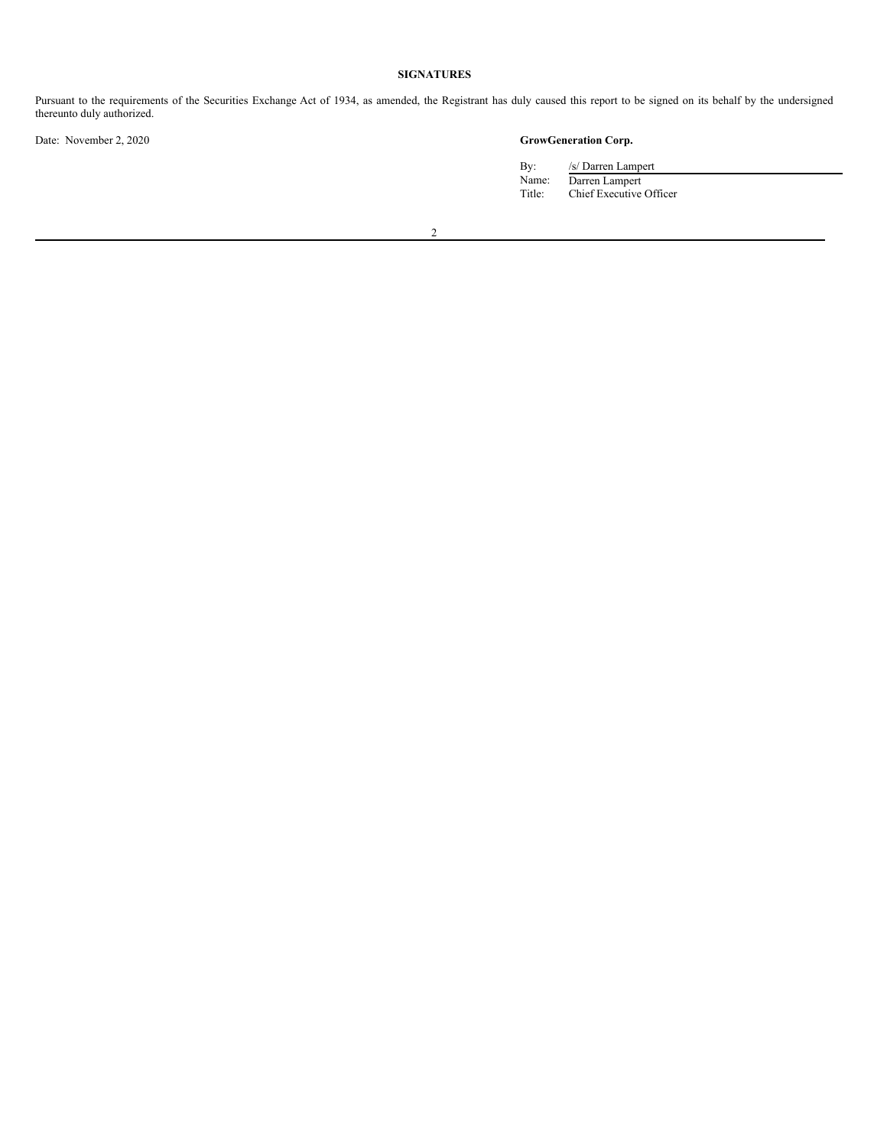# **SIGNATURES**

Pursuant to the requirements of the Securities Exchange Act of 1934, as amended, the Registrant has duly caused this report to be signed on its behalf by the undersigned thereunto duly authorized.

Date: November 2, 2020 **GrowGeneration Corp.**

| Bv:    | /s/ Darren Lampert      |
|--------|-------------------------|
| Name:  | Darren Lampert          |
| Title: | Chief Executive Officer |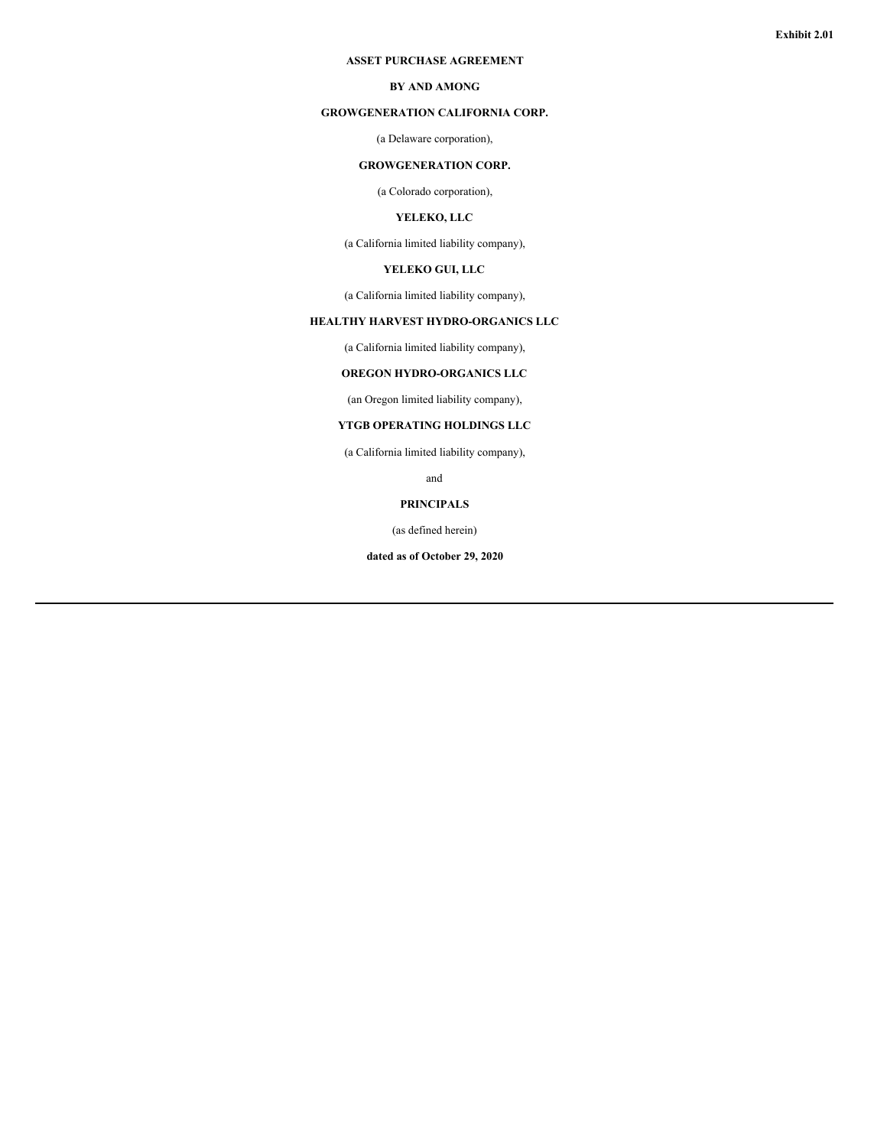#### **ASSET PURCHASE AGREEMENT**

# **BY AND AMONG**

# **GROWGENERATION CALIFORNIA CORP.**

# (a Delaware corporation),

# **GROWGENERATION CORP.**

(a Colorado corporation),

# **YELEKO, LLC**

(a California limited liability company),

# **YELEKO GUI, LLC**

(a California limited liability company),

# **HEALTHY HARVEST HYDRO-ORGANICS LLC**

(a California limited liability company),

# **OREGON HYDRO-ORGANICS LLC**

(an Oregon limited liability company),

# **YTGB OPERATING HOLDINGS LLC**

(a California limited liability company),

and

# **PRINCIPALS**

(as defined herein)

**dated as of October 29, 2020**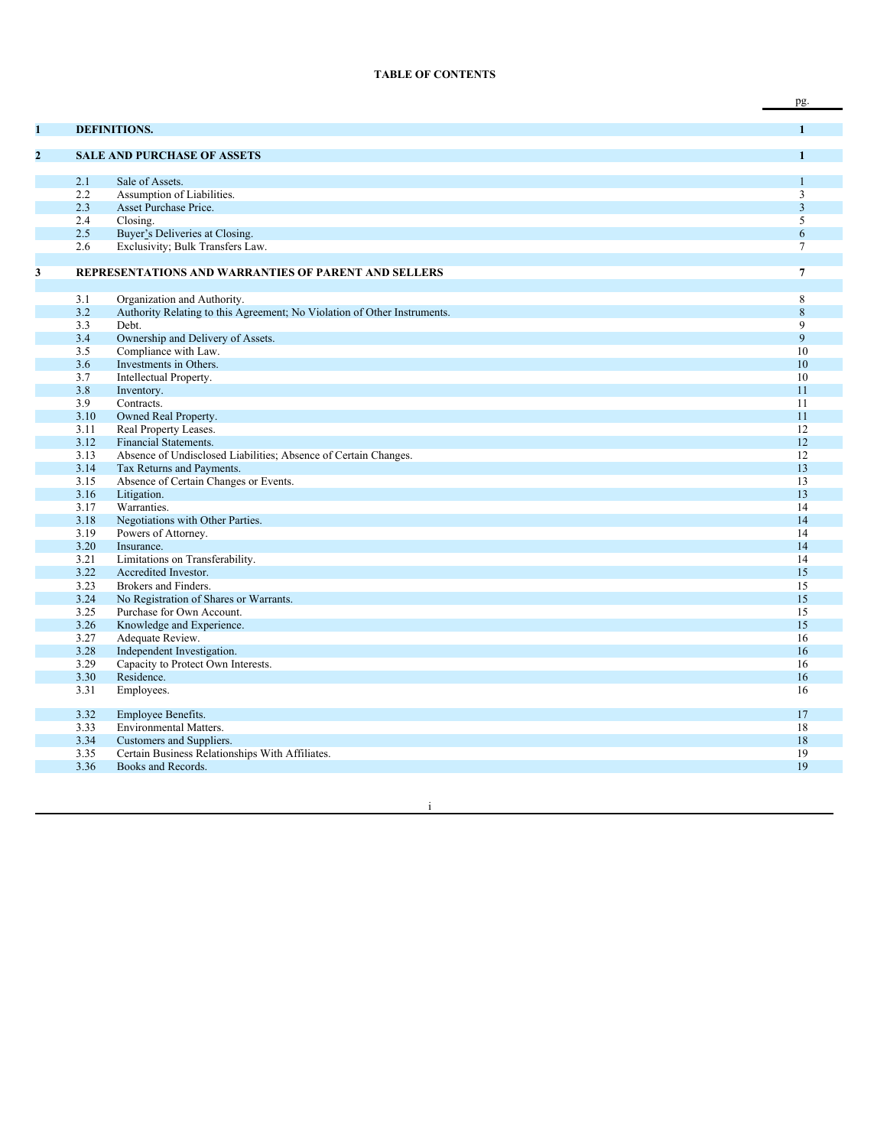## **TABLE OF CONTENTS**

|                |              |                                                                          | pg.                     |
|----------------|--------------|--------------------------------------------------------------------------|-------------------------|
|                |              |                                                                          |                         |
| 1              |              | <b>DEFINITIONS.</b>                                                      | $\mathbf{1}$            |
| $\overline{2}$ |              | <b>SALE AND PURCHASE OF ASSETS</b>                                       | $\mathbf{1}$            |
|                |              |                                                                          |                         |
|                | 2.1          | Sale of Assets.                                                          | $\mathbf{1}$            |
|                | 2.2          | Assumption of Liabilities.                                               | $\overline{3}$          |
|                | 2.3          | Asset Purchase Price.                                                    | $\overline{\mathbf{3}}$ |
|                | 2.4          | Closing.                                                                 | 5                       |
|                | 2.5          | Buyer's Deliveries at Closing.                                           | 6                       |
|                | 2.6          | Exclusivity; Bulk Transfers Law.                                         | $\tau$                  |
|                |              |                                                                          |                         |
| 3              |              | <b>REPRESENTATIONS AND WARRANTIES OF PARENT AND SELLERS</b>              | $\overline{7}$          |
|                |              |                                                                          |                         |
|                | 3.1          | Organization and Authority.                                              | 8                       |
|                | 3.2          | Authority Relating to this Agreement; No Violation of Other Instruments. | $\,8\,$                 |
|                | 3.3          | Debt.                                                                    | 9                       |
|                | 3.4          | Ownership and Delivery of Assets.                                        | 9                       |
|                | 3.5          | Compliance with Law.                                                     | 10                      |
|                | 3.6          | Investments in Others.                                                   | 10                      |
|                | 3.7          | Intellectual Property.                                                   | 10                      |
|                | 3.8          | Inventory.                                                               | 11                      |
|                | 3.9          | Contracts.                                                               | 11                      |
|                | 3.10         | Owned Real Property.                                                     | 11                      |
|                | 3.11         | Real Property Leases.                                                    | 12                      |
|                | 3.12         | Financial Statements.                                                    | 12                      |
|                | 3.13         | Absence of Undisclosed Liabilities; Absence of Certain Changes.          | 12                      |
|                | 3.14         | Tax Returns and Payments.                                                | 13                      |
|                | 3.15         | Absence of Certain Changes or Events.                                    | 13                      |
|                | 3.16         | Litigation.                                                              | 13                      |
|                | 3.17         | Warranties.                                                              | 14<br>14                |
|                | 3.18         | Negotiations with Other Parties.                                         | 14                      |
|                | 3.19<br>3.20 | Powers of Attorney.<br>Insurance.                                        | 14                      |
|                | 3.21         | Limitations on Transferability.                                          | 14                      |
|                | 3.22         | Accredited Investor.                                                     | 15                      |
|                | 3.23         | Brokers and Finders.                                                     | 15                      |
|                | 3.24         | No Registration of Shares or Warrants.                                   | 15                      |
|                | 3.25         | Purchase for Own Account.                                                | 15                      |
|                | 3.26         | Knowledge and Experience.                                                | 15                      |
|                | 3.27         | Adequate Review.                                                         | 16                      |
|                | 3.28         | Independent Investigation.                                               | 16                      |
|                | 3.29         | Capacity to Protect Own Interests.                                       | 16                      |
|                | 3.30         | Residence.                                                               | 16                      |
|                | 3.31         | Employees.                                                               | 16                      |
|                | 3.32         | Employee Benefits.                                                       | 17                      |
|                | 3.33         | Environmental Matters.                                                   | 18                      |
|                | 3.34         | Customers and Suppliers.                                                 | 18                      |
|                | 3.35         | Certain Business Relationships With Affiliates.                          | 19                      |
|                | 3.36         | Books and Records.                                                       | 19                      |
|                |              |                                                                          |                         |

i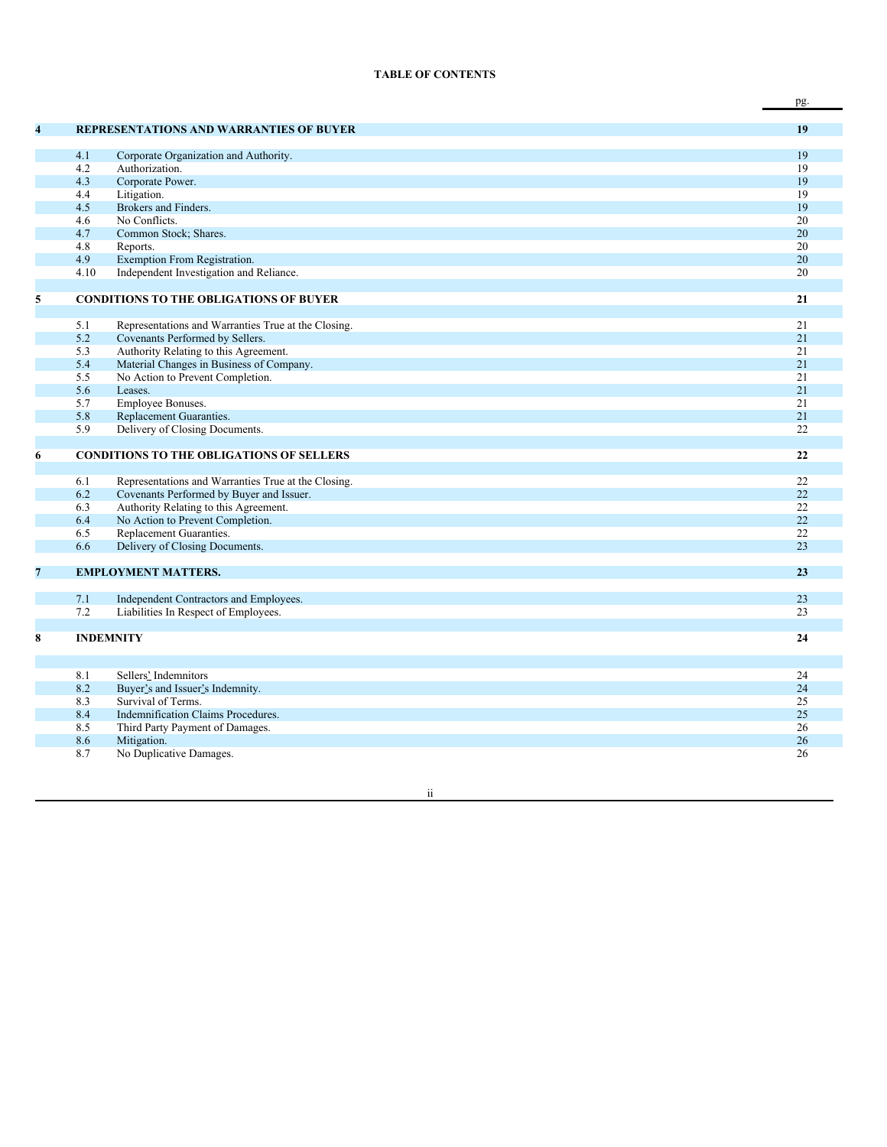# **TABLE OF CONTENTS**

|   |      |                                                         | pg. |
|---|------|---------------------------------------------------------|-----|
|   |      |                                                         |     |
| 4 |      | <b>REPRESENTATIONS AND WARRANTIES OF BUYER</b>          | 19  |
|   | 4.1  |                                                         | 19  |
|   | 4.2  | Corporate Organization and Authority.<br>Authorization. | 19  |
|   | 4.3  | Corporate Power.                                        | 19  |
|   | 4.4  | Litigation.                                             | 19  |
|   | 4.5  | Brokers and Finders.                                    | 19  |
|   | 4.6  | No Conflicts.                                           | 20  |
|   | 4.7  | Common Stock; Shares.                                   | 20  |
|   | 4.8  | Reports.                                                | 20  |
|   | 4.9  | Exemption From Registration.                            | 20  |
|   | 4.10 | Independent Investigation and Reliance.                 | 20  |
|   |      |                                                         |     |
| 5 |      | <b>CONDITIONS TO THE OBLIGATIONS OF BUYER</b>           | 21  |
|   |      |                                                         |     |
|   | 5.1  | Representations and Warranties True at the Closing.     | 21  |
|   | 5.2  | Covenants Performed by Sellers.                         | 21  |
|   | 5.3  | Authority Relating to this Agreement.                   | 21  |
|   | 5.4  | Material Changes in Business of Company.                | 21  |
|   | 5.5  | No Action to Prevent Completion.                        | 21  |
|   | 5.6  | Leases.                                                 | 21  |
|   | 5.7  | Employee Bonuses.                                       | 21  |
|   | 5.8  | Replacement Guaranties.                                 | 21  |
|   | 5.9  | Delivery of Closing Documents.                          | 22  |
|   |      |                                                         |     |
| 6 |      | <b>CONDITIONS TO THE OBLIGATIONS OF SELLERS</b>         | 22  |
|   | 6.1  | Representations and Warranties True at the Closing.     | 22  |
|   | 6.2  | Covenants Performed by Buyer and Issuer.                | 22  |
|   | 6.3  | Authority Relating to this Agreement.                   | 22  |
|   | 6.4  | No Action to Prevent Completion.                        | 22  |
|   | 6.5  | Replacement Guaranties.                                 | 22  |
|   | 6.6  | Delivery of Closing Documents.                          | 23  |
|   |      |                                                         |     |
| 7 |      | <b>EMPLOYMENT MATTERS.</b>                              | 23  |
|   |      |                                                         |     |
|   | 7.1  | Independent Contractors and Employees.                  | 23  |
|   | 7.2  | Liabilities In Respect of Employees.                    | 23  |
|   |      |                                                         |     |
| 8 |      | <b>INDEMNITY</b>                                        | 24  |
|   |      |                                                         |     |
|   | 8.1  | Sellers' Indemnitors                                    | 24  |
|   | 8.2  | Buyer's and Issuer's Indemnity.                         | 24  |
|   | 8.3  | Survival of Terms.                                      | 25  |
|   | 8.4  | Indemnification Claims Procedures.                      | 25  |
|   | 8.5  | Third Party Payment of Damages.                         | 26  |
|   | 8.6  | Mitigation.                                             | 26  |
|   | 8.7  | No Duplicative Damages.                                 | 26  |
|   |      |                                                         |     |

ii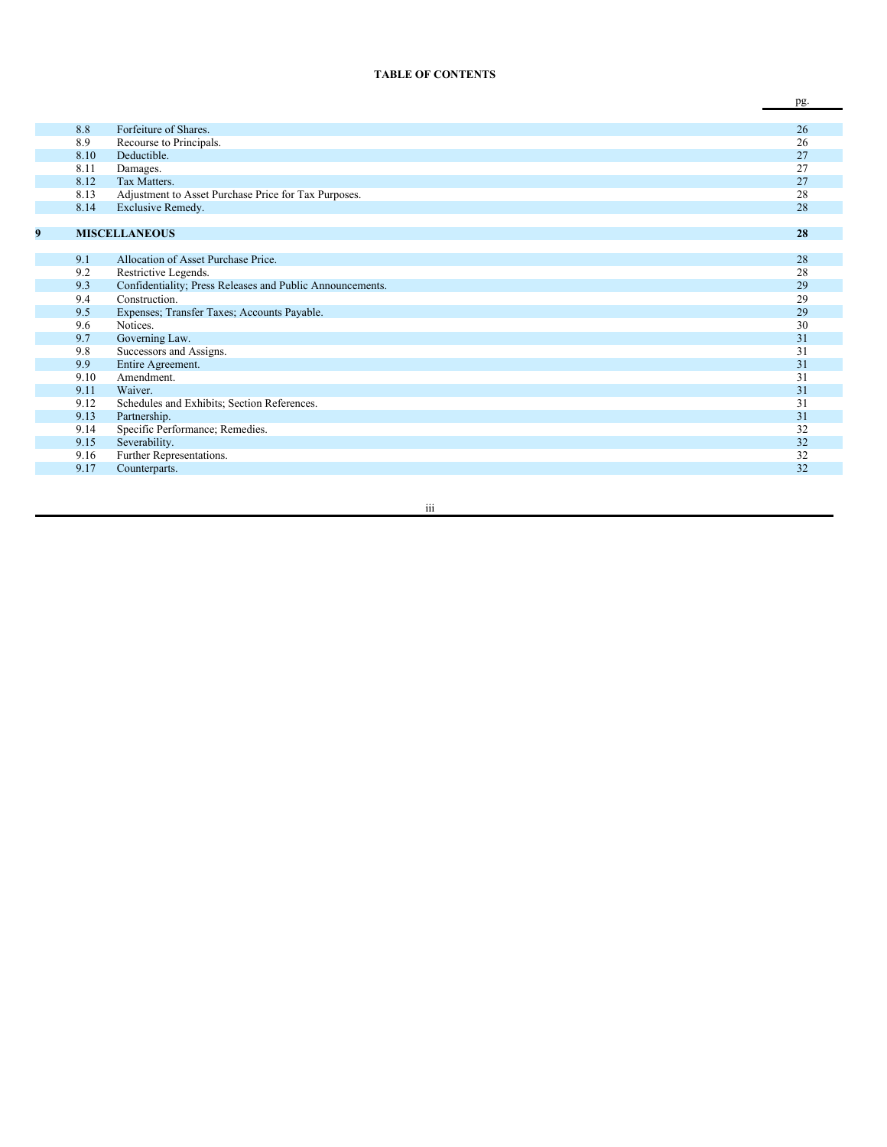#### **TABLE OF CONTENTS**

|   |      |                                                           | pg. |
|---|------|-----------------------------------------------------------|-----|
|   |      |                                                           |     |
|   | 8.8  | Forfeiture of Shares.                                     | 26  |
|   | 8.9  | Recourse to Principals.                                   | 26  |
|   | 8.10 | Deductible.                                               | 27  |
|   | 8.11 | Damages.                                                  | 27  |
|   | 8.12 | Tax Matters.                                              | 27  |
|   | 8.13 | Adjustment to Asset Purchase Price for Tax Purposes.      | 28  |
|   | 8.14 | Exclusive Remedy.                                         | 28  |
|   |      |                                                           |     |
| 9 |      | <b>MISCELLANEOUS</b>                                      | 28  |
|   |      |                                                           |     |
|   | 9.1  | Allocation of Asset Purchase Price.                       | 28  |
|   | 9.2  | Restrictive Legends.                                      | 28  |
|   | 9.3  | Confidentiality; Press Releases and Public Announcements. | 29  |
|   | 9.4  | Construction.                                             | 29  |
|   | 9.5  | Expenses; Transfer Taxes; Accounts Payable.               | 29  |
|   | 9.6  | Notices.                                                  | 30  |
|   | 9.7  | Governing Law.                                            | 31  |
|   | 9.8  | Successors and Assigns.                                   | 31  |
|   | 9.9  | Entire Agreement.                                         | 31  |
|   | 9.10 | Amendment.                                                | 31  |
|   | 9.11 | Waiver.                                                   | 31  |
|   | 9.12 | Schedules and Exhibits; Section References.               | 31  |
|   | 9.13 | Partnership.                                              | 31  |
|   | 9.14 | Specific Performance; Remedies.                           | 32  |
|   | 9.15 | Severability.                                             | 32  |
|   | 9.16 | Further Representations.                                  | 32  |
|   | 9.17 | Counterparts.                                             | 32  |
|   |      |                                                           |     |

i i i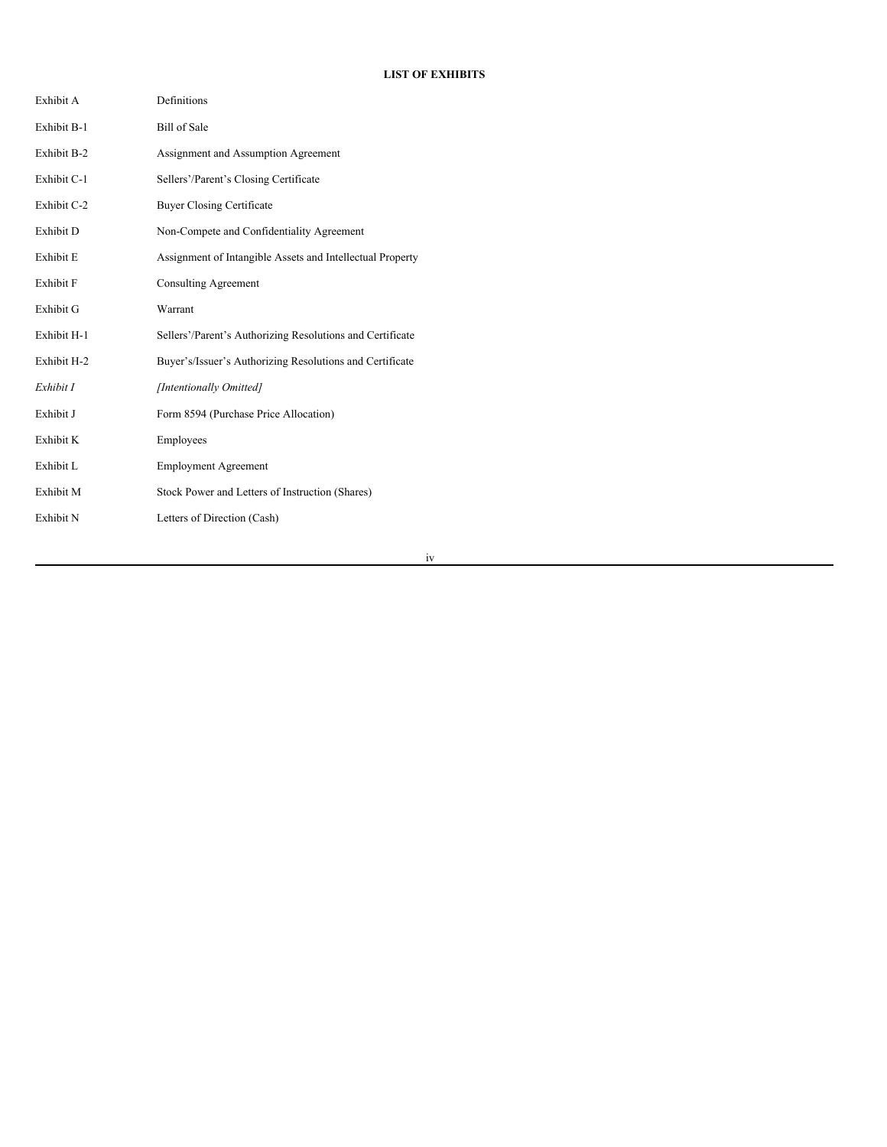# **LIST OF EXHIBITS**

| Exhibit A   | Definitions                                               |
|-------------|-----------------------------------------------------------|
| Exhibit B-1 | <b>Bill of Sale</b>                                       |
| Exhibit B-2 | Assignment and Assumption Agreement                       |
| Exhibit C-1 | Sellers'/Parent's Closing Certificate                     |
| Exhibit C-2 | <b>Buyer Closing Certificate</b>                          |
| Exhibit D   | Non-Compete and Confidentiality Agreement                 |
| Exhibit E   | Assignment of Intangible Assets and Intellectual Property |
| Exhibit F   | <b>Consulting Agreement</b>                               |
| Exhibit G   | Warrant                                                   |
| Exhibit H-1 | Sellers'/Parent's Authorizing Resolutions and Certificate |
| Exhibit H-2 | Buyer's/Issuer's Authorizing Resolutions and Certificate  |
| Exhibit I   | [Intentionally Omitted]                                   |
| Exhibit J   | Form 8594 (Purchase Price Allocation)                     |
| Exhibit K   | Employees                                                 |
| Exhibit L   | <b>Employment Agreement</b>                               |
| Exhibit M   | Stock Power and Letters of Instruction (Shares)           |
| Exhibit N   | Letters of Direction (Cash)                               |

iv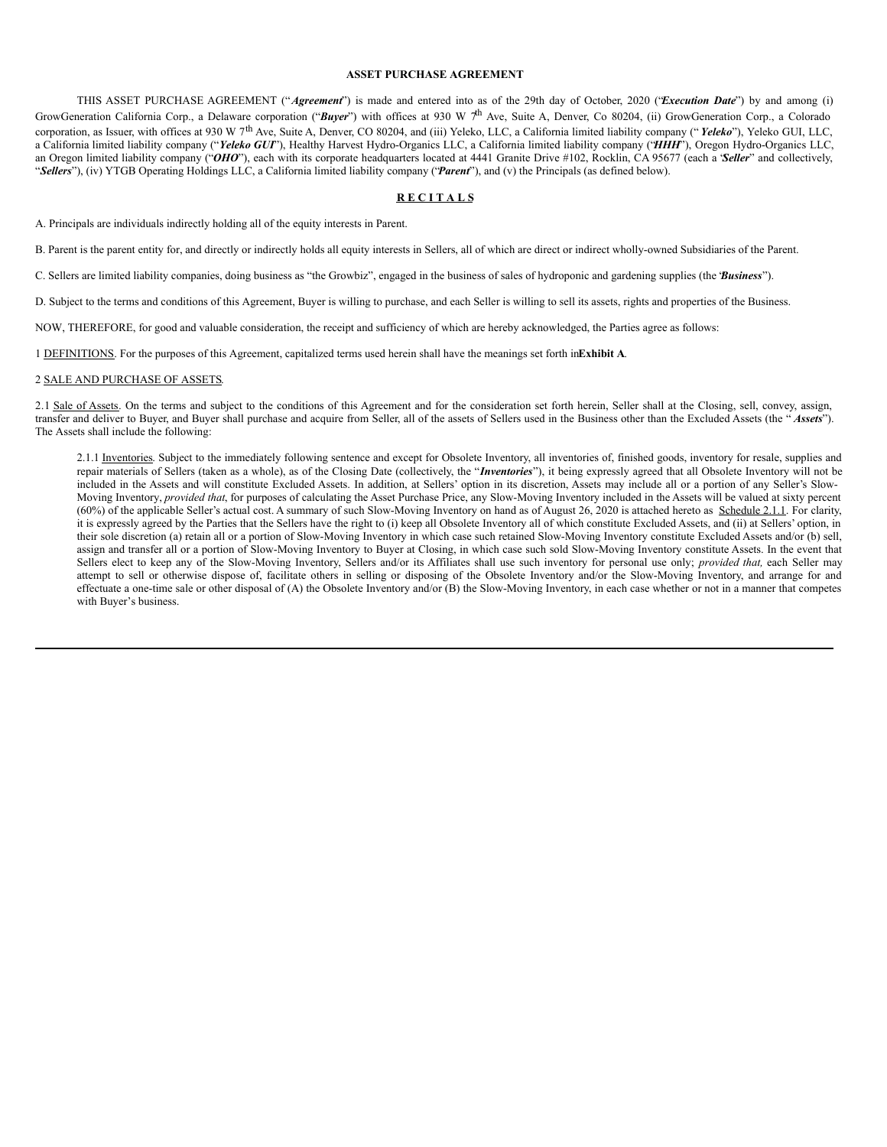#### **ASSET PURCHASE AGREEMENT**

THIS ASSET PURCHASE AGREEMENT ("*Agreement*") is made and entered into as of the 29th day of October, 2020 ("*Execution Date*") by and among (i) GrowGeneration California Corp., a Delaware corporation ("Buyer") with offices at 930 W 7<sup>th</sup> Ave, Suite A, Denver, Co 80204, (ii) GrowGeneration Corp., a Colorado corporation, as Issuer, with offices at 930 W 7<sup>th</sup> Ave, Suite A, Denver, CO 80204, and (iii) Yeleko, LLC, a California limited liability company ("*Yeleko*"), Yeleko GUI, LLC, a California limited liability company ("*Yeleko GUI*"), Healthy Harvest Hydro-Organics LLC, a California limited liability company ("*HHH*"), Oregon Hydro-Organics LLC, an Oregon limited liability company ("*OHO*"), each with its corporate headquarters located at 4441 Granite Drive #102, Rocklin, CA 95677 (each a *'Seller*" and collectively, "*Sellers*"), (iv) YTGB Operating Holdings LLC, a California limited liability company ("*Parent*"), and (v) the Principals (as defined below).

## **R E C I T A L S**

A. Principals are individuals indirectly holding all of the equity interests in Parent.

B. Parent is the parent entity for, and directly or indirectly holds all equity interests in Sellers, all of which are direct or indirect wholly-owned Subsidiaries of the Parent.

C. Sellers are limited liability companies, doing business as "the Growbiz", engaged in the business of sales of hydroponic and gardening supplies (the "*Business*").

D. Subject to the terms and conditions of this Agreement, Buyer is willing to purchase, and each Seller is willing to sell its assets, rights and properties of the Business.

NOW, THEREFORE, for good and valuable consideration, the receipt and sufficiency of which are hereby acknowledged, the Parties agree as follows:

1 DEFINITIONS. For the purposes of this Agreement, capitalized terms used herein shall have the meanings set forth in**Exhibit A**.

## 2 SALE AND PURCHASE OF ASSETS.

2.1 Sale of Assets. On the terms and subject to the conditions of this Agreement and for the consideration set forth herein, Seller shall at the Closing, sell, convey, assign, transfer and deliver to Buyer, and Buyer shall purchase and acquire from Seller, all of the assets of Sellers used in the Business other than the Excluded Assets (the " *Assets*"). The Assets shall include the following:

2.1.1 Inventories. Subject to the immediately following sentence and except for Obsolete Inventory, all inventories of, finished goods, inventory for resale, supplies and repair materials of Sellers (taken as a whole), as of the Closing Date (collectively, the "*Inventories*"), it being expressly agreed that all Obsolete Inventory will not be included in the Assets and will constitute Excluded Assets. In addition, at Sellers' option in its discretion, Assets may include all or a portion of any Seller's Slow-Moving Inventory, *provided that*, for purposes of calculating the Asset Purchase Price, any Slow-Moving Inventory included in the Assets will be valued at sixty percent (60%) of the applicable Seller's actual cost. A summary of such Slow-Moving Inventory on hand as of August 26, 2020 is attached hereto as Schedule 2.1.1. For clarity, it is expressly agreed by the Parties that the Sellers have the right to (i) keep all Obsolete Inventory all of which constitute Excluded Assets, and (ii) at Sellers' option, in their sole discretion (a) retain all or a portion of Slow-Moving Inventory in which case such retained Slow-Moving Inventory constitute Excluded Assets and/or (b) sell, assign and transfer all or a portion of Slow-Moving Inventory to Buyer at Closing, in which case such sold Slow-Moving Inventory constitute Assets. In the event that Sellers elect to keep any of the Slow-Moving Inventory, Sellers and/or its Affiliates shall use such inventory for personal use only; *provided that,* each Seller may attempt to sell or otherwise dispose of, facilitate others in selling or disposing of the Obsolete Inventory and/or the Slow-Moving Inventory, and arrange for and effectuate a one-time sale or other disposal of (A) the Obsolete Inventory and/or (B) the Slow-Moving Inventory, in each case whether or not in a manner that competes with Buyer's business.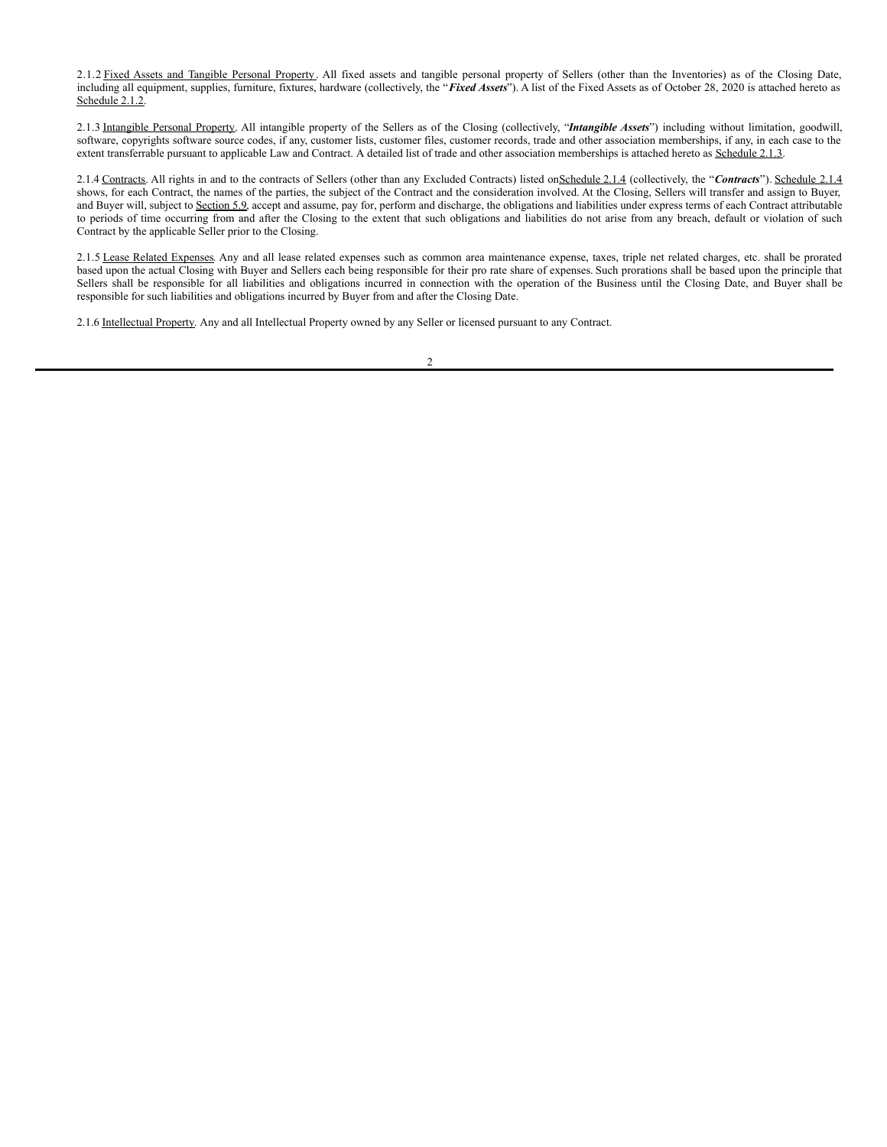2.1.2 Fixed Assets and Tangible Personal Property. All fixed assets and tangible personal property of Sellers (other than the Inventories) as of the Closing Date, including all equipment, supplies, furniture, fixtures, hardware (collectively, the "*Fixed Assets*"). A list of the Fixed Assets as of October 28, 2020 is attached hereto as Schedule 2.1.2.

2.1.3 Intangible Personal Property. All intangible property of the Sellers as of the Closing (collectively, "*Intangible Assets*") including without limitation, goodwill, software, copyrights software source codes, if any, customer lists, customer files, customer records, trade and other association memberships, if any, in each case to the extent transferrable pursuant to applicable Law and Contract. A detailed list of trade and other association memberships is attached hereto as Schedule 2.1.3.

2.1.4 Contracts. All rights in and to the contracts of Sellers (other than any Excluded Contracts) listed onSchedule 2.1.4 (collectively, the "Contracts"). Schedule 2.1.4 shows, for each Contract, the names of the parties, the subject of the Contract and the consideration involved. At the Closing, Sellers will transfer and assign to Buyer, and Buyer will, subject to Section 5.9, accept and assume, pay for, perform and discharge, the obligations and liabilities under express terms of each Contract attributable to periods of time occurring from and after the Closing to the extent that such obligations and liabilities do not arise from any breach, default or violation of such Contract by the applicable Seller prior to the Closing.

2.1.5 Lease Related Expenses. Any and all lease related expenses such as common area maintenance expense, taxes, triple net related charges, etc. shall be prorated based upon the actual Closing with Buyer and Sellers each being responsible for their pro rate share of expenses. Such prorations shall be based upon the principle that Sellers shall be responsible for all liabilities and obligations incurred in connection with the operation of the Business until the Closing Date, and Buyer shall be responsible for such liabilities and obligations incurred by Buyer from and after the Closing Date.

2.1.6 Intellectual Property. Any and all Intellectual Property owned by any Seller or licensed pursuant to any Contract.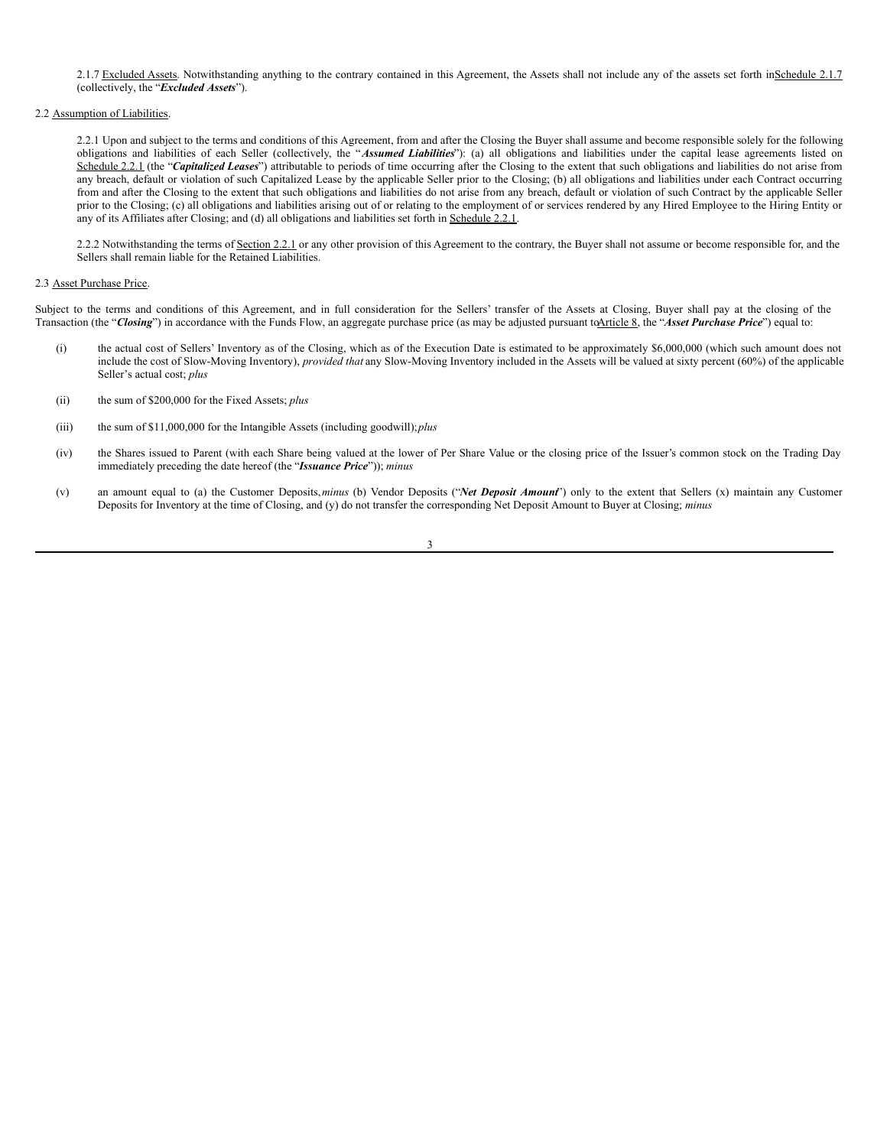2.1.7 Excluded Assets. Notwithstanding anything to the contrary contained in this Agreement, the Assets shall not include any of the assets set forth inSchedule 2.1.7 (collectively, the "*Excluded Assets*").

## 2.2 Assumption of Liabilities.

2.2.1 Upon and subject to the terms and conditions of this Agreement, from and after the Closing the Buyer shall assume and become responsible solely for the following obligations and liabilities of each Seller (collectively, the "*Assumed Liabilities*"): (a) all obligations and liabilities under the capital lease agreements listed on Schedule 2.2.1 (the "Capitalized Leases") attributable to periods of time occurring after the Closing to the extent that such obligations and liabilities do not arise from any breach, default or violation of such Capitalized Lease by the applicable Seller prior to the Closing; (b) all obligations and liabilities under each Contract occurring from and after the Closing to the extent that such obligations and liabilities do not arise from any breach, default or violation of such Contract by the applicable Seller prior to the Closing; (c) all obligations and liabilities arising out of or relating to the employment of or services rendered by any Hired Employee to the Hiring Entity or any of its Affiliates after Closing; and (d) all obligations and liabilities set forth in Schedule 2.2.1.

2.2.2 Notwithstanding the terms of Section 2.2.1 or any other provision of this Agreement to the contrary, the Buyer shall not assume or become responsible for, and the Sellers shall remain liable for the Retained Liabilities.

#### 2.3 Asset Purchase Price.

Subject to the terms and conditions of this Agreement, and in full consideration for the Sellers' transfer of the Assets at Closing, Buyer shall pay at the closing of the Transaction (the "*Closing*") in accordance with the Funds Flow, an aggregate purchase price (as may be adjusted pursuant toArticle 8, the "*Asset Purchase Price*") equal to:

- (i) the actual cost of Sellers' Inventory as of the Closing, which as of the Execution Date is estimated to be approximately \$6,000,000 (which such amount does not include the cost of Slow-Moving Inventory), *provided that* any Slow-Moving Inventory included in the Assets will be valued at sixty percent (60%) of the applicable Seller's actual cost; *plus*
- (ii) the sum of \$200,000 for the Fixed Assets; *plus*
- (iii) the sum of \$11,000,000 for the Intangible Assets (including goodwill);*plus*
- (iv) the Shares issued to Parent (with each Share being valued at the lower of Per Share Value or the closing price of the Issuer's common stock on the Trading Day immediately preceding the date hereof (the "*Issuance Price*")); *minus*
- (v) an amount equal to (a) the Customer Deposits,*minus* (b) Vendor Deposits ("*Net Deposit Amount*") only to the extent that Sellers (x) maintain any Customer Deposits for Inventory at the time of Closing, and (y) do not transfer the corresponding Net Deposit Amount to Buyer at Closing; *minus*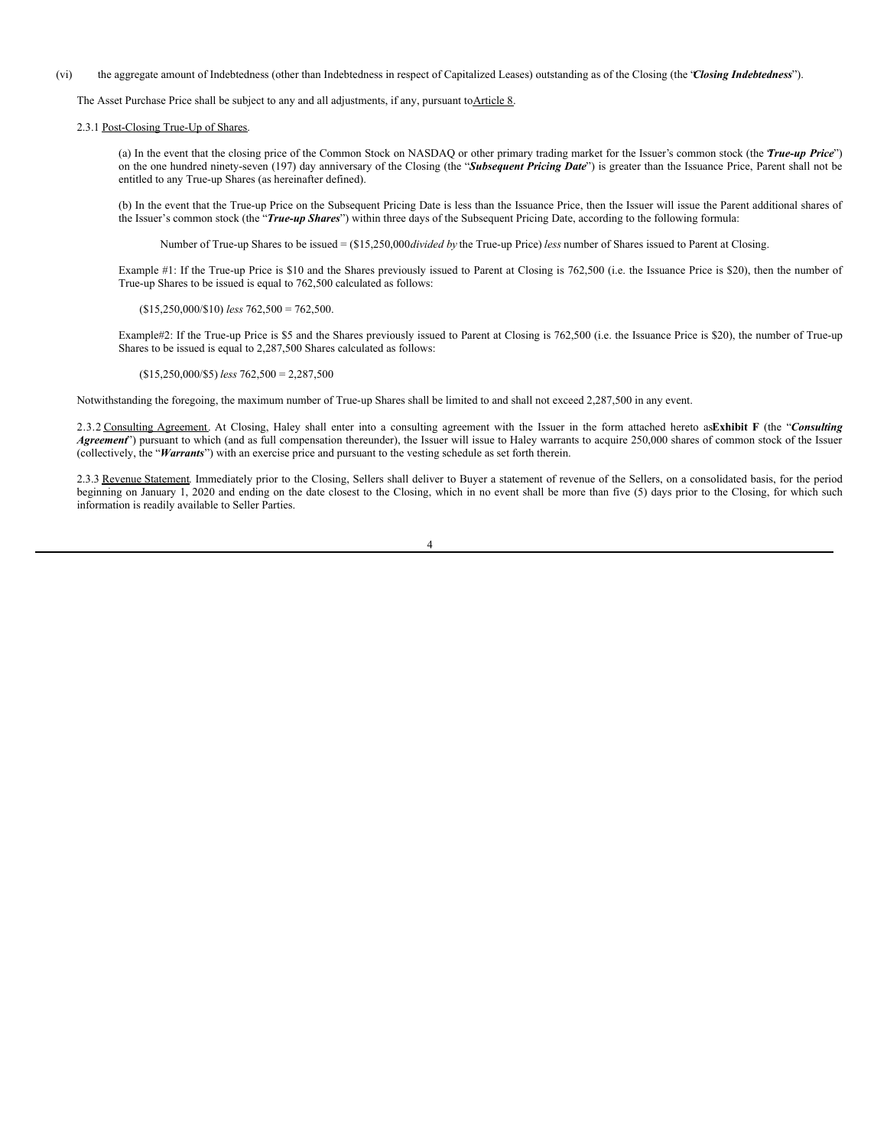(vi) the aggregate amount of Indebtedness (other than Indebtedness in respect of Capitalized Leases) outstanding as of the Closing (the "*Closing Indebtedness*").

The Asset Purchase Price shall be subject to any and all adjustments, if any, pursuant toArticle 8.

2.3.1 Post-Closing True-Up of Shares.

(a) In the event that the closing price of the Common Stock on NASDAQ or other primary trading market for the Issuer's common stock (the "*True-up Price*") on the one hundred ninety-seven (197) day anniversary of the Closing (the "*Subsequent Pricing Date*") is greater than the Issuance Price, Parent shall not be entitled to any True-up Shares (as hereinafter defined).

(b) In the event that the True-up Price on the Subsequent Pricing Date is less than the Issuance Price, then the Issuer will issue the Parent additional shares of the Issuer's common stock (the "*True-up Shares*") within three days of the Subsequent Pricing Date, according to the following formula:

Number of True-up Shares to be issued = (\$15,250,000*divided by* the True-up Price) *less* number of Shares issued to Parent at Closing.

Example #1: If the True-up Price is \$10 and the Shares previously issued to Parent at Closing is 762,500 (i.e. the Issuance Price is \$20), then the number of True-up Shares to be issued is equal to 762,500 calculated as follows:

(\$15,250,000/\$10) *less* 762,500 = 762,500.

Example#2: If the True-up Price is \$5 and the Shares previously issued to Parent at Closing is 762,500 (i.e. the Issuance Price is \$20), the number of True-up Shares to be issued is equal to 2,287,500 Shares calculated as follows:

(\$15,250,000/\$5) *less* 762,500 = 2,287,500

Notwithstanding the foregoing, the maximum number of True-up Shares shall be limited to and shall not exceed 2,287,500 in any event.

2.3.2 Consulting Agreement. At Closing, Haley shall enter into a consulting agreement with the Issuer in the form attached hereto as**Exhibit F** (the "*Consulting Agreement*") pursuant to which (and as full compensation thereunder), the Issuer will issue to Haley warrants to acquire 250,000 shares of common stock of the Issuer (collectively, the "*Warrants*") with an exercise price and pursuant to the vesting schedule as set forth therein.

2.3.3 Revenue Statement. Immediately prior to the Closing, Sellers shall deliver to Buyer a statement of revenue of the Sellers, on a consolidated basis, for the period beginning on January 1, 2020 and ending on the date closest to the Closing, which in no event shall be more than five (5) days prior to the Closing, for which such information is readily available to Seller Parties.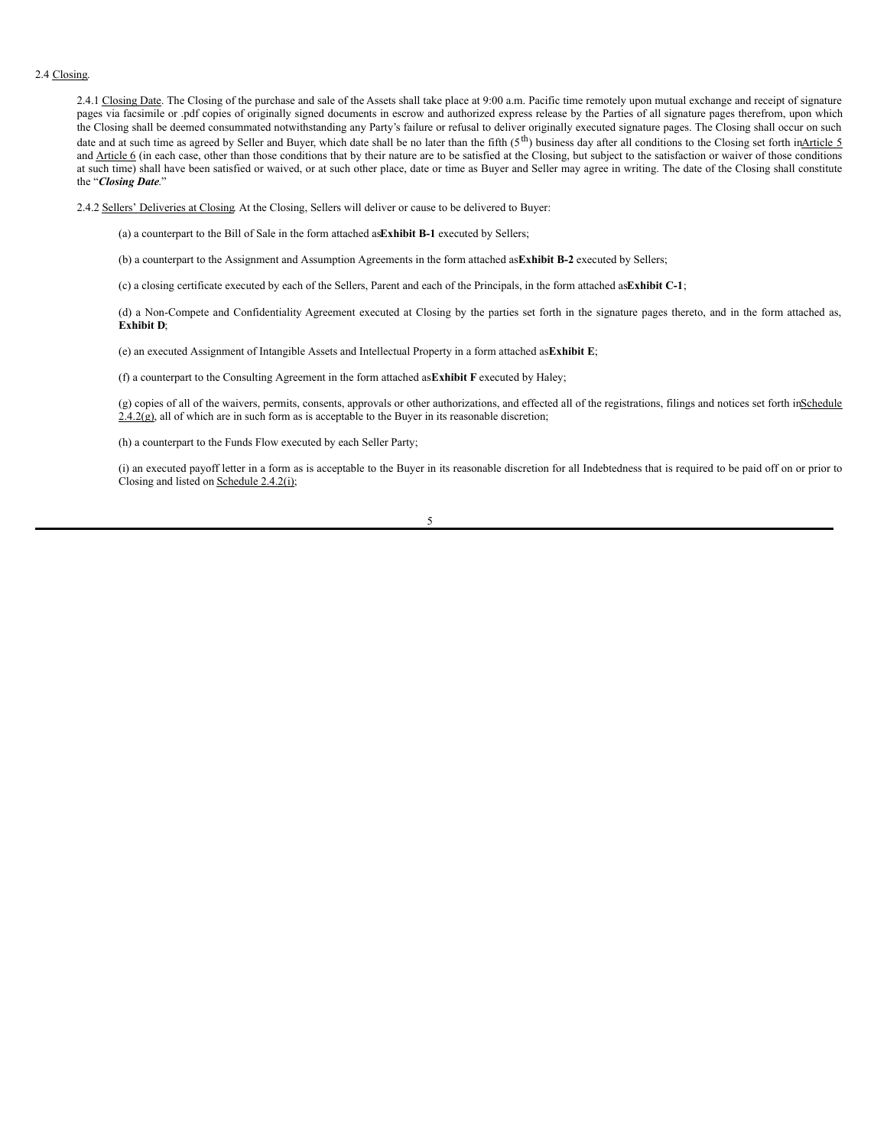#### 2.4 Closing.

2.4.1 Closing Date. The Closing of the purchase and sale of the Assets shall take place at 9:00 a.m. Pacific time remotely upon mutual exchange and receipt of signature pages via facsimile or .pdf copies of originally signed documents in escrow and authorized express release by the Parties of all signature pages therefrom, upon which the Closing shall be deemed consummated notwithstanding any Party's failure or refusal to deliver originally executed signature pages. The Closing shall occur on such date and at such time as agreed by Seller and Buyer, which date shall be no later than the fifth (5<sup>th</sup>) business day after all conditions to the Closing set forth inArticle 5 and **Article 6** (in each case, other than those conditions that by their nature are to be satisfied at the Closing, but subject to the satisfaction or waiver of those conditions at such time) shall have been satisfied or waived, or at such other place, date or time as Buyer and Seller may agree in writing. The date of the Closing shall constitute the "*Closing Date*."

2.4.2 Sellers' Deliveries at Closing. At the Closing, Sellers will deliver or cause to be delivered to Buyer:

(a) a counterpart to the Bill of Sale in the form attached as**Exhibit B-1** executed by Sellers;

(b) a counterpart to the Assignment and Assumption Agreements in the form attached as**Exhibit B-2** executed by Sellers;

(c) a closing certificate executed by each of the Sellers, Parent and each of the Principals, in the form attached as**Exhibit C-1**;

(d) a Non-Compete and Confidentiality Agreement executed at Closing by the parties set forth in the signature pages thereto, and in the form attached as, **Exhibit D**;

(e) an executed Assignment of Intangible Assets and Intellectual Property in a form attached as**Exhibit E**;

(f) a counterpart to the Consulting Agreement in the form attached as**Exhibit F** executed by Haley;

(g) copies of all of the waivers, permits, consents, approvals or other authorizations, and effected all of the registrations, filings and notices set forth inSchedule  $2.4.2(g)$ , all of which are in such form as is acceptable to the Buyer in its reasonable discretion;

(h) a counterpart to the Funds Flow executed by each Seller Party;

(i) an executed payoff letter in a form as is acceptable to the Buyer in its reasonable discretion for all Indebtedness that is required to be paid off on or prior to Closing and listed on Schedule 2.4.2(i);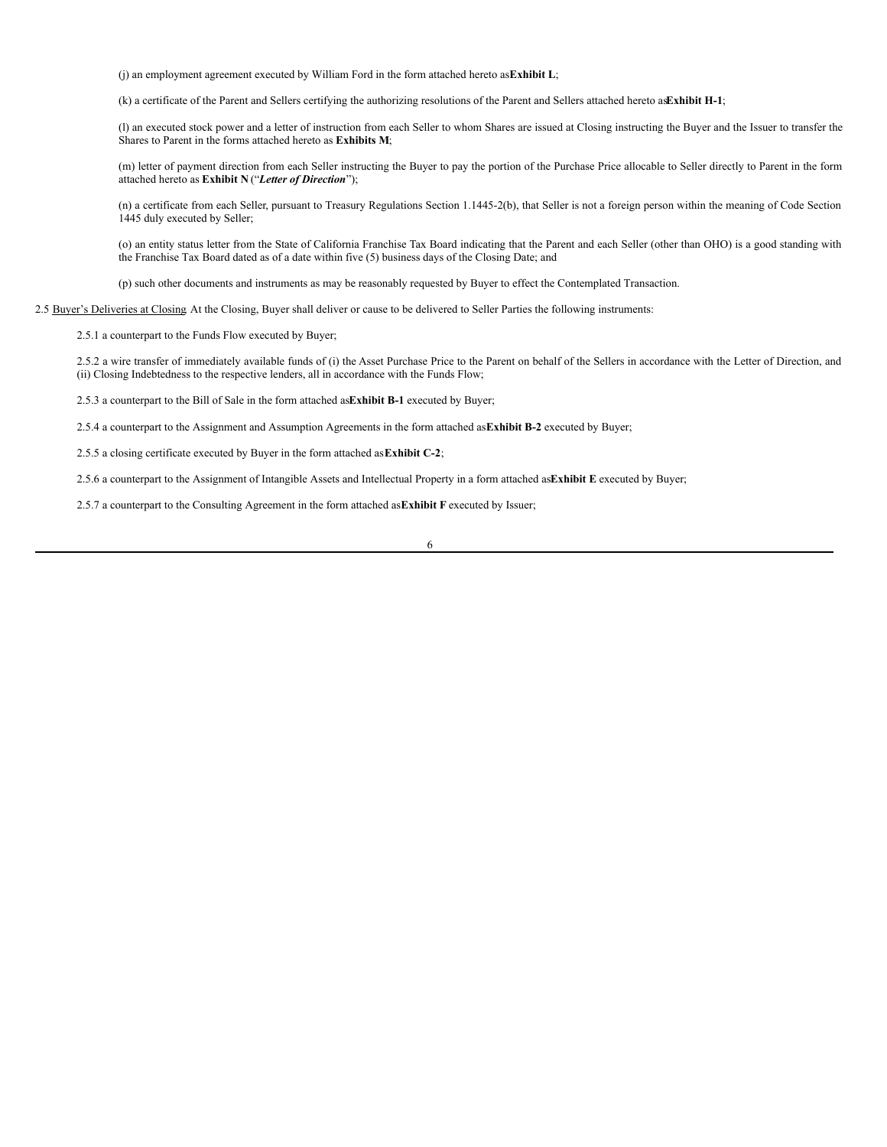(j) an employment agreement executed by William Ford in the form attached hereto as**Exhibit L**;

(k) a certificate of the Parent and Sellers certifying the authorizing resolutions of the Parent and Sellers attached hereto as**Exhibit H-1**;

(l) an executed stock power and a letter of instruction from each Seller to whom Shares are issued at Closing instructing the Buyer and the Issuer to transfer the Shares to Parent in the forms attached hereto as **Exhibits M**;

(m) letter of payment direction from each Seller instructing the Buyer to pay the portion of the Purchase Price allocable to Seller directly to Parent in the form attached hereto as **Exhibit N** ("*Letter of Direction*");

(n) a certificate from each Seller, pursuant to Treasury Regulations Section 1.1445-2(b), that Seller is not a foreign person within the meaning of Code Section 1445 duly executed by Seller;

(o) an entity status letter from the State of California Franchise Tax Board indicating that the Parent and each Seller (other than OHO) is a good standing with the Franchise Tax Board dated as of a date within five (5) business days of the Closing Date; and

(p) such other documents and instruments as may be reasonably requested by Buyer to effect the Contemplated Transaction.

2.5 Buyer's Deliveries at Closing. At the Closing, Buyer shall deliver or cause to be delivered to Seller Parties the following instruments:

2.5.1 a counterpart to the Funds Flow executed by Buyer;

2.5.2 a wire transfer of immediately available funds of (i) the Asset Purchase Price to the Parent on behalf of the Sellers in accordance with the Letter of Direction, and (ii) Closing Indebtedness to the respective lenders, all in accordance with the Funds Flow;

2.5.3 a counterpart to the Bill of Sale in the form attached as**Exhibit B-1** executed by Buyer;

2.5.4 a counterpart to the Assignment and Assumption Agreements in the form attached as**Exhibit B-2** executed by Buyer;

2.5.5 a closing certificate executed by Buyer in the form attached as**Exhibit C-2**;

2.5.6 a counterpart to the Assignment of Intangible Assets and Intellectual Property in a form attached as**Exhibit E** executed by Buyer;

2.5.7 a counterpart to the Consulting Agreement in the form attached as**Exhibit F** executed by Issuer;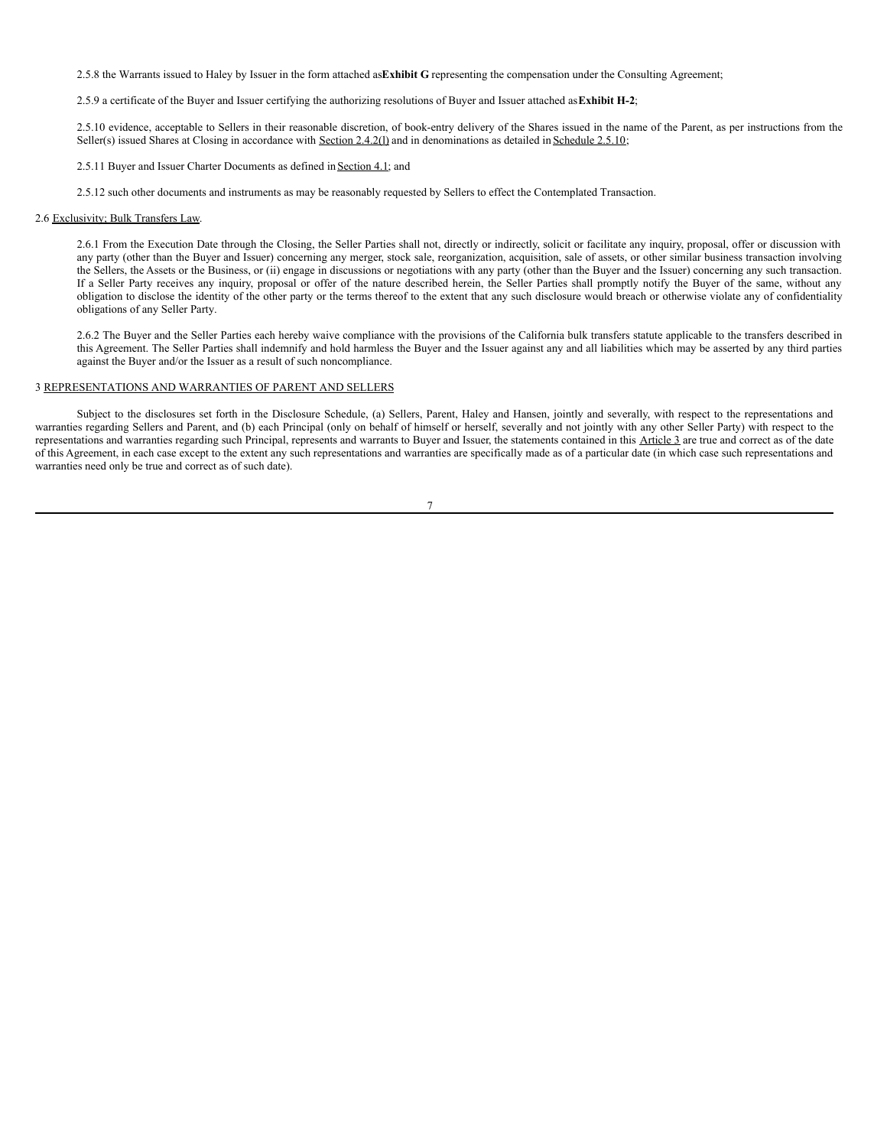2.5.8 the Warrants issued to Haley by Issuer in the form attached as**Exhibit G** representing the compensation under the Consulting Agreement;

2.5.9 a certificate of the Buyer and Issuer certifying the authorizing resolutions of Buyer and Issuer attached as**Exhibit H-2**;

2.5.10 evidence, acceptable to Sellers in their reasonable discretion, of book-entry delivery of the Shares issued in the name of the Parent, as per instructions from the Seller(s) issued Shares at Closing in accordance with Section  $2.4.2(1)$  and in denominations as detailed in Schedule 2.5.10;

2.5.11 Buyer and Issuer Charter Documents as defined in Section 4.1; and

2.5.12 such other documents and instruments as may be reasonably requested by Sellers to effect the Contemplated Transaction.

## 2.6 Exclusivity; Bulk Transfers Law.

2.6.1 From the Execution Date through the Closing, the Seller Parties shall not, directly or indirectly, solicit or facilitate any inquiry, proposal, offer or discussion with any party (other than the Buyer and Issuer) concerning any merger, stock sale, reorganization, acquisition, sale of assets, or other similar business transaction involving the Sellers, the Assets or the Business, or (ii) engage in discussions or negotiations with any party (other than the Buyer and the Issuer) concerning any such transaction. If a Seller Party receives any inquiry, proposal or offer of the nature described herein, the Seller Parties shall promptly notify the Buyer of the same, without any obligation to disclose the identity of the other party or the terms thereof to the extent that any such disclosure would breach or otherwise violate any of confidentiality obligations of any Seller Party.

2.6.2 The Buyer and the Seller Parties each hereby waive compliance with the provisions of the California bulk transfers statute applicable to the transfers described in this Agreement. The Seller Parties shall indemnify and hold harmless the Buyer and the Issuer against any and all liabilities which may be asserted by any third parties against the Buyer and/or the Issuer as a result of such noncompliance.

# 3 REPRESENTATIONS AND WARRANTIES OF PARENT AND SELLERS

Subject to the disclosures set forth in the Disclosure Schedule, (a) Sellers, Parent, Haley and Hansen, jointly and severally, with respect to the representations and warranties regarding Sellers and Parent, and (b) each Principal (only on behalf of himself or herself, severally and not jointly with any other Seller Party) with respect to the representations and warranties regarding such Principal, represents and warrants to Buyer and Issuer, the statements contained in this Article 3 are true and correct as of the date of this Agreement, in each case except to the extent any such representations and warranties are specifically made as of a particular date (in which case such representations and warranties need only be true and correct as of such date).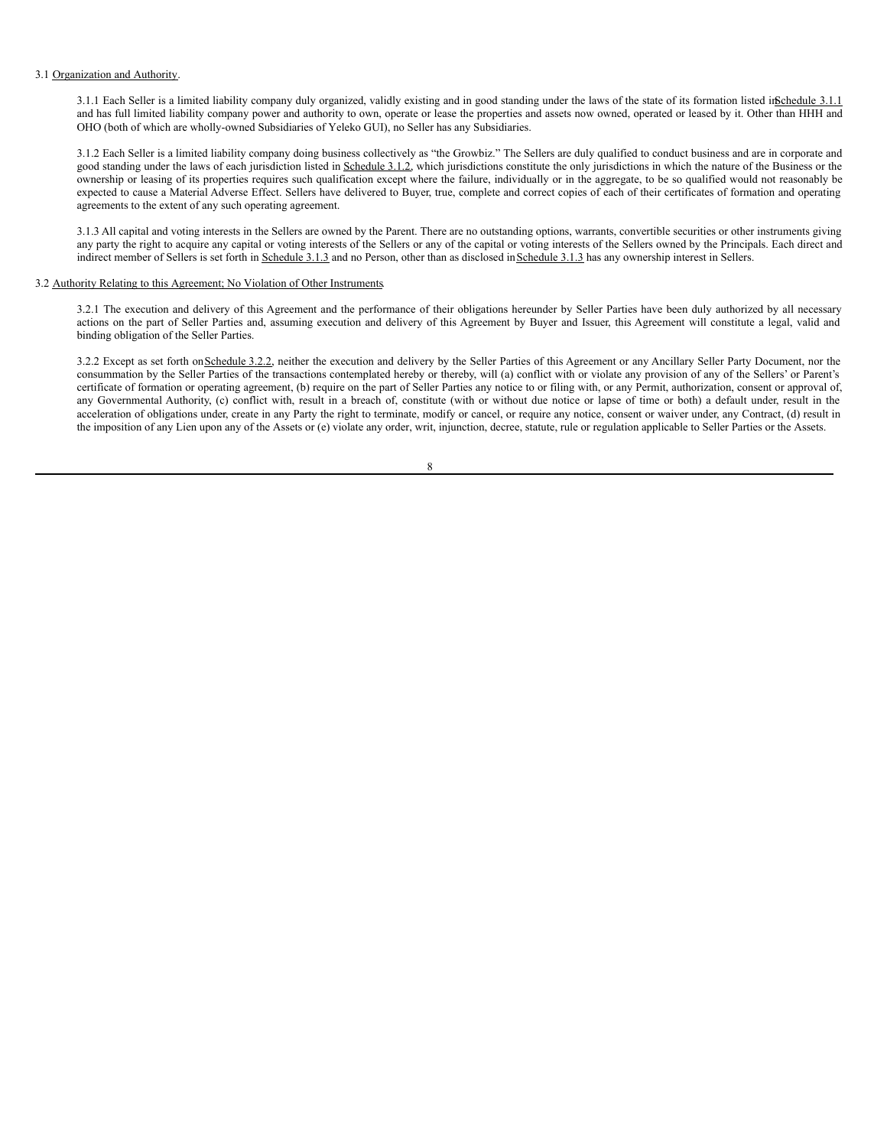## 3.1 Organization and Authority.

3.1.1 Each Seller is a limited liability company duly organized, validly existing and in good standing under the laws of the state of its formation listed inSchedule 3.1.1 and has full limited liability company power and authority to own, operate or lease the properties and assets now owned, operated or leased by it. Other than HHH and OHO (both of which are wholly-owned Subsidiaries of Yeleko GUI), no Seller has any Subsidiaries.

3.1.2 Each Seller is a limited liability company doing business collectively as "the Growbiz." The Sellers are duly qualified to conduct business and are in corporate and good standing under the laws of each jurisdiction listed in Schedule 3.1.2, which jurisdictions constitute the only jurisdictions in which the nature of the Business or the ownership or leasing of its properties requires such qualification except where the failure, individually or in the aggregate, to be so qualified would not reasonably be expected to cause a Material Adverse Effect. Sellers have delivered to Buyer, true, complete and correct copies of each of their certificates of formation and operating agreements to the extent of any such operating agreement.

3.1.3 All capital and voting interests in the Sellers are owned by the Parent. There are no outstanding options, warrants, convertible securities or other instruments giving any party the right to acquire any capital or voting interests of the Sellers or any of the capital or voting interests of the Sellers owned by the Principals. Each direct and indirect member of Sellers is set forth in Schedule 3.1.3 and no Person, other than as disclosed in Schedule 3.1.3 has any ownership interest in Sellers.

## 3.2 Authority Relating to this Agreement; No Violation of Other Instruments.

3.2.1 The execution and delivery of this Agreement and the performance of their obligations hereunder by Seller Parties have been duly authorized by all necessary actions on the part of Seller Parties and, assuming execution and delivery of this Agreement by Buyer and Issuer, this Agreement will constitute a legal, valid and binding obligation of the Seller Parties.

3.2.2 Except as set forth on Schedule 3.2.2, neither the execution and delivery by the Seller Parties of this Agreement or any Ancillary Seller Party Document, nor the consummation by the Seller Parties of the transactions contemplated hereby or thereby, will (a) conflict with or violate any provision of any of the Sellers' or Parent's certificate of formation or operating agreement, (b) require on the part of Seller Parties any notice to or filing with, or any Permit, authorization, consent or approval of, any Governmental Authority, (c) conflict with, result in a breach of, constitute (with or without due notice or lapse of time or both) a default under, result in the acceleration of obligations under, create in any Party the right to terminate, modify or cancel, or require any notice, consent or waiver under, any Contract, (d) result in the imposition of any Lien upon any of the Assets or (e) violate any order, writ, injunction, decree, statute, rule or regulation applicable to Seller Parties or the Assets.

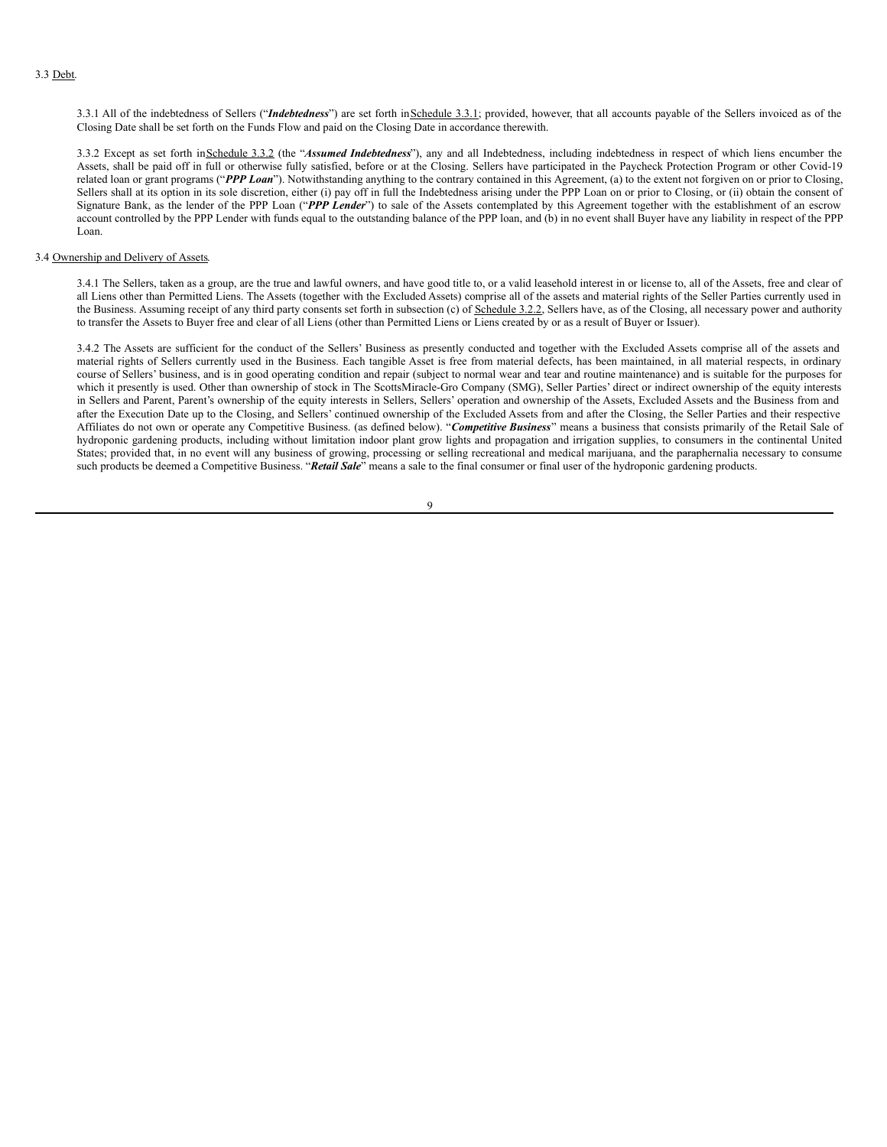3.3.1 All of the indebtedness of Sellers ("*Indebtedness*") are set forth in Schedule 3.3.1; provided, however, that all accounts payable of the Sellers invoiced as of the Closing Date shall be set forth on the Funds Flow and paid on the Closing Date in accordance therewith.

3.3.2 Except as set forth inSchedule 3.3.2 (the "*Assumed Indebtedness*"), any and all Indebtedness, including indebtedness in respect of which liens encumber the Assets, shall be paid off in full or otherwise fully satisfied, before or at the Closing. Sellers have participated in the Paycheck Protection Program or other Covid-19 related loan or grant programs ("PPP Loan"). Notwithstanding anything to the contrary contained in this Agreement, (a) to the extent not forgiven on or prior to Closing, Sellers shall at its option in its sole discretion, either (i) pay off in full the Indebtedness arising under the PPP Loan on or prior to Closing, or (ii) obtain the consent of Signature Bank, as the lender of the PPP Loan ("*PPP Lender*") to sale of the Assets contemplated by this Agreement together with the establishment of an escrow account controlled by the PPP Lender with funds equal to the outstanding balance of the PPP loan, and (b) in no event shall Buyer have any liability in respect of the PPP Loan.

## 3.4 Ownership and Delivery of Assets.

3.4.1 The Sellers, taken as a group, are the true and lawful owners, and have good title to, or a valid leasehold interest in or license to, all of the Assets, free and clear of all Liens other than Permitted Liens. The Assets (together with the Excluded Assets) comprise all of the assets and material rights of the Seller Parties currently used in the Business. Assuming receipt of any third party consents set forth in subsection (c) of Schedule 3.2.2, Sellers have, as of the Closing, all necessary power and authority to transfer the Assets to Buyer free and clear of all Liens (other than Permitted Liens or Liens created by or as a result of Buyer or Issuer).

3.4.2 The Assets are sufficient for the conduct of the Sellers' Business as presently conducted and together with the Excluded Assets comprise all of the assets and material rights of Sellers currently used in the Business. Each tangible Asset is free from material defects, has been maintained, in all material respects, in ordinary course of Sellers' business, and is in good operating condition and repair (subject to normal wear and tear and routine maintenance) and is suitable for the purposes for which it presently is used. Other than ownership of stock in The ScottsMiracle-Gro Company (SMG), Seller Parties' direct or indirect ownership of the equity interests in Sellers and Parent, Parent's ownership of the equity interests in Sellers, Sellers' operation and ownership of the Assets, Excluded Assets and the Business from and after the Execution Date up to the Closing, and Sellers' continued ownership of the Excluded Assets from and after the Closing, the Seller Parties and their respective Affiliates do not own or operate any Competitive Business. (as defined below). "*Competitive Business*" means a business that consists primarily of the Retail Sale of hydroponic gardening products, including without limitation indoor plant grow lights and propagation and irrigation supplies, to consumers in the continental United States; provided that, in no event will any business of growing, processing or selling recreational and medical marijuana, and the paraphernalia necessary to consume such products be deemed a Competitive Business. "*Retail Sale*" means a sale to the final consumer or final user of the hydroponic gardening products.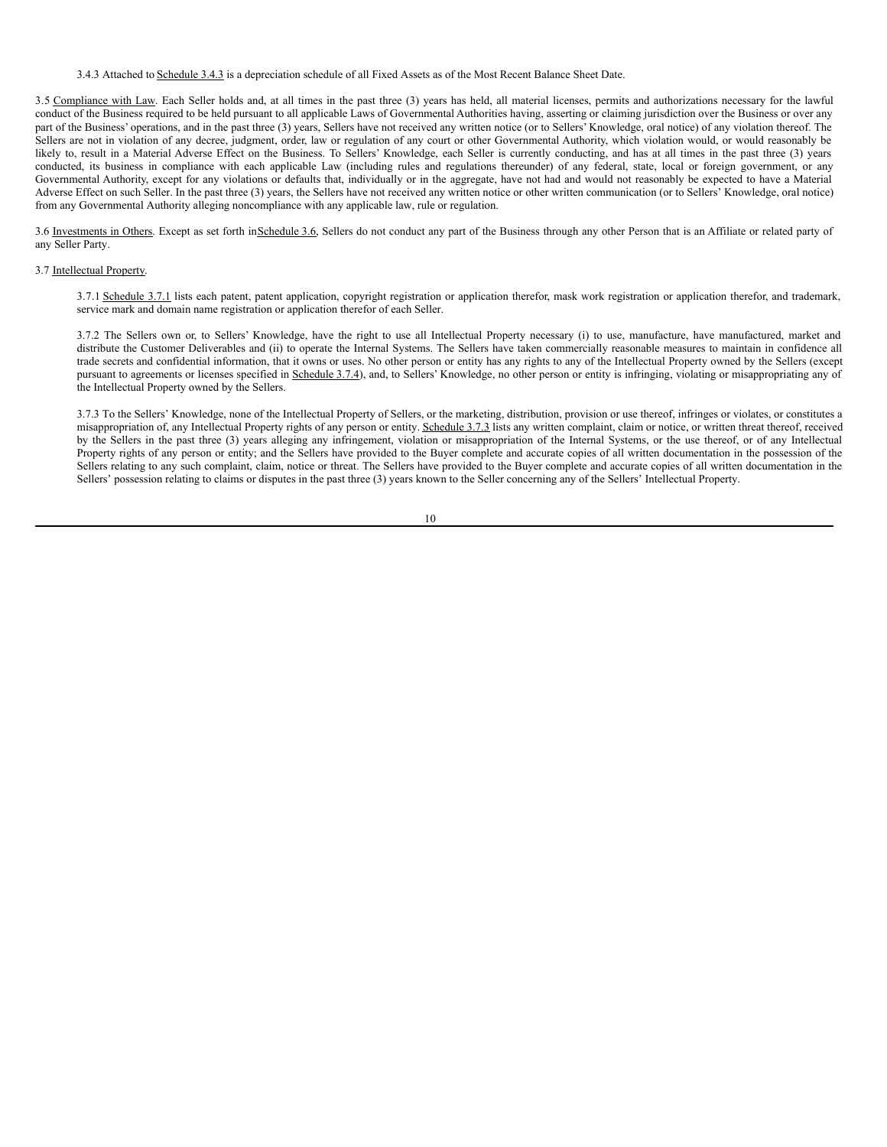3.4.3 Attached to Schedule 3.4.3 is a depreciation schedule of all Fixed Assets as of the Most Recent Balance Sheet Date.

3.5 Compliance with Law. Each Seller holds and, at all times in the past three (3) years has held, all material licenses, permits and authorizations necessary for the lawful conduct of the Business required to be held pursuant to all applicable Laws of Governmental Authorities having, asserting or claiming jurisdiction over the Business or over any part of the Business' operations, and in the past three (3) years, Sellers have not received any written notice (or to Sellers' Knowledge, oral notice) of any violation thereof. The Sellers are not in violation of any decree, judgment, order, law or regulation of any court or other Governmental Authority, which violation would, or would reasonably be likely to, result in a Material Adverse Effect on the Business. To Sellers' Knowledge, each Seller is currently conducting, and has at all times in the past three (3) years conducted, its business in compliance with each applicable Law (including rules and regulations thereunder) of any federal, state, local or foreign government, or any Governmental Authority, except for any violations or defaults that, individually or in the aggregate, have not had and would not reasonably be expected to have a Material Adverse Effect on such Seller. In the past three (3) years, the Sellers have not received any written notice or other written communication (or to Sellers' Knowledge, oral notice) from any Governmental Authority alleging noncompliance with any applicable law, rule or regulation.

3.6 Investments in Others. Except as set forth in Schedule 3.6, Sellers do not conduct any part of the Business through any other Person that is an Affiliate or related party of any Seller Party.

#### 3.7 Intellectual Property.

3.7.1 Schedule 3.7.1 lists each patent, patent application, copyright registration or application therefor, mask work registration or application therefor, and trademark, service mark and domain name registration or application therefor of each Seller.

3.7.2 The Sellers own or, to Sellers' Knowledge, have the right to use all Intellectual Property necessary (i) to use, manufacture, have manufactured, market and distribute the Customer Deliverables and (ii) to operate the Internal Systems. The Sellers have taken commercially reasonable measures to maintain in confidence all trade secrets and confidential information, that it owns or uses. No other person or entity has any rights to any of the Intellectual Property owned by the Sellers (except pursuant to agreements or licenses specified in Schedule 3.7.4), and, to Sellers' Knowledge, no other person or entity is infringing, violating or misappropriating any of the Intellectual Property owned by the Sellers.

3.7.3 To the Sellers' Knowledge, none of the Intellectual Property of Sellers, or the marketing, distribution, provision or use thereof, infringes or violates, or constitutes a misappropriation of, any Intellectual Property rights of any person or entity. Schedule 3.7.3 lists any written complaint, claim or notice, or written threat thereof, received by the Sellers in the past three (3) years alleging any infringement, violation or misappropriation of the Internal Systems, or the use thereof, or of any Intellectual Property rights of any person or entity; and the Sellers have provided to the Buyer complete and accurate copies of all written documentation in the possession of the Sellers relating to any such complaint, claim, notice or threat. The Sellers have provided to the Buyer complete and accurate copies of all written documentation in the Sellers' possession relating to claims or disputes in the past three (3) years known to the Seller concerning any of the Sellers' Intellectual Property.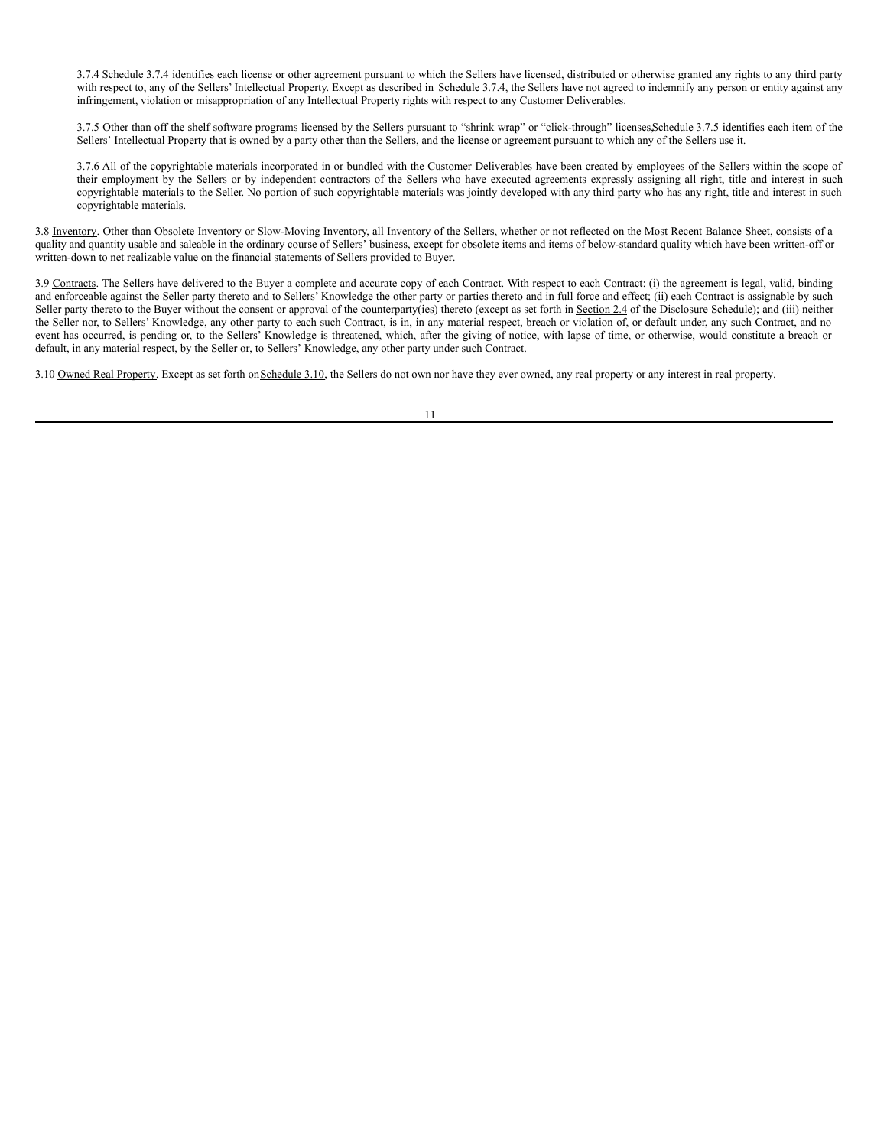3.7.4 Schedule 3.7.4 identifies each license or other agreement pursuant to which the Sellers have licensed, distributed or otherwise granted any rights to any third party with respect to, any of the Sellers' Intellectual Property. Except as described in Schedule 3.7.4, the Sellers have not agreed to indemnify any person or entity against any infringement, violation or misappropriation of any Intellectual Property rights with respect to any Customer Deliverables.

3.7.5 Other than off the shelf software programs licensed by the Sellers pursuant to "shrink wrap" or "click-through" licenses Schedule 3.7.5 identifies each item of the Sellers' Intellectual Property that is owned by a party other than the Sellers, and the license or agreement pursuant to which any of the Sellers use it.

3.7.6 All of the copyrightable materials incorporated in or bundled with the Customer Deliverables have been created by employees of the Sellers within the scope of their employment by the Sellers or by independent contractors of the Sellers who have executed agreements expressly assigning all right, title and interest in such copyrightable materials to the Seller. No portion of such copyrightable materials was jointly developed with any third party who has any right, title and interest in such copyrightable materials.

3.8 Inventory. Other than Obsolete Inventory or Slow-Moving Inventory, all Inventory of the Sellers, whether or not reflected on the Most Recent Balance Sheet, consists of a quality and quantity usable and saleable in the ordinary course of Sellers' business, except for obsolete items and items of below-standard quality which have been written-off or written-down to net realizable value on the financial statements of Sellers provided to Buyer.

3.9 Contracts. The Sellers have delivered to the Buyer a complete and accurate copy of each Contract. With respect to each Contract: (i) the agreement is legal, valid, binding and enforceable against the Seller party thereto and to Sellers' Knowledge the other party or parties thereto and in full force and effect; (ii) each Contract is assignable by such Seller party thereto to the Buyer without the consent or approval of the counterparty(ies) thereto (except as set forth in Section 2.4 of the Disclosure Schedule); and (iii) neither the Seller nor, to Sellers' Knowledge, any other party to each such Contract, is in, in any material respect, breach or violation of, or default under, any such Contract, and no event has occurred, is pending or, to the Sellers' Knowledge is threatened, which, after the giving of notice, with lapse of time, or otherwise, would constitute a breach or default, in any material respect, by the Seller or, to Sellers' Knowledge, any other party under such Contract.

3.10 Owned Real Property. Except as set forth on Schedule 3.10, the Sellers do not own nor have they ever owned, any real property or any interest in real property.

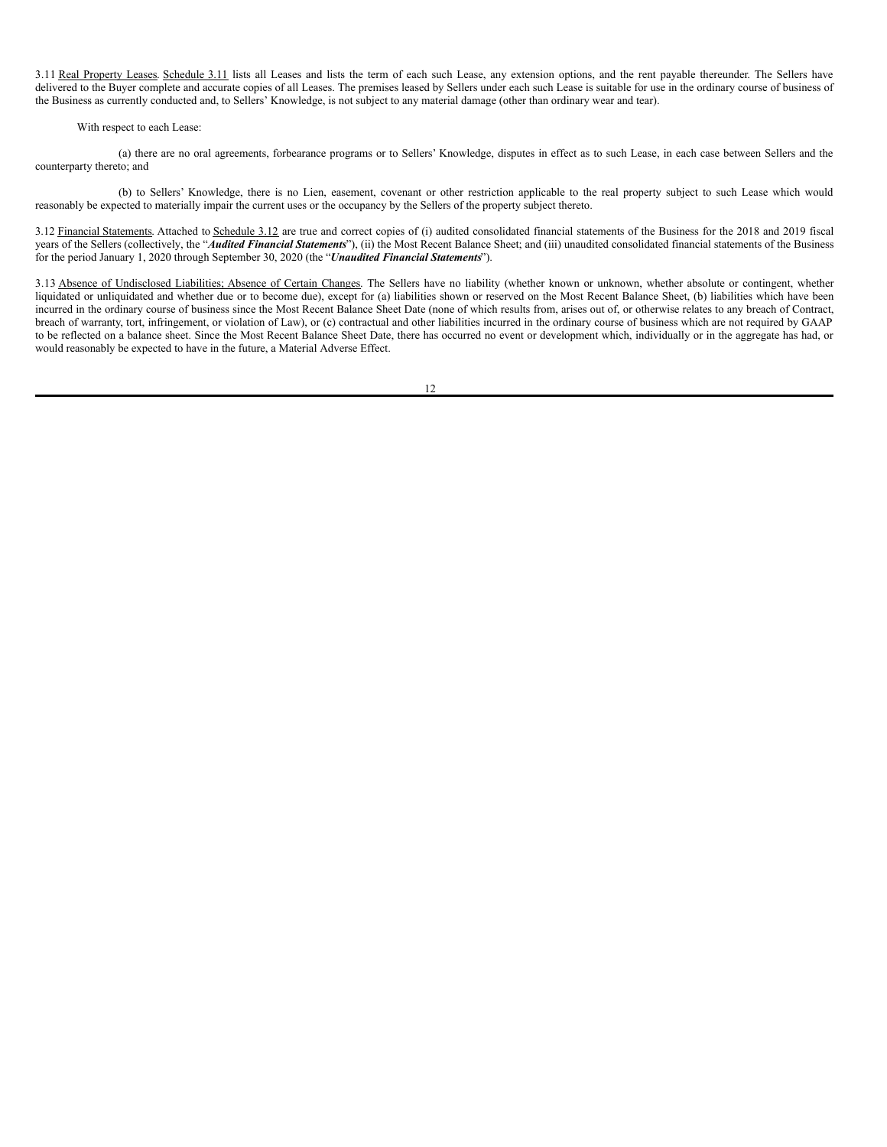3.11 Real Property Leases. Schedule 3.11 lists all Leases and lists the term of each such Lease, any extension options, and the rent payable thereunder. The Sellers have delivered to the Buyer complete and accurate copies of all Leases. The premises leased by Sellers under each such Lease is suitable for use in the ordinary course of business of the Business as currently conducted and, to Sellers' Knowledge, is not subject to any material damage (other than ordinary wear and tear).

## With respect to each Lease:

(a) there are no oral agreements, forbearance programs or to Sellers' Knowledge, disputes in effect as to such Lease, in each case between Sellers and the counterparty thereto; and

(b) to Sellers' Knowledge, there is no Lien, easement, covenant or other restriction applicable to the real property subject to such Lease which would reasonably be expected to materially impair the current uses or the occupancy by the Sellers of the property subject thereto.

3.12 Financial Statements. Attached to Schedule 3.12 are true and correct copies of (i) audited consolidated financial statements of the Business for the 2018 and 2019 fiscal years of the Sellers (collectively, the "*Audited Financial Statements*"), (ii) the Most Recent Balance Sheet; and (iii) unaudited consolidated financial statements of the Business for the period January 1, 2020 through September 30, 2020 (the "*Unaudited Financial Statements*").

3.13 Absence of Undisclosed Liabilities; Absence of Certain Changes. The Sellers have no liability (whether known or unknown, whether absolute or contingent, whether liquidated or unliquidated and whether due or to become due), except for (a) liabilities shown or reserved on the Most Recent Balance Sheet, (b) liabilities which have been incurred in the ordinary course of business since the Most Recent Balance Sheet Date (none of which results from, arises out of, or otherwise relates to any breach of Contract, breach of warranty, tort, infringement, or violation of Law), or (c) contractual and other liabilities incurred in the ordinary course of business which are not required by GAAP to be reflected on a balance sheet. Since the Most Recent Balance Sheet Date, there has occurred no event or development which, individually or in the aggregate has had, or would reasonably be expected to have in the future, a Material Adverse Effect.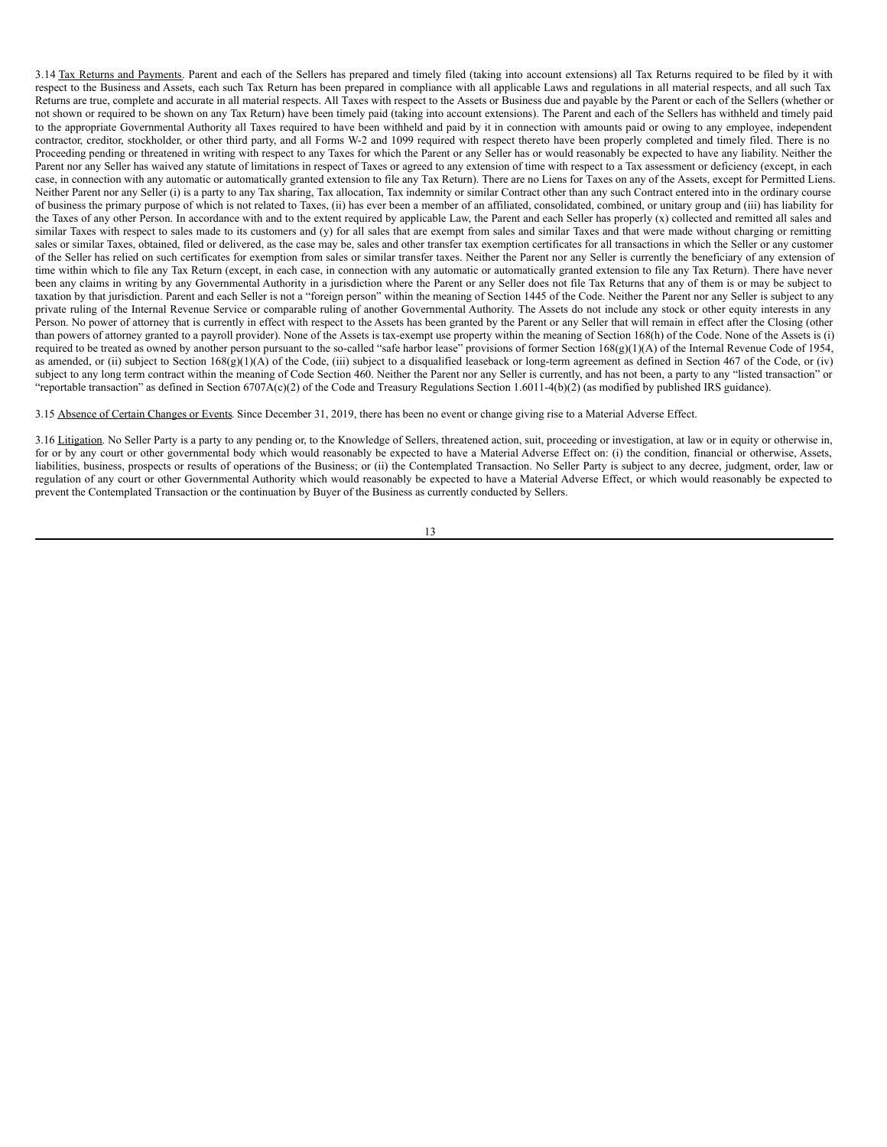3.14 Tax Returns and Payments. Parent and each of the Sellers has prepared and timely filed (taking into account extensions) all Tax Returns required to be filed by it with respect to the Business and Assets, each such Tax Return has been prepared in compliance with all applicable Laws and regulations in all material respects, and all such Tax Returns are true, complete and accurate in all material respects. All Taxes with respect to the Assets or Business due and payable by the Parent or each of the Sellers (whether or not shown or required to be shown on any Tax Return) have been timely paid (taking into account extensions). The Parent and each of the Sellers has withheld and timely paid to the appropriate Governmental Authority all Taxes required to have been withheld and paid by it in connection with amounts paid or owing to any employee, independent contractor, creditor, stockholder, or other third party, and all Forms W-2 and 1099 required with respect thereto have been properly completed and timely filed. There is no Proceeding pending or threatened in writing with respect to any Taxes for which the Parent or any Seller has or would reasonably be expected to have any liability. Neither the Parent nor any Seller has waived any statute of limitations in respect of Taxes or agreed to any extension of time with respect to a Tax assessment or deficiency (except, in each case, in connection with any automatic or automatically granted extension to file any Tax Return). There are no Liens for Taxes on any of the Assets, except for Permitted Liens. Neither Parent nor any Seller (i) is a party to any Tax sharing, Tax allocation, Tax indemnity or similar Contract other than any such Contract entered into in the ordinary course of business the primary purpose of which is not related to Taxes, (ii) has ever been a member of an affiliated, consolidated, combined, or unitary group and (iii) has liability for the Taxes of any other Person. In accordance with and to the extent required by applicable Law, the Parent and each Seller has properly (x) collected and remitted all sales and similar Taxes with respect to sales made to its customers and (y) for all sales that are exempt from sales and similar Taxes and that were made without charging or remitting sales or similar Taxes, obtained, filed or delivered, as the case may be, sales and other transfer tax exemption certificates for all transactions in which the Seller or any customer of the Seller has relied on such certificates for exemption from sales or similar transfer taxes. Neither the Parent nor any Seller is currently the beneficiary of any extension of time within which to file any Tax Return (except, in each case, in connection with any automatic or automatically granted extension to file any Tax Return). There have never been any claims in writing by any Governmental Authority in a jurisdiction where the Parent or any Seller does not file Tax Returns that any of them is or may be subject to taxation by that jurisdiction. Parent and each Seller is not a "foreign person" within the meaning of Section 1445 of the Code. Neither the Parent nor any Seller is subject to any private ruling of the Internal Revenue Service or comparable ruling of another Governmental Authority. The Assets do not include any stock or other equity interests in any Person. No power of attorney that is currently in effect with respect to the Assets has been granted by the Parent or any Seller that will remain in effect after the Closing (other than powers of attorney granted to a payroll provider). None of the Assets is tax-exempt use property within the meaning of Section 168(h) of the Code. None of the Assets is (i) required to be treated as owned by another person pursuant to the so-called "safe harbor lease" provisions of former Section  $168(g)(1)(A)$  of the Internal Revenue Code of 1954, as amended, or (ii) subject to Section 168(g)(1)(A) of the Code, (iii) subject to a disqualified leaseback or long-term agreement as defined in Section 467 of the Code, or (iv) subject to any long term contract within the meaning of Code Section 460. Neither the Parent nor any Seller is currently, and has not been, a party to any "listed transaction" or "reportable transaction" as defined in Section 6707A(c)(2) of the Code and Treasury Regulations Section 1.6011-4(b)(2) (as modified by published IRS guidance).

3.15 Absence of Certain Changes or Events. Since December 31, 2019, there has been no event or change giving rise to a Material Adverse Effect.

3.16 Litigation. No Seller Party is a party to any pending or, to the Knowledge of Sellers, threatened action, suit, proceeding or investigation, at law or in equity or otherwise in, for or by any court or other governmental body which would reasonably be expected to have a Material Adverse Effect on: (i) the condition, financial or otherwise, Assets, liabilities, business, prospects or results of operations of the Business; or (ii) the Contemplated Transaction. No Seller Party is subject to any decree, judgment, order, law or regulation of any court or other Governmental Authority which would reasonably be expected to have a Material Adverse Effect, or which would reasonably be expected to prevent the Contemplated Transaction or the continuation by Buyer of the Business as currently conducted by Sellers.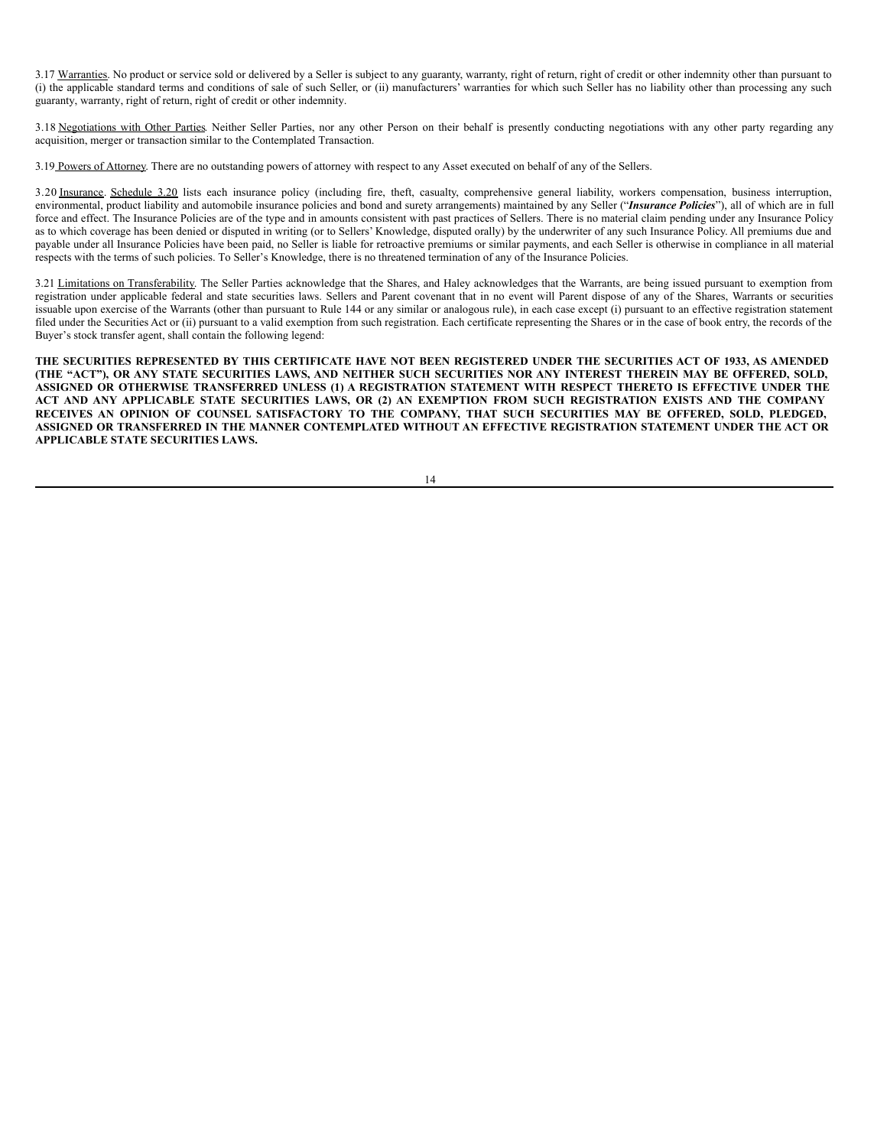3.17 Warranties. No product or service sold or delivered by a Seller is subject to any guaranty, warranty, right of return, right of credit or other indemnity other than pursuant to (i) the applicable standard terms and conditions of sale of such Seller, or (ii) manufacturers' warranties for which such Seller has no liability other than processing any such guaranty, warranty, right of return, right of credit or other indemnity.

3.18 Negotiations with Other Parties. Neither Seller Parties, nor any other Person on their behalf is presently conducting negotiations with any other party regarding any acquisition, merger or transaction similar to the Contemplated Transaction.

3.19 Powers of Attorney. There are no outstanding powers of attorney with respect to any Asset executed on behalf of any of the Sellers.

3.20 Insurance. Schedule 3.20 lists each insurance policy (including fire, theft, casualty, comprehensive general liability, workers compensation, business interruption, environmental, product liability and automobile insurance policies and bond and surety arrangements) maintained by any Seller ("*Insurance Policies*"), all of which are in full force and effect. The Insurance Policies are of the type and in amounts consistent with past practices of Sellers. There is no material claim pending under any Insurance Policy as to which coverage has been denied or disputed in writing (or to Sellers' Knowledge, disputed orally) by the underwriter of any such Insurance Policy. All premiums due and payable under all Insurance Policies have been paid, no Seller is liable for retroactive premiums or similar payments, and each Seller is otherwise in compliance in all material respects with the terms of such policies. To Seller's Knowledge, there is no threatened termination of any of the Insurance Policies.

3.21 Limitations on Transferability. The Seller Parties acknowledge that the Shares, and Haley acknowledges that the Warrants, are being issued pursuant to exemption from registration under applicable federal and state securities laws. Sellers and Parent covenant that in no event will Parent dispose of any of the Shares, Warrants or securities issuable upon exercise of the Warrants (other than pursuant to Rule 144 or any similar or analogous rule), in each case except (i) pursuant to an effective registration statement filed under the Securities Act or (ii) pursuant to a valid exemption from such registration. Each certificate representing the Shares or in the case of book entry, the records of the Buyer's stock transfer agent, shall contain the following legend:

THE SECURITIES REPRESENTED BY THIS CERTIFICATE HAVE NOT BEEN REGISTERED UNDER THE SECURITIES ACT OF 1933, AS AMENDED (THE "ACT"), OR ANY STATE SECURITIES LAWS, AND NEITHER SUCH SECURITIES NOR ANY INTEREST THEREIN MAY BE OFFERED, SOLD, ASSIGNED OR OTHERWISE TRANSFERRED UNLESS (1) A REGISTRATION STATEMENT WITH RESPECT THERETO IS EFFECTIVE UNDER THE ACT AND ANY APPLICABLE STATE SECURITIES LAWS, OR (2) AN EXEMPTION FROM SUCH REGISTRATION EXISTS AND THE COMPANY RECEIVES AN OPINION OF COUNSEL SATISFACTORY TO THE COMPANY, THAT SUCH SECURITIES MAY BE OFFERED, SOLD, PLEDGED, **ASSIGNED OR TRANSFERRED IN THE MANNER CONTEMPLATED WITHOUT AN EFFECTIVE REGISTRATION STATEMENT UNDER THE ACT OR APPLICABLE STATE SECURITIES LAWS.**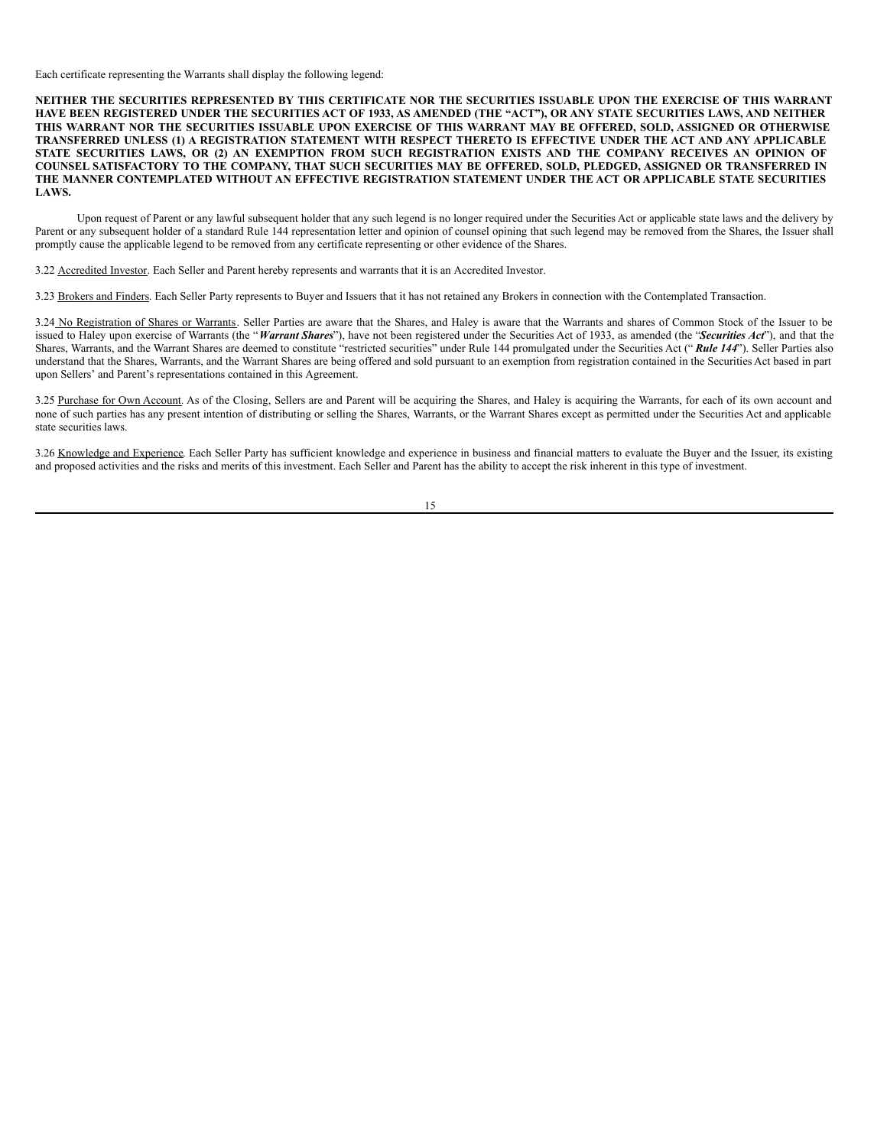Each certificate representing the Warrants shall display the following legend:

NEITHER THE SECURITIES REPRESENTED BY THIS CERTIFICATE NOR THE SECURITIES ISSUABLE UPON THE EXERCISE OF THIS WARRANT HAVE BEEN REGISTERED UNDER THE SECURITIES ACT OF 1933, AS AMENDED (THE "ACT"), OR ANY STATE SECURITIES LAWS, AND NEITHER THIS WARRANT NOR THE SECURITIES ISSUABLE UPON EXERCISE OF THIS WARRANT MAY BE OFFERED, SOLD, ASSIGNED OR OTHERWISE TRANSFERRED UNLESS (1) A REGISTRATION STATEMENT WITH RESPECT THERETO IS EFFECTIVE UNDER THE ACT AND ANY APPLICABLE STATE SECURITIES LAWS, OR (2) AN EXEMPTION FROM SUCH REGISTRATION EXISTS AND THE COMPANY RECEIVES AN OPINION OF COUNSEL SATISFACTORY TO THE COMPANY, THAT SUCH SECURITIES MAY BE OFFERED, SOLD, PLEDGED, ASSIGNED OR TRANSFERRED IN **THE MANNER CONTEMPLATED WITHOUT AN EFFECTIVE REGISTRATION STATEMENT UNDER THE ACT OR APPLICABLE STATE SECURITIES LAWS.**

Upon request of Parent or any lawful subsequent holder that any such legend is no longer required under the Securities Act or applicable state laws and the delivery by Parent or any subsequent holder of a standard Rule 144 representation letter and opinion of counsel opining that such legend may be removed from the Shares, the Issuer shall promptly cause the applicable legend to be removed from any certificate representing or other evidence of the Shares.

3.22 Accredited Investor. Each Seller and Parent hereby represents and warrants that it is an Accredited Investor.

3.23 Brokers and Finders. Each Seller Party represents to Buyer and Issuers that it has not retained any Brokers in connection with the Contemplated Transaction.

3.24 No Registration of Shares or Warrants. Seller Parties are aware that the Shares, and Haley is aware that the Warrants and shares of Common Stock of the Issuer to be issued to Haley upon exercise of Warrants (the "Warrant Shares"), have not been registered under the Securities Act of 1933, as amended (the "*Securities Act*"), and that the Shares, Warrants, and the Warrant Shares are deemed to constitute "restricted securities" under Rule 144 promulgated under the Securities Act (" *Rule 144*"). Seller Parties also understand that the Shares, Warrants, and the Warrant Shares are being offered and sold pursuant to an exemption from registration contained in the Securities Act based in part upon Sellers' and Parent's representations contained in this Agreement.

3.25 Purchase for Own Account. As of the Closing, Sellers are and Parent will be acquiring the Shares, and Haley is acquiring the Warrants, for each of its own account and none of such parties has any present intention of distributing or selling the Shares, Warrants, or the Warrant Shares except as permitted under the Securities Act and applicable state securities laws.

3.26 Knowledge and Experience. Each Seller Party has sufficient knowledge and experience in business and financial matters to evaluate the Buyer and the Issuer, its existing and proposed activities and the risks and merits of this investment. Each Seller and Parent has the ability to accept the risk inherent in this type of investment.

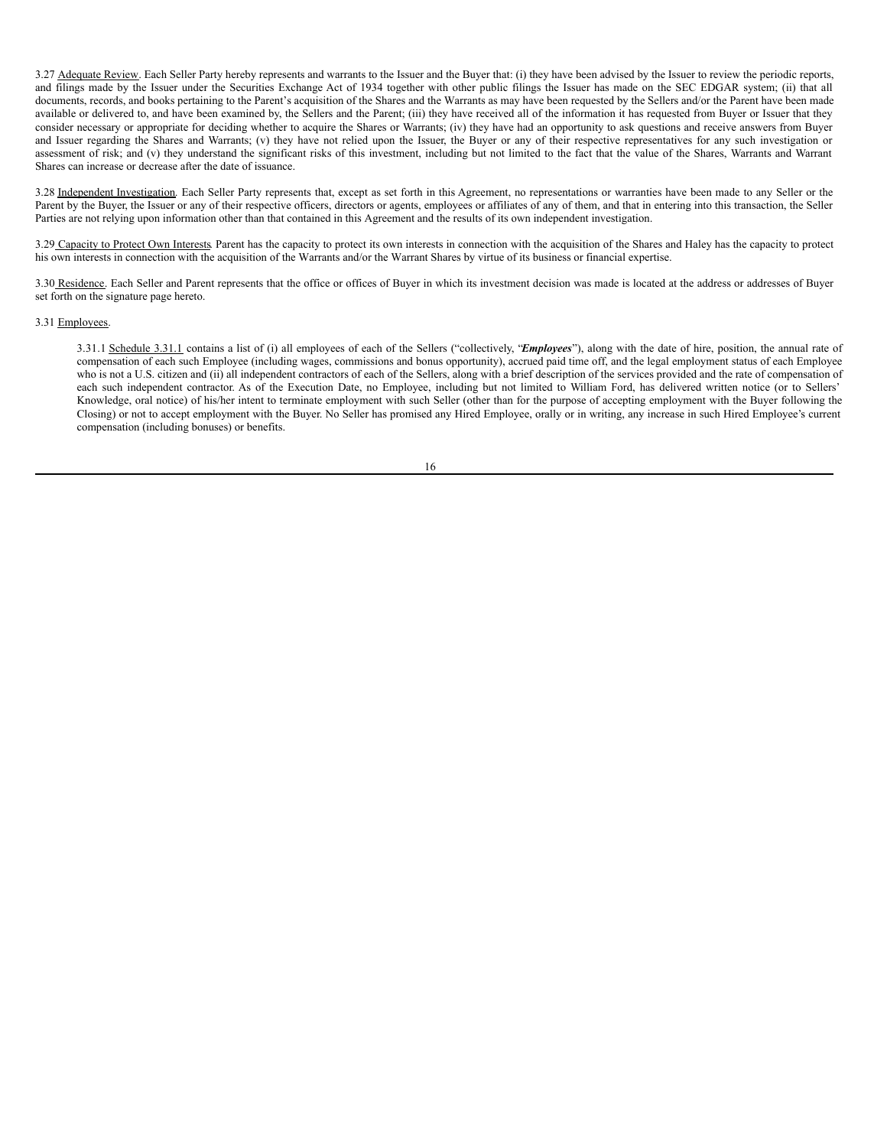3.27 Adequate Review. Each Seller Party hereby represents and warrants to the Issuer and the Buyer that: (i) they have been advised by the Issuer to review the periodic reports, and filings made by the Issuer under the Securities Exchange Act of 1934 together with other public filings the Issuer has made on the SEC EDGAR system; (ii) that all documents, records, and books pertaining to the Parent's acquisition of the Shares and the Warrants as may have been requested by the Sellers and/or the Parent have been made available or delivered to, and have been examined by, the Sellers and the Parent; (iii) they have received all of the information it has requested from Buyer or Issuer that they consider necessary or appropriate for deciding whether to acquire the Shares or Warrants; (iv) they have had an opportunity to ask questions and receive answers from Buyer and Issuer regarding the Shares and Warrants; (v) they have not relied upon the Issuer, the Buyer or any of their respective representatives for any such investigation or assessment of risk; and (v) they understand the significant risks of this investment, including but not limited to the fact that the value of the Shares, Warrants and Warrant Shares can increase or decrease after the date of issuance.

3.28 Independent Investigation. Each Seller Party represents that, except as set forth in this Agreement, no representations or warranties have been made to any Seller or the Parent by the Buyer, the Issuer or any of their respective officers, directors or agents, employees or affiliates of any of them, and that in entering into this transaction, the Seller Parties are not relying upon information other than that contained in this Agreement and the results of its own independent investigation.

3.29 Capacity to Protect Own Interests. Parent has the capacity to protect its own interests in connection with the acquisition of the Shares and Haley has the capacity to protect his own interests in connection with the acquisition of the Warrants and/or the Warrant Shares by virtue of its business or financial expertise.

3.30 Residence. Each Seller and Parent represents that the office or offices of Buyer in which its investment decision was made is located at the address or addresses of Buyer set forth on the signature page hereto.

#### 3.31 Employees.

3.31.1 Schedule 3.31.1 contains a list of (i) all employees of each of the Sellers ("collectively, "*Employees*"), along with the date of hire, position, the annual rate of compensation of each such Employee (including wages, commissions and bonus opportunity), accrued paid time off, and the legal employment status of each Employee who is not a U.S. citizen and (ii) all independent contractors of each of the Sellers, along with a brief description of the services provided and the rate of compensation of each such independent contractor. As of the Execution Date, no Employee, including but not limited to William Ford, has delivered written notice (or to Sellers' Knowledge, oral notice) of his/her intent to terminate employment with such Seller (other than for the purpose of accepting employment with the Buyer following the Closing) or not to accept employment with the Buyer. No Seller has promised any Hired Employee, orally or in writing, any increase in such Hired Employee's current compensation (including bonuses) or benefits.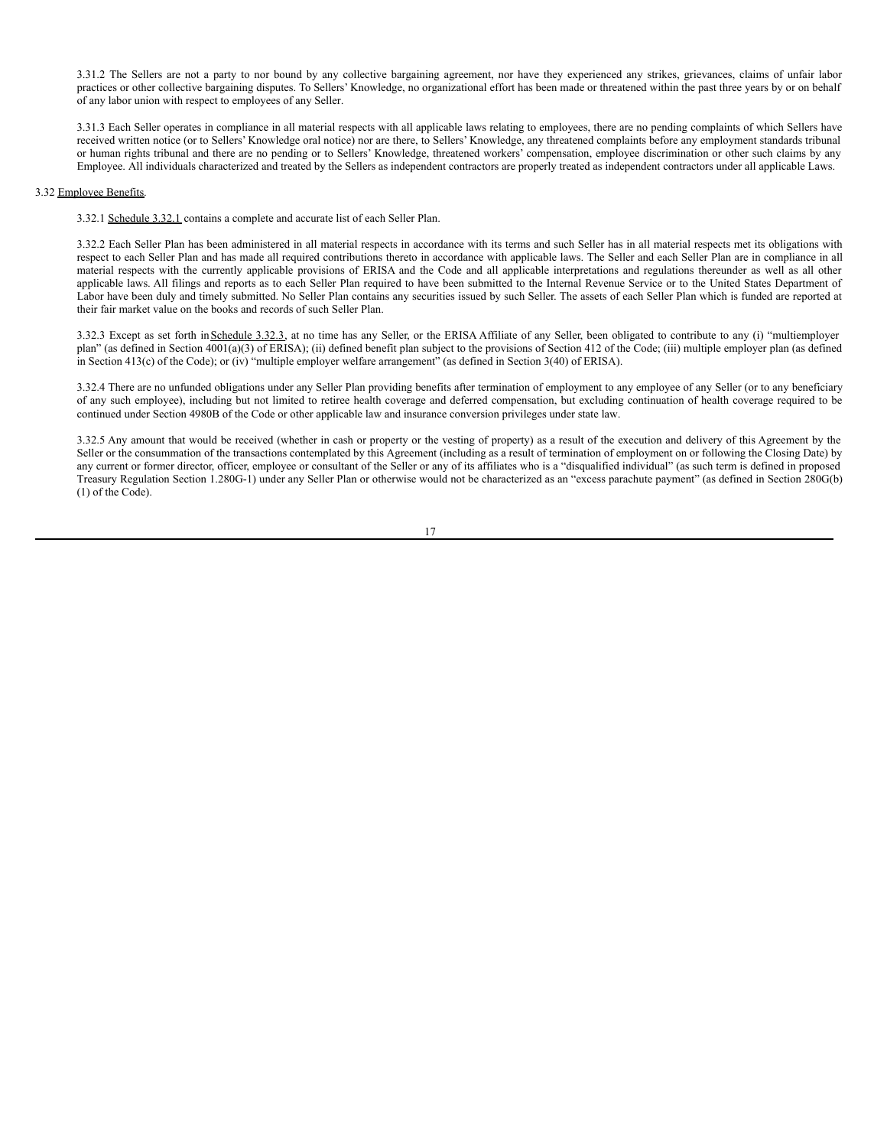3.31.2 The Sellers are not a party to nor bound by any collective bargaining agreement, nor have they experienced any strikes, grievances, claims of unfair labor practices or other collective bargaining disputes. To Sellers' Knowledge, no organizational effort has been made or threatened within the past three years by or on behalf of any labor union with respect to employees of any Seller.

3.31.3 Each Seller operates in compliance in all material respects with all applicable laws relating to employees, there are no pending complaints of which Sellers have received written notice (or to Sellers' Knowledge oral notice) nor are there, to Sellers' Knowledge, any threatened complaints before any employment standards tribunal or human rights tribunal and there are no pending or to Sellers' Knowledge, threatened workers' compensation, employee discrimination or other such claims by any Employee. All individuals characterized and treated by the Sellers as independent contractors are properly treated as independent contractors under all applicable Laws.

## 3.32 Employee Benefits.

3.32.1 Schedule 3.32.1 contains a complete and accurate list of each Seller Plan.

3.32.2 Each Seller Plan has been administered in all material respects in accordance with its terms and such Seller has in all material respects met its obligations with respect to each Seller Plan and has made all required contributions thereto in accordance with applicable laws. The Seller and each Seller Plan are in compliance in all material respects with the currently applicable provisions of ERISA and the Code and all applicable interpretations and regulations thereunder as well as all other applicable laws. All filings and reports as to each Seller Plan required to have been submitted to the Internal Revenue Service or to the United States Department of Labor have been duly and timely submitted. No Seller Plan contains any securities issued by such Seller. The assets of each Seller Plan which is funded are reported at their fair market value on the books and records of such Seller Plan.

3.32.3 Except as set forth in Schedule 3.32.3, at no time has any Seller, or the ERISA Affiliate of any Seller, been obligated to contribute to any (i) "multiemployer plan" (as defined in Section 4001(a)(3) of ERISA); (ii) defined benefit plan subject to the provisions of Section 412 of the Code; (iii) multiple employer plan (as defined in Section 413(c) of the Code); or (iv) "multiple employer welfare arrangement" (as defined in Section 3(40) of ERISA).

3.32.4 There are no unfunded obligations under any Seller Plan providing benefits after termination of employment to any employee of any Seller (or to any beneficiary of any such employee), including but not limited to retiree health coverage and deferred compensation, but excluding continuation of health coverage required to be continued under Section 4980B of the Code or other applicable law and insurance conversion privileges under state law.

3.32.5 Any amount that would be received (whether in cash or property or the vesting of property) as a result of the execution and delivery of this Agreement by the Seller or the consummation of the transactions contemplated by this Agreement (including as a result of termination of employment on or following the Closing Date) by any current or former director, officer, employee or consultant of the Seller or any of its affiliates who is a "disqualified individual" (as such term is defined in proposed Treasury Regulation Section 1.280G-1) under any Seller Plan or otherwise would not be characterized as an "excess parachute payment" (as defined in Section 280G(b) (1) of the Code).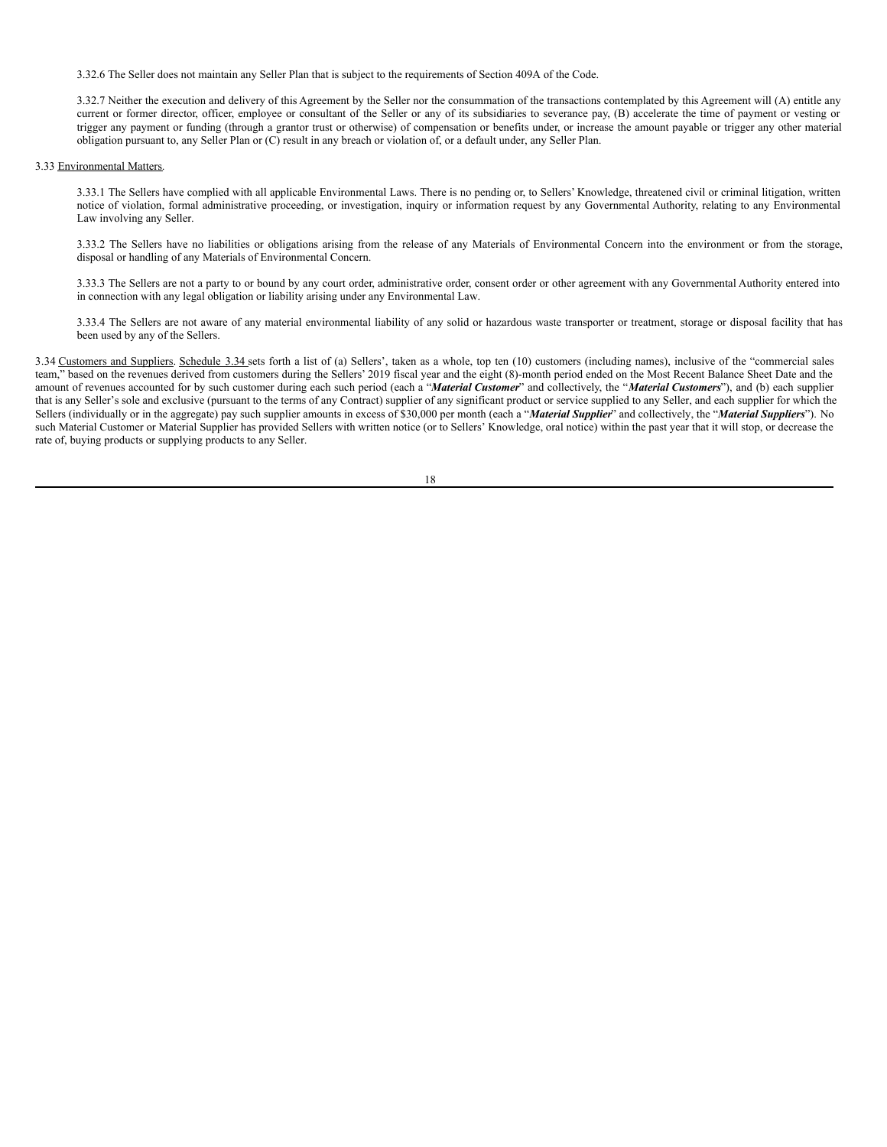3.32.6 The Seller does not maintain any Seller Plan that is subject to the requirements of Section 409A of the Code.

3.32.7 Neither the execution and delivery of this Agreement by the Seller nor the consummation of the transactions contemplated by this Agreement will (A) entitle any current or former director, officer, employee or consultant of the Seller or any of its subsidiaries to severance pay, (B) accelerate the time of payment or vesting or trigger any payment or funding (through a grantor trust or otherwise) of compensation or benefits under, or increase the amount payable or trigger any other material obligation pursuant to, any Seller Plan or (C) result in any breach or violation of, or a default under, any Seller Plan.

# 3.33 Environmental Matters.

3.33.1 The Sellers have complied with all applicable Environmental Laws. There is no pending or, to Sellers' Knowledge, threatened civil or criminal litigation, written notice of violation, formal administrative proceeding, or investigation, inquiry or information request by any Governmental Authority, relating to any Environmental Law involving any Seller.

3.33.2 The Sellers have no liabilities or obligations arising from the release of any Materials of Environmental Concern into the environment or from the storage, disposal or handling of any Materials of Environmental Concern.

3.33.3 The Sellers are not a party to or bound by any court order, administrative order, consent order or other agreement with any Governmental Authority entered into in connection with any legal obligation or liability arising under any Environmental Law.

3.33.4 The Sellers are not aware of any material environmental liability of any solid or hazardous waste transporter or treatment, storage or disposal facility that has been used by any of the Sellers.

3.34 Customers and Suppliers. Schedule 3.34 sets forth a list of (a) Sellers', taken as a whole, top ten (10) customers (including names), inclusive of the "commercial sales team," based on the revenues derived from customers during the Sellers' 2019 fiscal year and the eight (8)-month period ended on the Most Recent Balance Sheet Date and the amount of revenues accounted for by such customer during each such period (each a "*Material Customer*" and collectively, the "*Material Customers*"), and (b) each supplier that is any Seller's sole and exclusive (pursuant to the terms of any Contract) supplier of any significant product or service supplied to any Seller, and each supplier for which the Sellers (individually or in the aggregate) pay such supplier amounts in excess of \$30,000 per month (each a "*Material Supplier*" and collectively, the "*Material Suppliers*"). No such Material Customer or Material Supplier has provided Sellers with written notice (or to Sellers' Knowledge, oral notice) within the past year that it will stop, or decrease the rate of, buying products or supplying products to any Seller.

| I<br>×<br>w<br>۹ |
|------------------|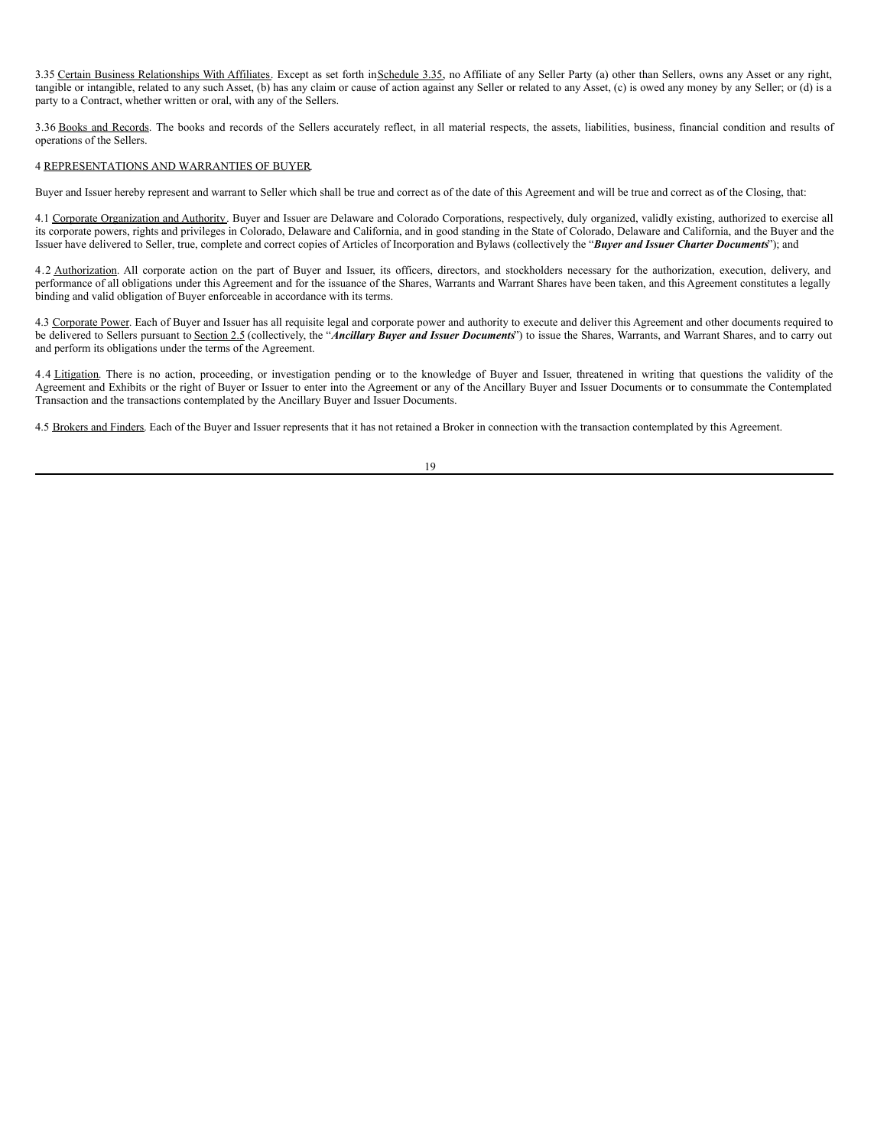3.35 Certain Business Relationships With Affiliates. Except as set forth in Schedule 3.35, no Affiliate of any Seller Party (a) other than Sellers, owns any Asset or any right, tangible or intangible, related to any such Asset, (b) has any claim or cause of action against any Seller or related to any Asset, (c) is owed any money by any Seller; or (d) is a party to a Contract, whether written or oral, with any of the Sellers.

3.36 Books and Records. The books and records of the Sellers accurately reflect, in all material respects, the assets, liabilities, business, financial condition and results of operations of the Sellers.

# 4 REPRESENTATIONS AND WARRANTIES OF BUYER.

Buyer and Issuer hereby represent and warrant to Seller which shall be true and correct as of the date of this Agreement and will be true and correct as of the Closing, that:

4.1 Corporate Organization and Authority. Buyer and Issuer are Delaware and Colorado Corporations, respectively, duly organized, validly existing, authorized to exercise all its corporate powers, rights and privileges in Colorado, Delaware and California, and in good standing in the State of Colorado, Delaware and California, and the Buyer and the Issuer have delivered to Seller, true, complete and correct copies of Articles of Incorporation and Bylaws (collectively the "*Buyer and Issuer Charter Documents*"); and

4.2 Authorization. All corporate action on the part of Buyer and Issuer, its officers, directors, and stockholders necessary for the authorization, execution, delivery, and performance of all obligations under this Agreement and for the issuance of the Shares, Warrants and Warrant Shares have been taken, and this Agreement constitutes a legally binding and valid obligation of Buyer enforceable in accordance with its terms.

4.3 Corporate Power. Each of Buyer and Issuer has all requisite legal and corporate power and authority to execute and deliver this Agreement and other documents required to be delivered to Sellers pursuant to Section 2.5 (collectively, the "*Ancillary Buyer and Issuer Documents*") to issue the Shares, Warrants, and Warrant Shares, and to carry out and perform its obligations under the terms of the Agreement.

4.4 Litigation. There is no action, proceeding, or investigation pending or to the knowledge of Buyer and Issuer, threatened in writing that questions the validity of the Agreement and Exhibits or the right of Buyer or Issuer to enter into the Agreement or any of the Ancillary Buyer and Issuer Documents or to consummate the Contemplated Transaction and the transactions contemplated by the Ancillary Buyer and Issuer Documents.

4.5 Brokers and Finders. Each of the Buyer and Issuer represents that it has not retained a Broker in connection with the transaction contemplated by this Agreement.

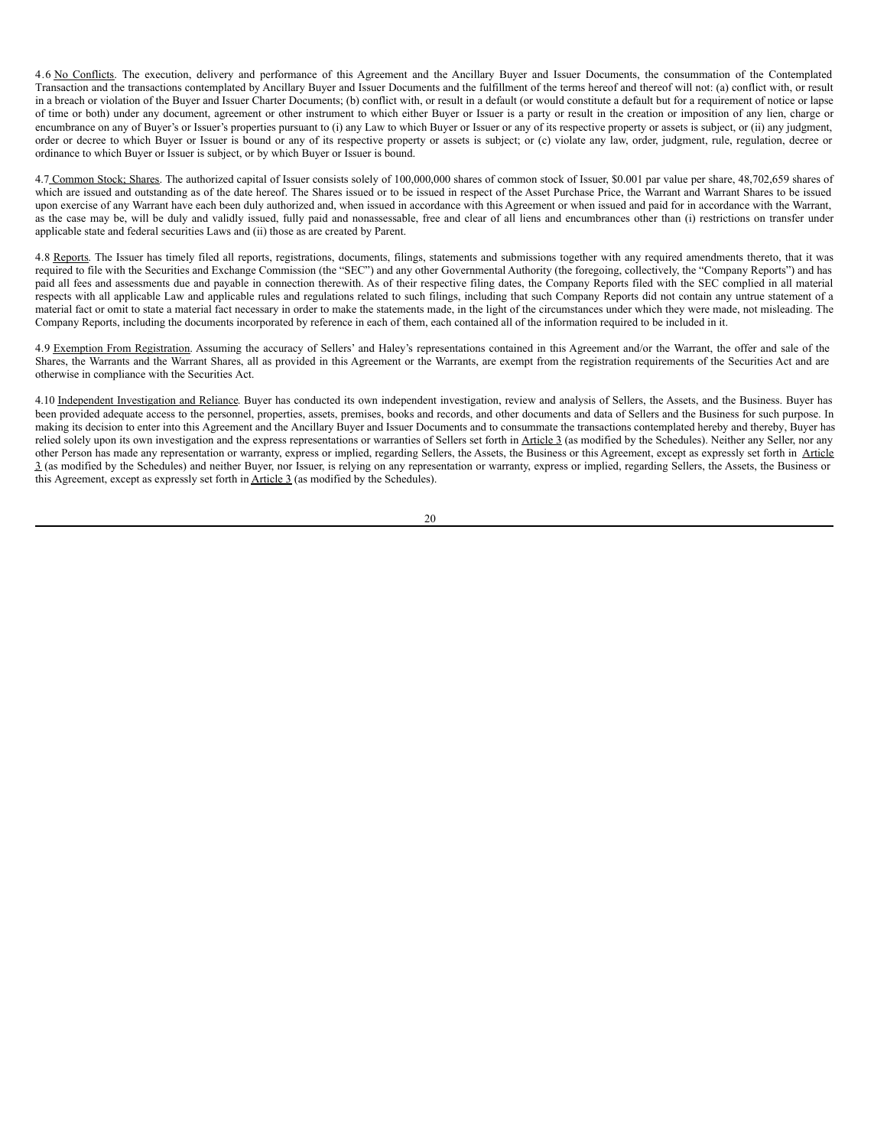4.6 No Conflicts. The execution, delivery and performance of this Agreement and the Ancillary Buyer and Issuer Documents, the consummation of the Contemplated Transaction and the transactions contemplated by Ancillary Buyer and Issuer Documents and the fulfillment of the terms hereof and thereof will not: (a) conflict with, or result in a breach or violation of the Buyer and Issuer Charter Documents; (b) conflict with, or result in a default (or would constitute a default but for a requirement of notice or lapse of time or both) under any document, agreement or other instrument to which either Buyer or Issuer is a party or result in the creation or imposition of any lien, charge or encumbrance on any of Buyer's or Issuer's properties pursuant to (i) any Law to which Buyer or Issuer or any of its respective property or assets is subject, or (ii) any judgment, order or decree to which Buyer or Issuer is bound or any of its respective property or assets is subject; or (c) violate any law, order, judgment, rule, regulation, decree or ordinance to which Buyer or Issuer is subject, or by which Buyer or Issuer is bound.

4.7 Common Stock; Shares. The authorized capital of Issuer consists solely of 100,000,000 shares of common stock of Issuer, \$0.001 par value per share, 48,702,659 shares of which are issued and outstanding as of the date hereof. The Shares issued or to be issued in respect of the Asset Purchase Price, the Warrant and Warrant Shares to be issued upon exercise of any Warrant have each been duly authorized and, when issued in accordance with this Agreement or when issued and paid for in accordance with the Warrant, as the case may be, will be duly and validly issued, fully paid and nonassessable, free and clear of all liens and encumbrances other than (i) restrictions on transfer under applicable state and federal securities Laws and (ii) those as are created by Parent.

4.8 Reports. The Issuer has timely filed all reports, registrations, documents, filings, statements and submissions together with any required amendments thereto, that it was required to file with the Securities and Exchange Commission (the "SEC") and any other Governmental Authority (the foregoing, collectively, the "Company Reports") and has paid all fees and assessments due and payable in connection therewith. As of their respective filing dates, the Company Reports filed with the SEC complied in all material respects with all applicable Law and applicable rules and regulations related to such filings, including that such Company Reports did not contain any untrue statement of a material fact or omit to state a material fact necessary in order to make the statements made, in the light of the circumstances under which they were made, not misleading. The Company Reports, including the documents incorporated by reference in each of them, each contained all of the information required to be included in it.

4.9 Exemption From Registration. Assuming the accuracy of Sellers' and Haley's representations contained in this Agreement and/or the Warrant, the offer and sale of the Shares, the Warrants and the Warrant Shares, all as provided in this Agreement or the Warrants, are exempt from the registration requirements of the Securities Act and are otherwise in compliance with the Securities Act.

4.10 Independent Investigation and Reliance. Buyer has conducted its own independent investigation, review and analysis of Sellers, the Assets, and the Business. Buyer has been provided adequate access to the personnel, properties, assets, premises, books and records, and other documents and data of Sellers and the Business for such purpose. In making its decision to enter into this Agreement and the Ancillary Buyer and Issuer Documents and to consummate the transactions contemplated hereby and thereby, Buyer has relied solely upon its own investigation and the express representations or warranties of Sellers set forth in Article 3 (as modified by the Schedules). Neither any Seller, nor any other Person has made any representation or warranty, express or implied, regarding Sellers, the Assets, the Business or this Agreement, except as expressly set forth in Article 3 (as modified by the Schedules) and neither Buyer, nor Issuer, is relying on any representation or warranty, express or implied, regarding Sellers, the Assets, the Business or this Agreement, except as expressly set forth in Article 3 (as modified by the Schedules).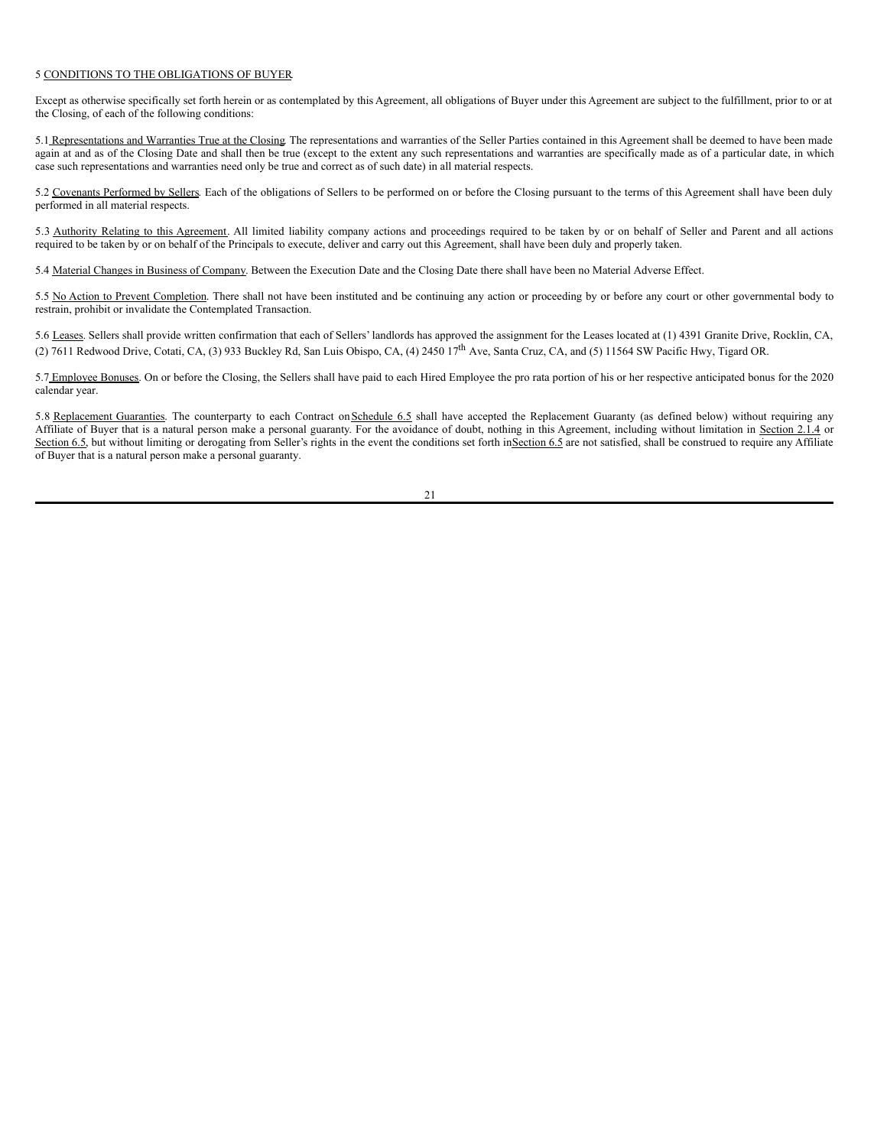#### 5 CONDITIONS TO THE OBLIGATIONS OF BUYER.

Except as otherwise specifically set forth herein or as contemplated by this Agreement, all obligations of Buyer under this Agreement are subject to the fulfillment, prior to or at the Closing, of each of the following conditions:

5.1 Representations and Warranties True at the Closing. The representations and warranties of the Seller Parties contained in this Agreement shall be deemed to have been made again at and as of the Closing Date and shall then be true (except to the extent any such representations and warranties are specifically made as of a particular date, in which case such representations and warranties need only be true and correct as of such date) in all material respects.

5.2 Covenants Performed by Sellers. Each of the obligations of Sellers to be performed on or before the Closing pursuant to the terms of this Agreement shall have been duly performed in all material respects.

5.3 Authority Relating to this Agreement. All limited liability company actions and proceedings required to be taken by or on behalf of Seller and Parent and all actions required to be taken by or on behalf of the Principals to execute, deliver and carry out this Agreement, shall have been duly and properly taken.

5.4 Material Changes in Business of Company. Between the Execution Date and the Closing Date there shall have been no Material Adverse Effect.

5.5 No Action to Prevent Completion. There shall not have been instituted and be continuing any action or proceeding by or before any court or other governmental body to restrain, prohibit or invalidate the Contemplated Transaction.

5.6 Leases. Sellers shall provide written confirmation that each of Sellers' landlords has approved the assignment for the Leases located at (1) 4391 Granite Drive, Rocklin, CA, (2) 7611 Redwood Drive, Cotati, CA, (3) 933 Buckley Rd, San Luis Obispo, CA, (4) 2450  $17<sup>th</sup>$  Ave, Santa Cruz, CA, and (5) 11564 SW Pacific Hwy, Tigard OR.

5.7 Employee Bonuses. On or before the Closing, the Sellers shall have paid to each Hired Employee the pro rata portion of his or her respective anticipated bonus for the 2020 calendar year.

5.8 Replacement Guaranties. The counterparty to each Contract on Schedule 6.5 shall have accepted the Replacement Guaranty (as defined below) without requiring any Affiliate of Buyer that is a natural person make a personal guaranty. For the avoidance of doubt, nothing in this Agreement, including without limitation in Section 2.1.4 or Section 6.5, but without limiting or derogating from Seller's rights in the event the conditions set forth in Section 6.5 are not satisfied, shall be construed to require any Affiliate of Buyer that is a natural person make a personal guaranty.

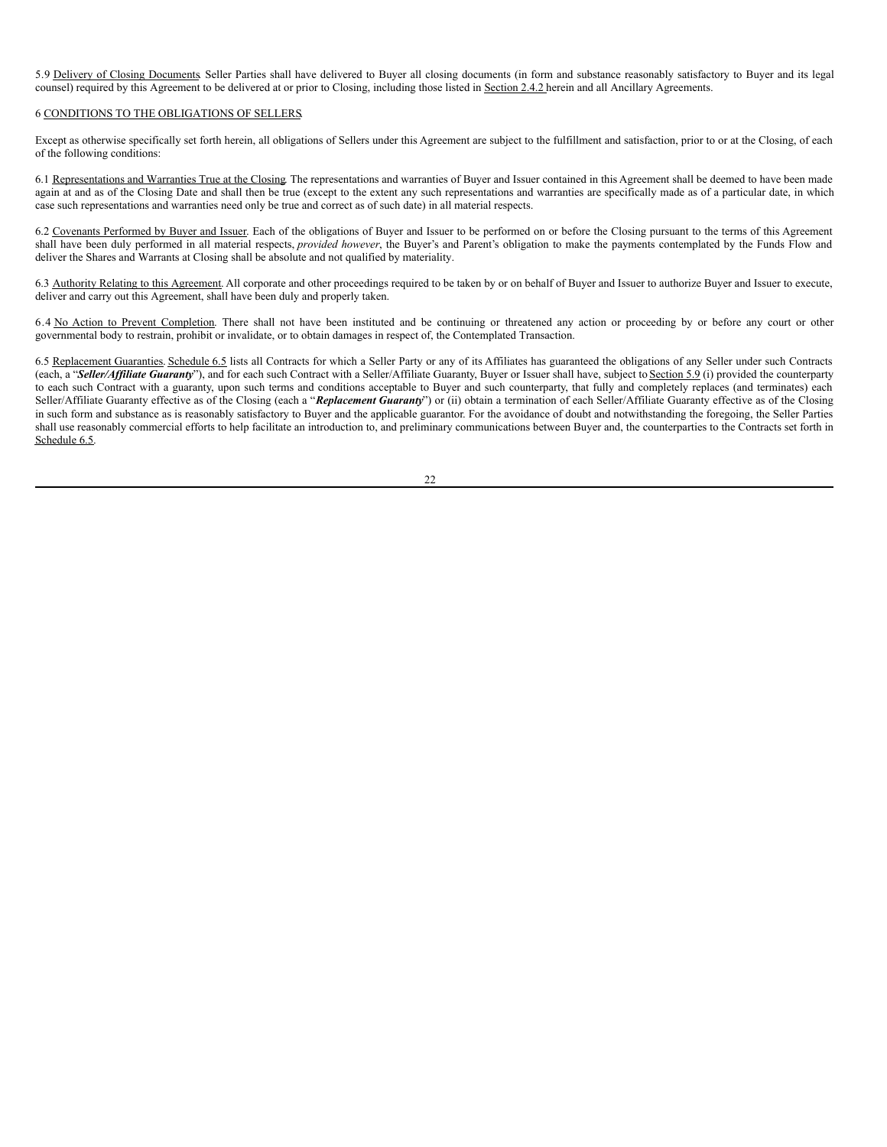5.9 Delivery of Closing Documents. Seller Parties shall have delivered to Buyer all closing documents (in form and substance reasonably satisfactory to Buyer and its legal counsel) required by this Agreement to be delivered at or prior to Closing, including those listed in Section 2.4.2 herein and all Ancillary Agreements.

#### 6 CONDITIONS TO THE OBLIGATIONS OF SELLERS.

Except as otherwise specifically set forth herein, all obligations of Sellers under this Agreement are subject to the fulfillment and satisfaction, prior to or at the Closing, of each of the following conditions:

6.1 Representations and Warranties True at the Closing. The representations and warranties of Buyer and Issuer contained in this Agreement shall be deemed to have been made again at and as of the Closing Date and shall then be true (except to the extent any such representations and warranties are specifically made as of a particular date, in which case such representations and warranties need only be true and correct as of such date) in all material respects.

6.2 Covenants Performed by Buyer and Issuer. Each of the obligations of Buyer and Issuer to be performed on or before the Closing pursuant to the terms of this Agreement shall have been duly performed in all material respects, *provided however*, the Buyer's and Parent's obligation to make the payments contemplated by the Funds Flow and deliver the Shares and Warrants at Closing shall be absolute and not qualified by materiality.

6.3 Authority Relating to this Agreement. All corporate and other proceedings required to be taken by or on behalf of Buyer and Issuer to authorize Buyer and Issuer to execute, deliver and carry out this Agreement, shall have been duly and properly taken.

6.4 No Action to Prevent Completion. There shall not have been instituted and be continuing or threatened any action or proceeding by or before any court or other governmental body to restrain, prohibit or invalidate, or to obtain damages in respect of, the Contemplated Transaction.

6.5 Replacement Guaranties. Schedule 6.5 lists all Contracts for which a Seller Party or any of its Affiliates has guaranteed the obligations of any Seller under such Contracts (each, a "*Seller/Affiliate Guaranty*"), and for each such Contract with a Seller/Affiliate Guaranty, Buyer or Issuer shall have, subject to Section 5.9 (i) provided the counterparty to each such Contract with a guaranty, upon such terms and conditions acceptable to Buyer and such counterparty, that fully and completely replaces (and terminates) each Seller/Affiliate Guaranty effective as of the Closing (each a "*Replacement Guaranty*") or (ii) obtain a termination of each Seller/Affiliate Guaranty effective as of the Closing in such form and substance as is reasonably satisfactory to Buyer and the applicable guarantor. For the avoidance of doubt and notwithstanding the foregoing, the Seller Parties shall use reasonably commercial efforts to help facilitate an introduction to, and preliminary communications between Buyer and, the counterparties to the Contracts set forth in Schedule 6.5.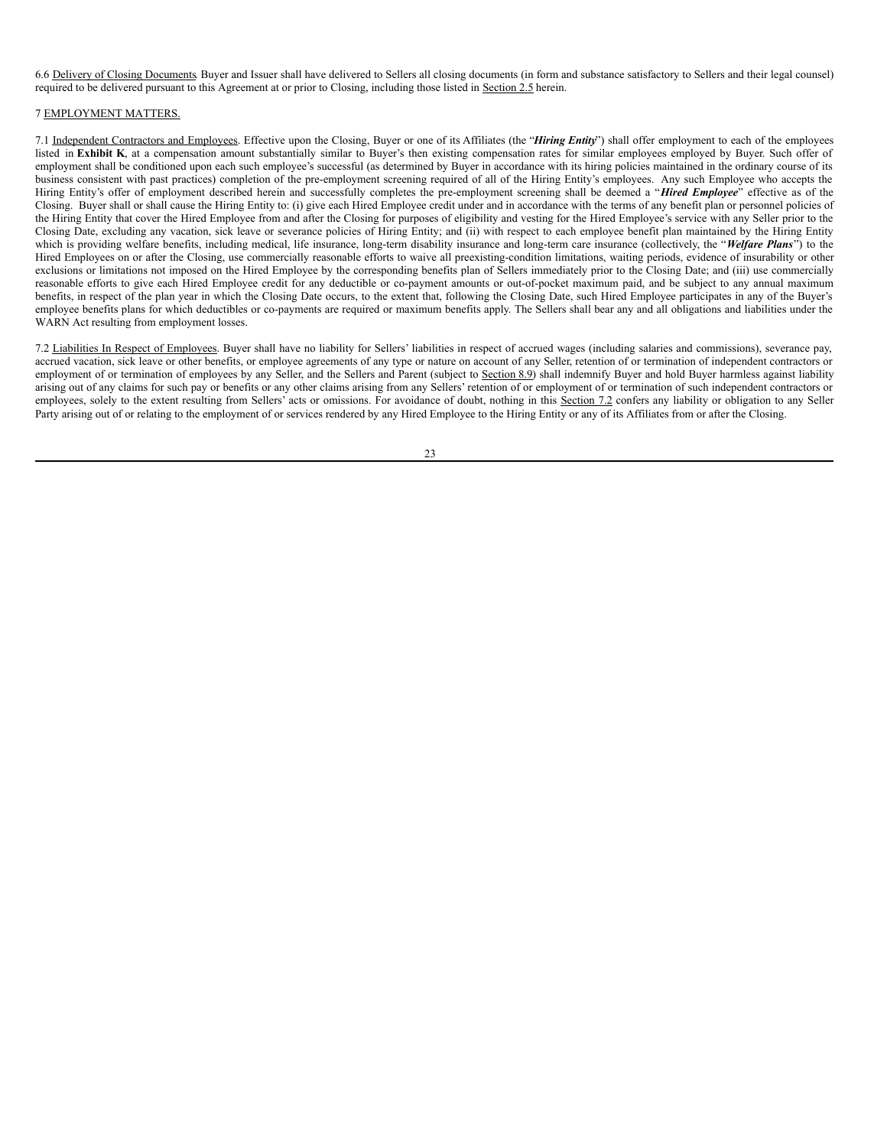6.6 Delivery of Closing Documents. Buyer and Issuer shall have delivered to Sellers all closing documents (in form and substance satisfactory to Sellers and their legal counsel) required to be delivered pursuant to this Agreement at or prior to Closing, including those listed in Section 2.5 herein.

#### 7 EMPLOYMENT MATTERS.

7.1 Independent Contractors and Employees. Effective upon the Closing, Buyer or one of its Affiliates (the "*Hiring Entity*") shall offer employment to each of the employees listed in Exhibit K, at a compensation amount substantially similar to Buyer's then existing compensation rates for similar employees employee by Buyer. Such offer of employment shall be conditioned upon each such employee's successful (as determined by Buyer in accordance with its hiring policies maintained in the ordinary course of its business consistent with past practices) completion of the pre-employment screening required of all of the Hiring Entity's employees. Any such Employee who accepts the Hiring Entity's offer of employment described herein and successfully completes the pre-employment screening shall be deemed a "*Hired Employee*" effective as of the Closing. Buyer shall or shall cause the Hiring Entity to: (i) give each Hired Employee credit under and in accordance with the terms of any benefit plan or personnel policies of the Hiring Entity that cover the Hired Employee from and after the Closing for purposes of eligibility and vesting for the Hired Employee's service with any Seller prior to the Closing Date, excluding any vacation, sick leave or severance policies of Hiring Entity; and (ii) with respect to each employee benefit plan maintained by the Hiring Entity which is providing welfare benefits, including medical, life insurance, long-term disability insurance and long-term care insurance (collectively, the "*Welfare Plans*") to the Hired Employees on or after the Closing, use commercially reasonable efforts to waive all preexisting-condition limitations, waiting periods, evidence of insurability or other exclusions or limitations not imposed on the Hired Employee by the corresponding benefits plan of Sellers immediately prior to the Closing Date; and (iii) use commercially reasonable efforts to give each Hired Employee credit for any deductible or co-payment amounts or out-of-pocket maximum paid, and be subject to any annual maximum benefits, in respect of the plan year in which the Closing Date occurs, to the extent that, following the Closing Date, such Hired Employee participates in any of the Buyer's employee benefits plans for which deductibles or co-payments are required or maximum benefits apply. The Sellers shall bear any and all obligations and liabilities under the WARN Act resulting from employment losses.

7.2 Liabilities In Respect of Employees. Buyer shall have no liability for Sellers' liabilities in respect of accrued wages (including salaries and commissions), severance pay, accrued vacation, sick leave or other benefits, or employee agreements of any type or nature on account of any Seller, retention of or termination of independent contractors or employment of or termination of employees by any Seller, and the Sellers and Parent (subject to Section 8.9) shall indemnify Buyer and hold Buyer harmless against liability arising out of any claims for such pay or benefits or any other claims arising from any Sellers' retention of or employment of or termination of such independent contractors or employees, solely to the extent resulting from Sellers' acts or omissions. For avoidance of doubt, nothing in this Section 7.2 confers any liability or obligation to any Seller Party arising out of or relating to the employment of or services rendered by any Hired Employee to the Hiring Entity or any of its Affiliates from or after the Closing.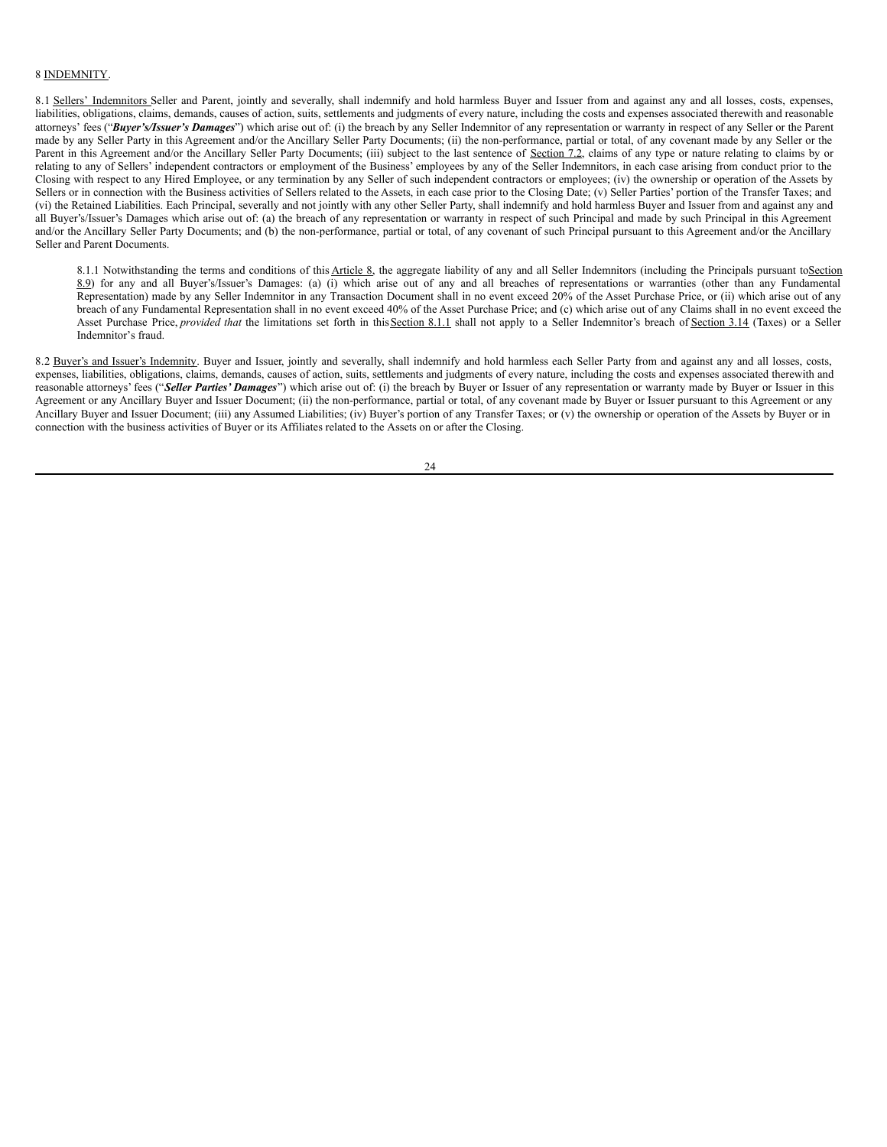## 8 INDEMNITY.

8.1 Sellers' Indemnitors Seller and Parent, jointly and severally, shall indemnify and hold harmless Buyer and Issuer from and against any and all losses, costs, expenses, liabilities, obligations, claims, demands, causes of action, suits, settlements and judgments of every nature, including the costs and expenses associated therewith and reasonable attorneys' fees ("*Buyer's/Issuer's Damages*") which arise out of: (i) the breach by any Seller Indemnitor of any representation or warranty in respect of any Seller or the Parent made by any Seller Party in this Agreement and/or the Ancillary Seller Party Documents; (ii) the non-performance, partial or total, of any covenant made by any Seller or the Parent in this Agreement and/or the Ancillary Seller Party Documents; (iii) subject to the last sentence of Section 7.2, claims of any type or nature relating to claims by or relating to any of Sellers' independent contractors or employment of the Business' employees by any of the Seller Indemnitors, in each case arising from conduct prior to the Closing with respect to any Hired Employee, or any termination by any Seller of such independent contractors or employees; (iv) the ownership or operation of the Assets by Sellers or in connection with the Business activities of Sellers related to the Assets, in each case prior to the Closing Date; (v) Seller Parties' portion of the Transfer Taxes; and (vi) the Retained Liabilities. Each Principal, severally and not jointly with any other Seller Party, shall indemnify and hold harmless Buyer and Issuer from and against any and all Buyer's/Issuer's Damages which arise out of: (a) the breach of any representation or warranty in respect of such Principal and made by such Principal in this Agreement and/or the Ancillary Seller Party Documents; and (b) the non-performance, partial or total, of any covenant of such Principal pursuant to this Agreement and/or the Ancillary Seller and Parent Documents.

8.1.1 Notwithstanding the terms and conditions of this Article 8, the aggregate liability of any and all Seller Indemnitors (including the Principals pursuant toSection 8.9) for any and all Buyer's/Issuer's Damages: (a) (i) which arise out of any and all breaches of representations or warranties (other than any Fundamental  $\overline{\text{Representation}}$ ) made by any Seller Indemnitor in any Transaction Document shall in no event exceed 20% of the Asset Purchase Price, or (ii) which arise out of any breach of any Fundamental Representation shall in no event exceed 40% of the Asset Purchase Price; and (c) which arise out of any Claims shall in no event exceed the Asset Purchase Price, *provided that* the limitations set forth in thisSection 8.1.1 shall not apply to a Seller Indemnitor's breach of Section 3.14 (Taxes) or a Seller Indemnitor's fraud.

8.2 Buyer's and Issuer's Indemnity. Buyer and Issuer, jointly and severally, shall indemnify and hold harmless each Seller Party from and against any and all losses, costs, expenses, liabilities, obligations, claims, demands, causes of action, suits, settlements and judgments of every nature, including the costs and expenses associated therewith and reasonable attorneys' fees ("*Seller Parties' Damages*") which arise out of: (i) the breach by Buyer or Issuer of any representation or warranty made by Buyer or Issuer in this Agreement or any Ancillary Buyer and Issuer Document; (ii) the non-performance, partial or total, of any covenant made by Buyer or Issuer pursuant to this Agreement or any Ancillary Buyer and Issuer Document; (iii) any Assumed Liabilities; (iv) Buyer's portion of any Transfer Taxes; or (v) the ownership or operation of the Assets by Buyer or in connection with the business activities of Buyer or its Affiliates related to the Assets on or after the Closing.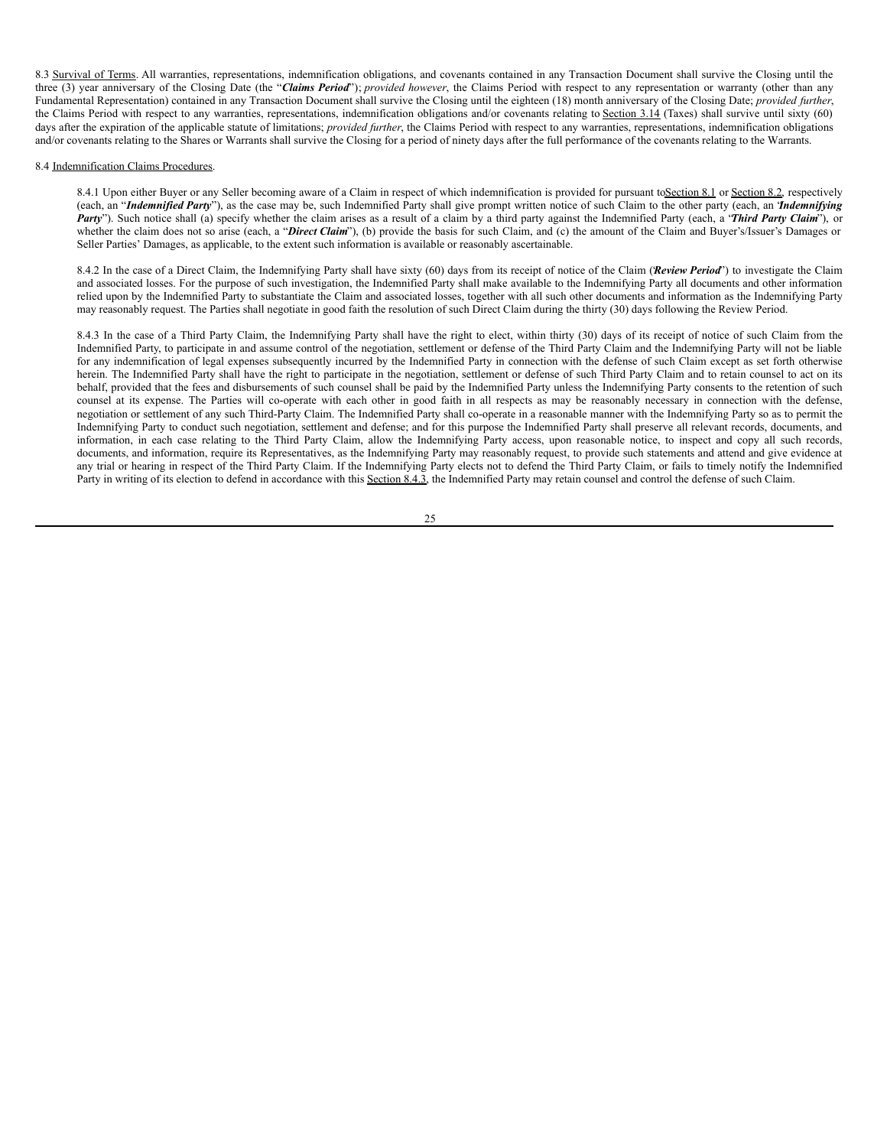8.3 Survival of Terms. All warranties, representations, indemnification obligations, and covenants contained in any Transaction Document shall survive the Closing until the three (3) year anniversary of the Closing Date (the "*Claims Period*"); *provided however*, the Claims Period with respect to any representation or warranty (other than any Fundamental Representation) contained in any Transaction Document shall survive the Closing until the eighteen (18) month anniversary of the Closing Date; *provided further*, the Claims Period with respect to any warranties, representations, indemnification obligations and/or covenants relating to Section 3.14 (Taxes) shall survive until sixty (60) days after the expiration of the applicable statute of limitations; *provided further*, the Claims Period with respect to any warranties, representations, indemnification obligations and/or covenants relating to the Shares or Warrants shall survive the Closing for a period of ninety days after the full performance of the covenants relating to the Warrants.

#### 8.4 Indemnification Claims Procedures.

8.4.1 Upon either Buyer or any Seller becoming aware of a Claim in respect of which indemnification is provided for pursuant toSection 8.1 or Section 8.2, respectively (each, an "*Indemnified Party*"), as the case may be, such Indemnified Party shall give prompt written notice of such Claim to the other party (each, an "*Indemnifying Party*"). Such notice shall (a) specify whether the claim arises as a result of a claim by a third party against the Indemnified Party (each, a "*Third Party Claim*"), or whether the claim does not so arise (each, a "*Direct Claim*"), (b) provide the basis for such Claim, and (c) the amount of the Claim and Buyer's/Issuer's Damages or Seller Parties' Damages, as applicable, to the extent such information is available or reasonably ascertainable.

8.4.2 In the case of a Direct Claim, the Indemnifying Party shall have sixty (60) days from its receipt of notice of the Claim (*Review Period*') to investigate the Claim and associated losses. For the purpose of such investigation, the Indemnified Party shall make available to the Indemnifying Party all documents and other information relied upon by the Indemnified Party to substantiate the Claim and associated losses, together with all such other documents and information as the Indemnifying Party may reasonably request. The Parties shall negotiate in good faith the resolution of such Direct Claim during the thirty (30) days following the Review Period.

8.4.3 In the case of a Third Party Claim, the Indemnifying Party shall have the right to elect, within thirty (30) days of its receipt of notice of such Claim from the Indemnified Party, to participate in and assume control of the negotiation, settlement or defense of the Third Party Claim and the Indemnifying Party will not be liable for any indemnification of legal expenses subsequently incurred by the Indemnified Party in connection with the defense of such Claim except as set forth otherwise herein. The Indemnified Party shall have the right to participate in the negotiation, settlement or defense of such Third Party Claim and to retain counsel to act on its behalf, provided that the fees and disbursements of such counsel shall be paid by the Indemnified Party unless the Indemnifying Party consents to the retention of such counsel at its expense. The Parties will co-operate with each other in good faith in all respects as may be reasonably necessary in connection with the defense, negotiation or settlement of any such Third-Party Claim. The Indemnified Party shall co-operate in a reasonable manner with the Indemnifying Party so as to permit the Indemnifying Party to conduct such negotiation, settlement and defense; and for this purpose the Indemnified Party shall preserve all relevant records, documents, and information, in each case relating to the Third Party Claim, allow the Indemnifying Party access, upon reasonable notice, to inspect and copy all such records, documents, and information, require its Representatives, as the Indemnifying Party may reasonably request, to provide such statements and attend and give evidence at any trial or hearing in respect of the Third Party Claim. If the Indemnifying Party elects not to defend the Third Party Claim, or fails to timely notify the Indemnified Party in writing of its election to defend in accordance with this Section 8.4.3, the Indemnified Party may retain counsel and control the defense of such Claim.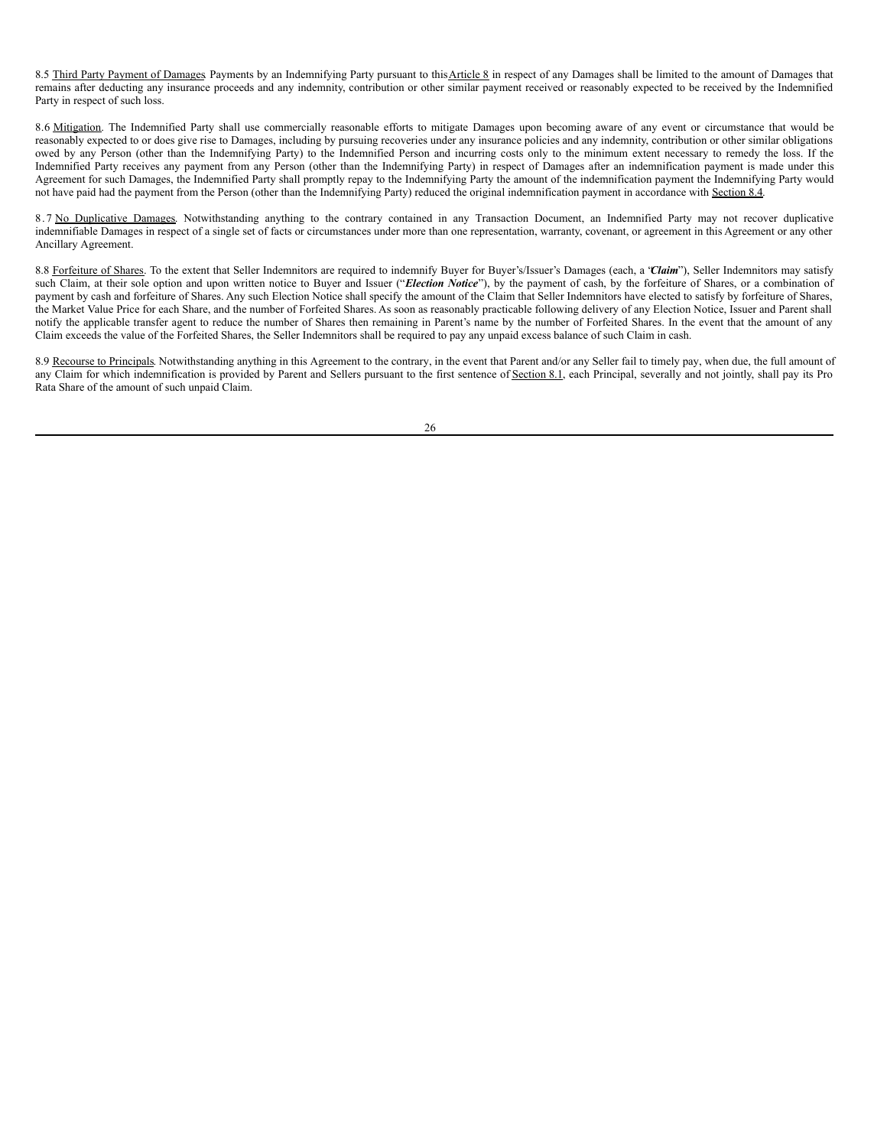8.5 Third Party Payment of Damages Payments by an Indemnifying Party pursuant to this Article 8 in respect of any Damages shall be limited to the amount of Damages that remains after deducting any insurance proceeds and any indemnity, contribution or other similar payment received or reasonably expected to be received by the Indemnified Party in respect of such loss.

8.6 Mitigation. The Indemnified Party shall use commercially reasonable efforts to mitigate Damages upon becoming aware of any event or circumstance that would be reasonably expected to or does give rise to Damages, including by pursuing recoveries under any insurance policies and any indemnity, contribution or other similar obligations owed by any Person (other than the Indemnifying Party) to the Indemnified Person and incurring costs only to the minimum extent necessary to remedy the loss. If the Indemnified Party receives any payment from any Person (other than the Indemnifying Party) in respect of Damages after an indemnification payment is made under this Agreement for such Damages, the Indemnified Party shall promptly repay to the Indemnifying Party the amount of the indemnification payment the Indemnifying Party would not have paid had the payment from the Person (other than the Indemnifying Party) reduced the original indemnification payment in accordance with Section 8.4.

8.7 No Duplicative Damages. Notwithstanding anything to the contrary contained in any Transaction Document, an Indemnified Party may not recover duplicative indemnifiable Damages in respect of a single set of facts or circumstances under more than one representation, warranty, covenant, or agreement in this Agreement or any other Ancillary Agreement.

8.8 Forfeiture of Shares. To the extent that Seller Indemnitors are required to indemnify Buyer for Buyer's/Issuer's Damages (each, a 'Claim'), Seller Indemnitors may satisfy such Claim, at their sole option and upon written notice to Buyer and Issuer ("*Election Notice*"), by the payment of cash, by the forfeiture of Shares, or a combination of payment by cash and forfeiture of Shares. Any such Election Notice shall specify the amount of the Claim that Seller Indemnitors have elected to satisfy by forfeiture of Shares, the Market Value Price for each Share, and the number of Forfeited Shares. As soon as reasonably practicable following delivery of any Election Notice, Issuer and Parent shall notify the applicable transfer agent to reduce the number of Shares then remaining in Parent's name by the number of Forfeited Shares. In the event that the amount of any Claim exceeds the value of the Forfeited Shares, the Seller Indemnitors shall be required to pay any unpaid excess balance of such Claim in cash.

8.9 Recourse to Principals. Notwithstanding anything in this Agreement to the contrary, in the event that Parent and/or any Seller fail to timely pay, when due, the full amount of any Claim for which indemnification is provided by Parent and Sellers pursuant to the first sentence of Section 8.1, each Principal, severally and not jointly, shall pay its Pro Rata Share of the amount of such unpaid Claim.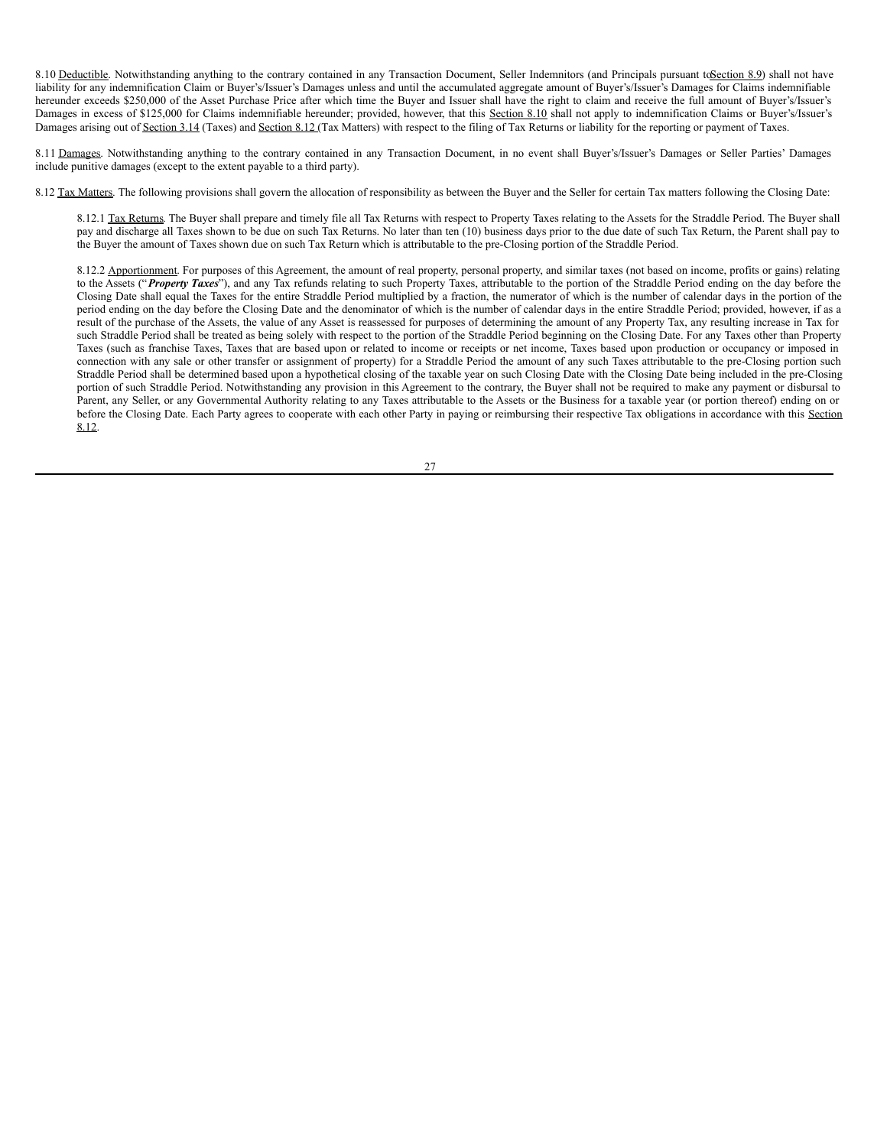<span id="page-34-0"></span>8.10 Deductible. Notwithstanding anything to the contrary contained in any Transaction Document, Seller Indemnitors (and Principals pursuant toSection 8.9) shall not have liability for any indemnification Claim or Buyer's/Issuer's Damages unless and until the accumulated aggregate amount of Buyer's/Issuer's Damages for Claims indemnifiable hereunder exceeds \$250,000 of the Asset Purchase Price after which time the Buyer and Issuer shall have the right to claim and receive the full amount of Buyer's/Issuer's Damages in excess of \$125,000 for Claims indemnifiable hereunder; provided, however, that this Section 8.10 shall not apply to indemnification Claims or Buyer's/Issuer's Damages arising out of Section 3.14 (Taxes) and Section 8.12 (Tax Matters) with respect to the filing of Tax Returns or liability for the reporting or payment of Taxes.

8.11 Damages. Notwithstanding anything to the contrary contained in any Transaction Document, in no event shall Buyer's/Issuer's Damages or Seller Parties' Damages include punitive damages (except to the extent payable to a third party).

8.12 Tax Matters. The following provisions shall govern the allocation of responsibility as between the Buyer and the Seller for certain Tax matters following the Closing Date:

8.12.1 Tax Returns. The Buyer shall prepare and timely file all Tax Returns with respect to Property Taxes relating to the Assets for the Straddle Period. The Buyer shall pay and discharge all Taxes shown to be due on such Tax Returns. No later than ten (10) business days prior to the due date of such Tax Return, the Parent shall pay to the Buyer the amount of Taxes shown due on such Tax Return which is attributable to the pre-Closing portion of the Straddle Period.

8.12.2 Apportionment. For purposes of this Agreement, the amount of real property, personal property, and similar taxes (not based on income, profits or gains) relating to the Assets ("*Property Taxes*"), and any Tax refunds relating to such Property Taxes, attributable to the portion of the Straddle Period ending on the day before the Closing Date shall equal the Taxes for the entire Straddle Period multiplied by a fraction, the numerator of which is the number of calendar days in the portion of the period ending on the day before the Closing Date and the denominator of which is the number of calendar days in the entire Straddle Period; provided, however, if as a result of the purchase of the Assets, the value of any Asset is reassessed for purposes of determining the amount of any Property Tax, any resulting increase in Tax for such Straddle Period shall be treated as being solely with respect to the portion of the Straddle Period beginning on the Closing Date. For any Taxes other than Property Taxes (such as franchise Taxes, Taxes that are based upon or related to income or receipts or net income, Taxes based upon production or occupancy or imposed in connection with any sale or other transfer or assignment of property) for a Straddle Period the amount of any such Taxes attributable to the pre-Closing portion such Straddle Period shall be determined based upon a hypothetical closing of the taxable year on such Closing Date with the Closing Date being included in the pre-Closing portion of such Straddle Period. Notwithstanding any provision in this Agreement to the contrary, the Buyer shall not be required to make any payment or disbursal to Parent, any Seller, or any Governmental Authority relating to any Taxes attributable to the Assets or the Business for a taxable year (or portion thereof) ending on or before the Closing Date. Each Party agrees to cooperate with each other Party in paying or reimbursing their respective Tax obligations in accordance with this Section 8.12.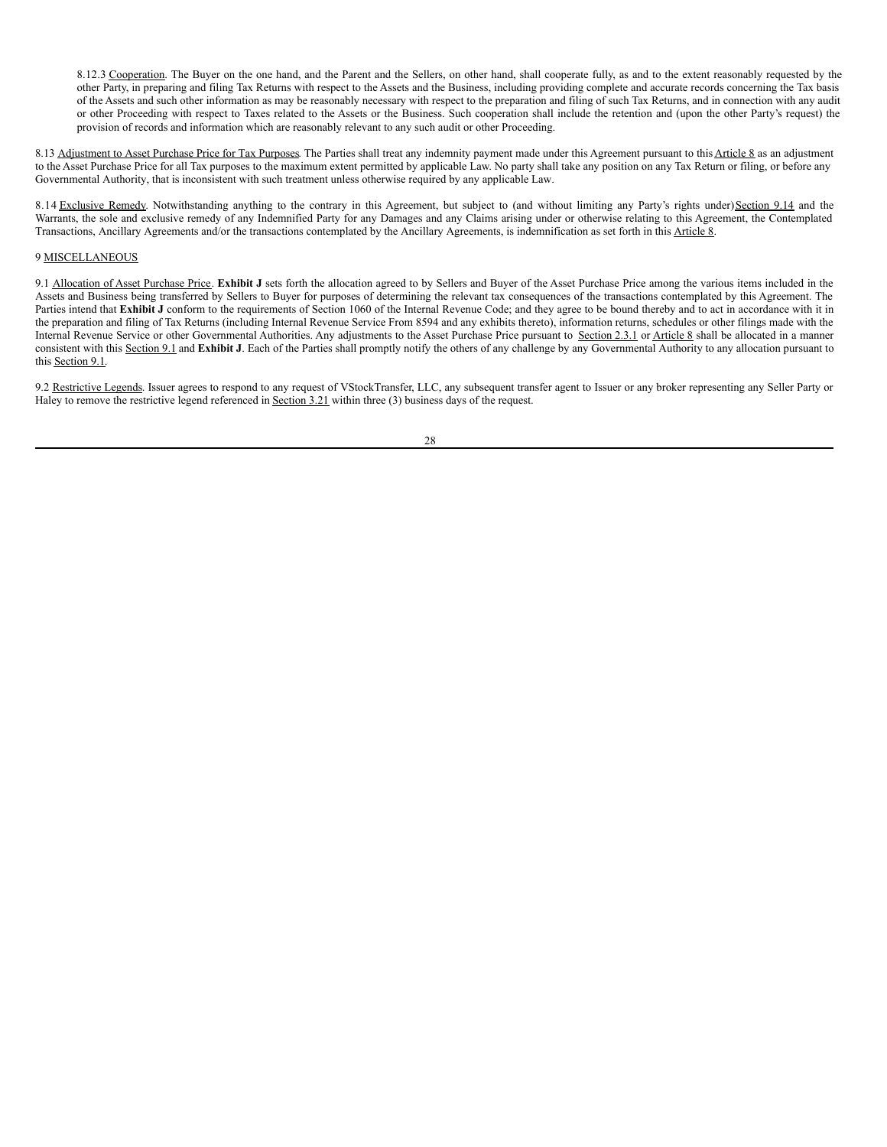8.12.3 Cooperation. The Buyer on the one hand, and the Parent and the Sellers, on other hand, shall cooperate fully, as and to the extent reasonably requested by the other Party, in preparing and filing Tax Returns with respect to the Assets and the Business, including providing complete and accurate records concerning the Tax basis of the Assets and such other information as may be reasonably necessary with respect to the preparation and filing of such Tax Returns, and in connection with any audit or other Proceeding with respect to Taxes related to the Assets or the Business. Such cooperation shall include the retention and (upon the other Party's request) the provision of records and information which are reasonably relevant to any such audit or other Proceeding.

8.13 Adjustment to Asset Purchase Price for Tax Purposes. The Parties shall treat any indemnity payment made under this Agreement pursuant to this Article 8 as an adjustment to the Asset Purchase Price for all Tax purposes to the maximum extent permitted by applicable Law. No party shall take any position on any Tax Return or filing, or before any Governmental Authority, that is inconsistent with such treatment unless otherwise required by any applicable Law.

8.14 Exclusive Remedy. Notwithstanding anything to the contrary in this Agreement, but subject to (and without limiting any Party's rights under) Section 9.14 and the Warrants, the sole and exclusive remedy of any Indemnified Party for any Damages and any Claims arising under or otherwise relating to this Agreement, the Contemplated Transactions, Ancillary Agreements and/or the transactions contemplated by the Ancillary Agreements, is indemnification as set forth in this Article 8.

# 9 MISCELLANEOUS

9.1 Allocation of Asset Purchase Price. **Exhibit J** sets forth the allocation agreed to by Sellers and Buyer of the Asset Purchase Price among the various items included in the Assets and Business being transferred by Sellers to Buyer for purposes of determining the relevant tax consequences of the transactions contemplated by this Agreement. The Parties intend that **Exhibit J** conform to the requirements of Section 1060 of the Internal Revenue Code; and they agree to be bound thereby and to act in accordance with it in the preparation and filing of Tax Returns (including Internal Revenue Service From 8594 and any exhibits thereto), information returns, schedules or other filings made with the Internal Revenue Service or other Governmental Authorities. Any adjustments to the Asset Purchase Price pursuant to Section 2.3.1 or Article 8 shall be allocated in a manner consistent with this Section 9.1 and **Exhibit J**. Each of the Parties shall promptly notify the others of any challenge by any Governmental Authority to any allocation pursuant to this Section 9.1.

9.2 Restrictive Legends. Issuer agrees to respond to any request of VStockTransfer, LLC, any subsequent transfer agent to Issuer or any broker representing any Seller Party or Haley to remove the restrictive legend referenced in Section 3.21 within three (3) business days of the request.

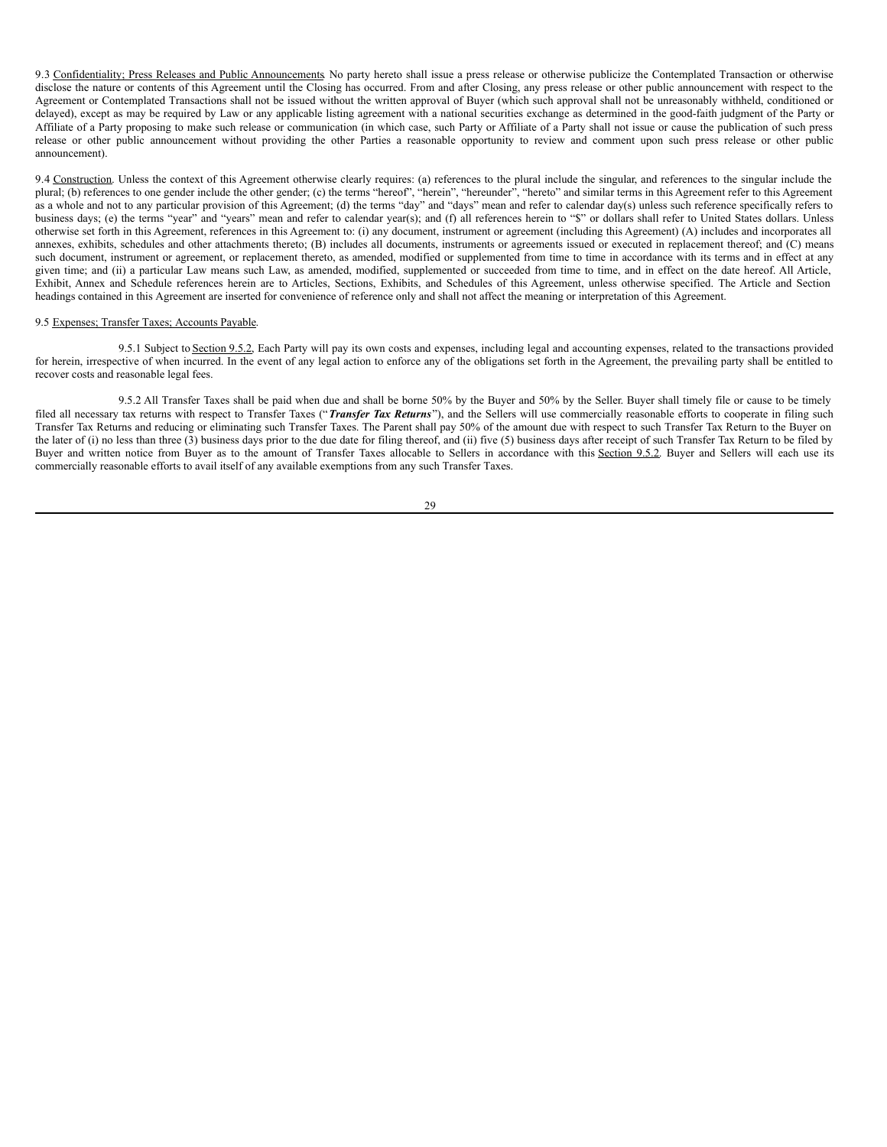9.3 Confidentiality; Press Releases and Public Announcements. No party hereto shall issue a press release or otherwise publicize the Contemplated Transaction or otherwise disclose the nature or contents of this Agreement until the Closing has occurred. From and after Closing, any press release or other public announcement with respect to the Agreement or Contemplated Transactions shall not be issued without the written approval of Buyer (which such approval shall not be unreasonably withheld, conditioned or delayed), except as may be required by Law or any applicable listing agreement with a national securities exchange as determined in the good-faith judgment of the Party or Affiliate of a Party proposing to make such release or communication (in which case, such Party or Affiliate of a Party shall not issue or cause the publication of such press release or other public announcement without providing the other Parties a reasonable opportunity to review and comment upon such press release or other public announcement).

9.4 Construction. Unless the context of this Agreement otherwise clearly requires: (a) references to the plural include the singular, and references to the singular include the plural; (b) references to one gender include the other gender; (c) the terms "hereof", "herein", "hereunder", "hereto" and similar terms in this Agreement refer to this Agreement as a whole and not to any particular provision of this Agreement; (d) the terms "day" and "days" mean and refer to calendar day(s) unless such reference specifically refers to business days; (e) the terms "year" and "years" mean and refer to calendar year(s); and (f) all references herein to "\$" or dollars shall refer to United States dollars. Unless otherwise set forth in this Agreement, references in this Agreement to: (i) any document, instrument or agreement (including this Agreement) (A) includes and incorporates all annexes, exhibits, schedules and other attachments thereto; (B) includes all documents, instruments or agreements issued or executed in replacement thereof; and (C) means such document, instrument or agreement, or replacement thereto, as amended, modified or supplemented from time to time in accordance with its terms and in effect at any given time; and (ii) a particular Law means such Law, as amended, modified, supplemented or succeeded from time to time, and in effect on the date hereof. All Article, Exhibit, Annex and Schedule references herein are to Articles, Sections, Exhibits, and Schedules of this Agreement, unless otherwise specified. The Article and Section headings contained in this Agreement are inserted for convenience of reference only and shall not affect the meaning or interpretation of this Agreement.

#### 9.5 Expenses; Transfer Taxes; Accounts Payable.

9.5.1 Subject to Section 9.5.2, Each Party will pay its own costs and expenses, including legal and accounting expenses, related to the transactions provided for herein, irrespective of when incurred. In the event of any legal action to enforce any of the obligations set forth in the Agreement, the prevailing party shall be entitled to recover costs and reasonable legal fees.

9.5.2 All Transfer Taxes shall be paid when due and shall be borne 50% by the Buyer and 50% by the Seller. Buyer shall timely file or cause to be timely filed all necessary tax returns with respect to Transfer Taxes ("*Transfer Tax Returns*"), and the Sellers will use commercially reasonable efforts to cooperate in filing such Transfer Tax Returns and reducing or eliminating such Transfer Taxes. The Parent shall pay 50% of the amount due with respect to such Transfer Tax Return to the Buyer on the later of (i) no less than three (3) business days prior to the due date for filing thereof, and (ii) five (5) business days after receipt of such Transfer Tax Return to be filed by Buyer and written notice from Buyer as to the amount of Transfer Taxes allocable to Sellers in accordance with this Section 9.5.2. Buyer and Sellers will each use its commercially reasonable efforts to avail itself of any available exemptions from any such Transfer Taxes.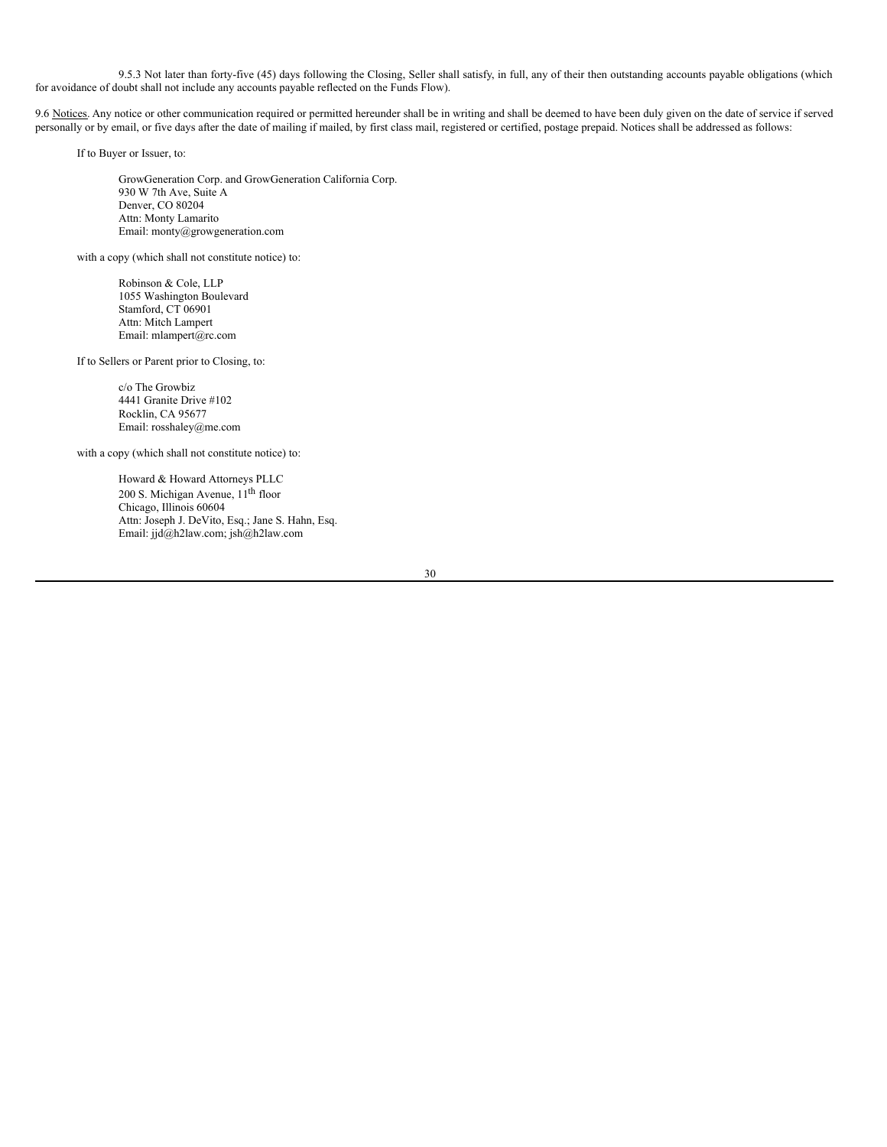9.5.3 Not later than forty-five (45) days following the Closing, Seller shall satisfy, in full, any of their then outstanding accounts payable obligations (which for avoidance of doubt shall not include any accounts payable reflected on the Funds Flow).

9.6 Notices. Any notice or other communication required or permitted hereunder shall be in writing and shall be deemed to have been duly given on the date of service if served personally or by email, or five days after the date of mailing if mailed, by first class mail, registered or certified, postage prepaid. Notices shall be addressed as follows:

If to Buyer or Issuer, to:

GrowGeneration Corp. and GrowGeneration California Corp. 930 W 7th Ave, Suite A Denver, CO 80204 Attn: Monty Lamarito Email: monty@growgeneration.com

with a copy (which shall not constitute notice) to:

Robinson & Cole, LLP 1055 Washington Boulevard Stamford, CT 06901 Attn: Mitch Lampert Email: mlampert@rc.com

If to Sellers or Parent prior to Closing, to:

c/o The Growbiz 4441 Granite Drive #102 Rocklin, CA 95677 Email: rosshaley@me.com

with a copy (which shall not constitute notice) to:

Howard & Howard Attorneys PLLC 200 S. Michigan Avenue, 11<sup>th</sup> floor Chicago, Illinois 60604 Attn: Joseph J. DeVito, Esq.; Jane S. Hahn, Esq. Email: jjd@h2law.com; jsh@h2law.com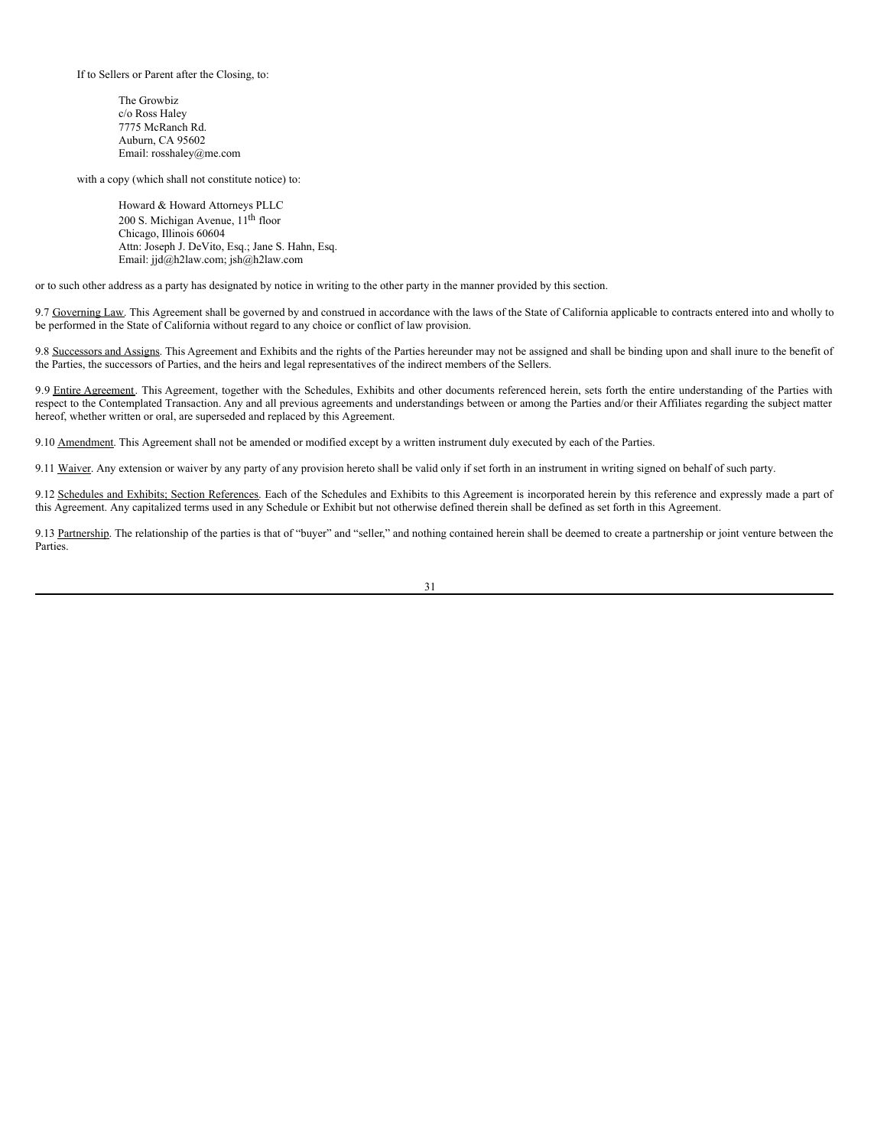If to Sellers or Parent after the Closing, to:

The Growbiz c/o Ross Haley 7775 McRanch Rd. Auburn, CA 95602 Email: rosshaley@me.com

with a copy (which shall not constitute notice) to:

Howard & Howard Attorneys PLLC 200 S. Michigan Avenue, 11<sup>th</sup> floor Chicago, Illinois 60604 Attn: Joseph J. DeVito, Esq.; Jane S. Hahn, Esq. Email: jjd@h2law.com; jsh@h2law.com

or to such other address as a party has designated by notice in writing to the other party in the manner provided by this section.

9.7 Governing Law. This Agreement shall be governed by and construed in accordance with the laws of the State of California applicable to contracts entered into and wholly to be performed in the State of California without regard to any choice or conflict of law provision.

9.8 Successors and Assigns. This Agreement and Exhibits and the rights of the Parties hereunder may not be assigned and shall be binding upon and shall inure to the benefit of the Parties, the successors of Parties, and the heirs and legal representatives of the indirect members of the Sellers.

9.9 Entire Agreement. This Agreement, together with the Schedules, Exhibits and other documents referenced herein, sets forth the entire understanding of the Parties with respect to the Contemplated Transaction. Any and all previous agreements and understandings between or among the Parties and/or their Affiliates regarding the subject matter hereof, whether written or oral, are superseded and replaced by this Agreement.

9.10 Amendment. This Agreement shall not be amended or modified except by a written instrument duly executed by each of the Parties.

9.11 Waiver. Any extension or waiver by any party of any provision hereto shall be valid only if set forth in an instrument in writing signed on behalf of such party.

9.12 Schedules and Exhibits; Section References. Each of the Schedules and Exhibits to this Agreement is incorporated herein by this reference and expressly made a part of this Agreement. Any capitalized terms used in any Schedule or Exhibit but not otherwise defined therein shall be defined as set forth in this Agreement.

9.13 Partnership. The relationship of the parties is that of "buyer" and "seller," and nothing contained herein shall be deemed to create a partnership or joint venture between the **Parties**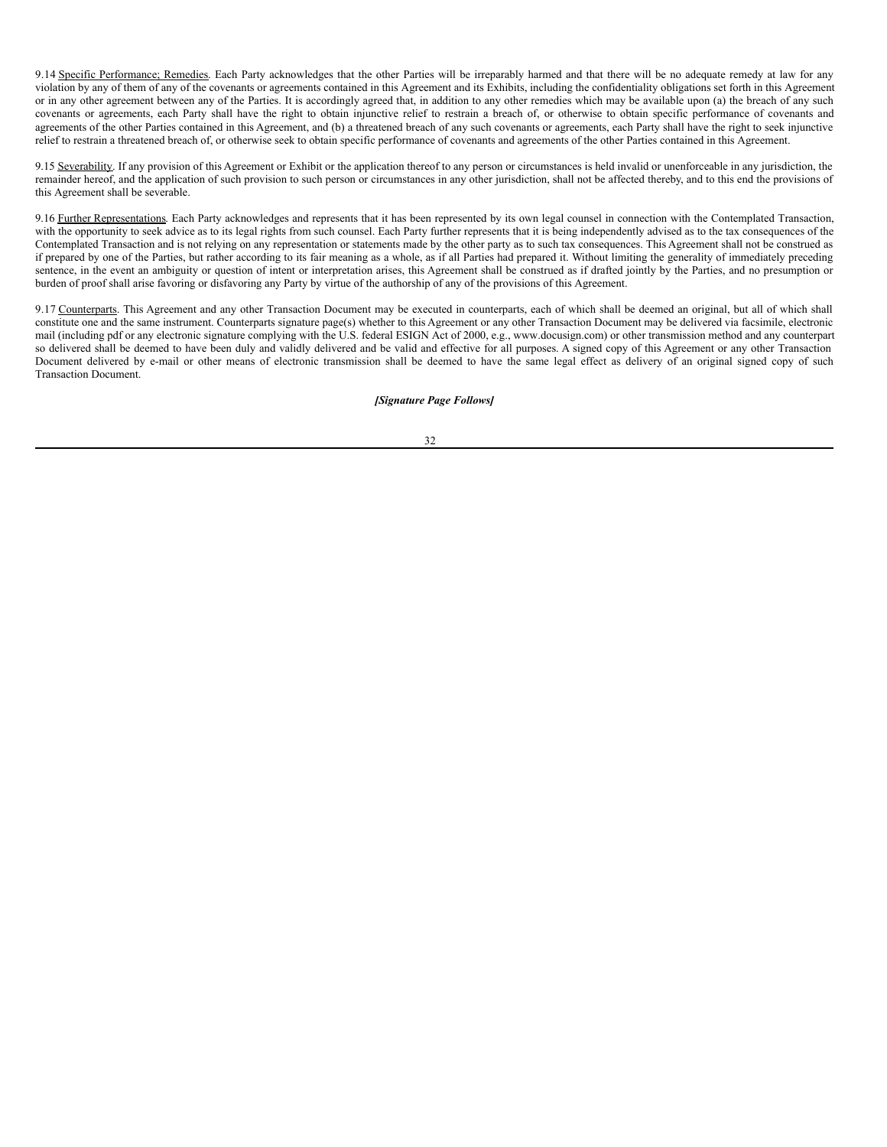9.14 Specific Performance; Remedies. Each Party acknowledges that the other Parties will be irreparably harmed and that there will be no adequate remedy at law for any violation by any of them of any of the covenants or agreements contained in this Agreement and its Exhibits, including the confidentiality obligations set forth in this Agreement or in any other agreement between any of the Parties. It is accordingly agreed that, in addition to any other remedies which may be available upon (a) the breach of any such covenants or agreements, each Party shall have the right to obtain injunctive relief to restrain a breach of, or otherwise to obtain specific performance of covenants and agreements of the other Parties contained in this Agreement, and (b) a threatened breach of any such covenants or agreements, each Party shall have the right to seek injunctive relief to restrain a threatened breach of, or otherwise seek to obtain specific performance of covenants and agreements of the other Parties contained in this Agreement.

9.15 Severability. If any provision of this Agreement or Exhibit or the application thereof to any person or circumstances is held invalid or unenforceable in any jurisdiction, the remainder hereof, and the application of such provision to such person or circumstances in any other jurisdiction, shall not be affected thereby, and to this end the provisions of this Agreement shall be severable.

9.16 Further Representations. Each Party acknowledges and represents that it has been represented by its own legal counsel in connection with the Contemplated Transaction, with the opportunity to seek advice as to its legal rights from such counsel. Each Party further represents that it is being independently advised as to the tax consequences of the Contemplated Transaction and is not relying on any representation or statements made by the other party as to such tax consequences. This Agreement shall not be construed as if prepared by one of the Parties, but rather according to its fair meaning as a whole, as if all Parties had prepared it. Without limiting the generality of immediately preceding sentence, in the event an ambiguity or question of intent or interpretation arises, this Agreement shall be construed as if drafted jointly by the Parties, and no presumption or burden of proof shall arise favoring or disfavoring any Party by virtue of the authorship of any of the provisions of this Agreement.

9.17 Counterparts. This Agreement and any other Transaction Document may be executed in counterparts, each of which shall be deemed an original, but all of which shall constitute one and the same instrument. Counterparts signature page(s) whether to this Agreement or any other Transaction Document may be delivered via facsimile, electronic mail (including pdf or any electronic signature complying with the U.S. federal ESIGN Act of 2000, e.g., www.docusign.com) or other transmission method and any counterpart so delivered shall be deemed to have been duly and validly delivered and be valid and effective for all purposes. A signed copy of this Agreement or any other Transaction Document delivered by e-mail or other means of electronic transmission shall be deemed to have the same legal effect as delivery of an original signed copy of such Transaction Document.

#### *[Signature Page Follows]*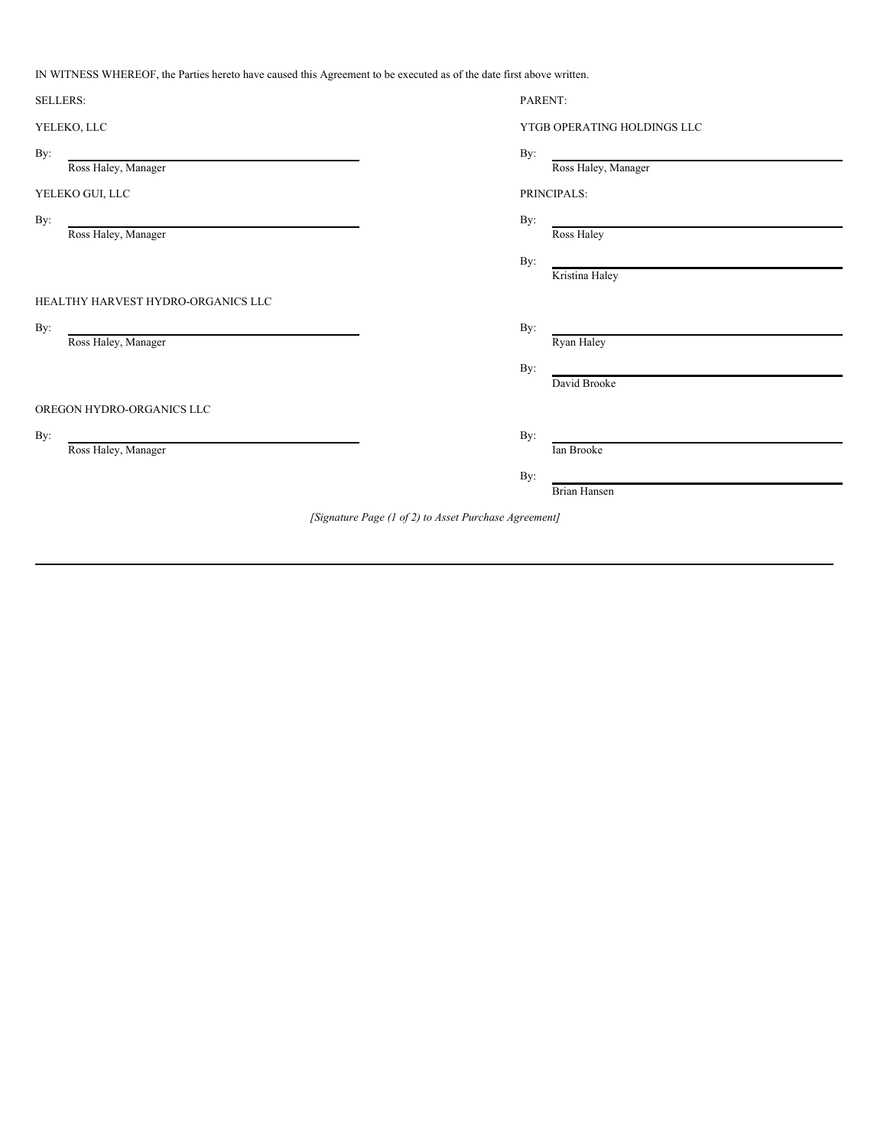IN WITNESS WHEREOF, the Parties hereto have caused this Agreement to be executed as of the date first above written.

| <b>SELLERS:</b>                                       |  | PARENT:                     |  |
|-------------------------------------------------------|--|-----------------------------|--|
| YELEKO, LLC                                           |  | YTGB OPERATING HOLDINGS LLC |  |
| By:                                                   |  | By:                         |  |
| Ross Haley, Manager                                   |  | Ross Haley, Manager         |  |
| YELEKO GUI, LLC                                       |  | PRINCIPALS:                 |  |
| By:<br>Ross Haley, Manager                            |  | By:<br>Ross Haley           |  |
|                                                       |  | By:<br>Kristina Haley       |  |
| HEALTHY HARVEST HYDRO-ORGANICS LLC                    |  |                             |  |
| By:                                                   |  | By:                         |  |
| Ross Haley, Manager                                   |  | Ryan Haley                  |  |
|                                                       |  | By:                         |  |
|                                                       |  | David Brooke                |  |
| OREGON HYDRO-ORGANICS LLC                             |  |                             |  |
| By:                                                   |  | By:                         |  |
| Ross Haley, Manager                                   |  | Ian Brooke                  |  |
|                                                       |  | By:                         |  |
|                                                       |  | <b>Brian Hansen</b>         |  |
| [Signature Page (1 of 2) to Asset Purchase Agreement] |  |                             |  |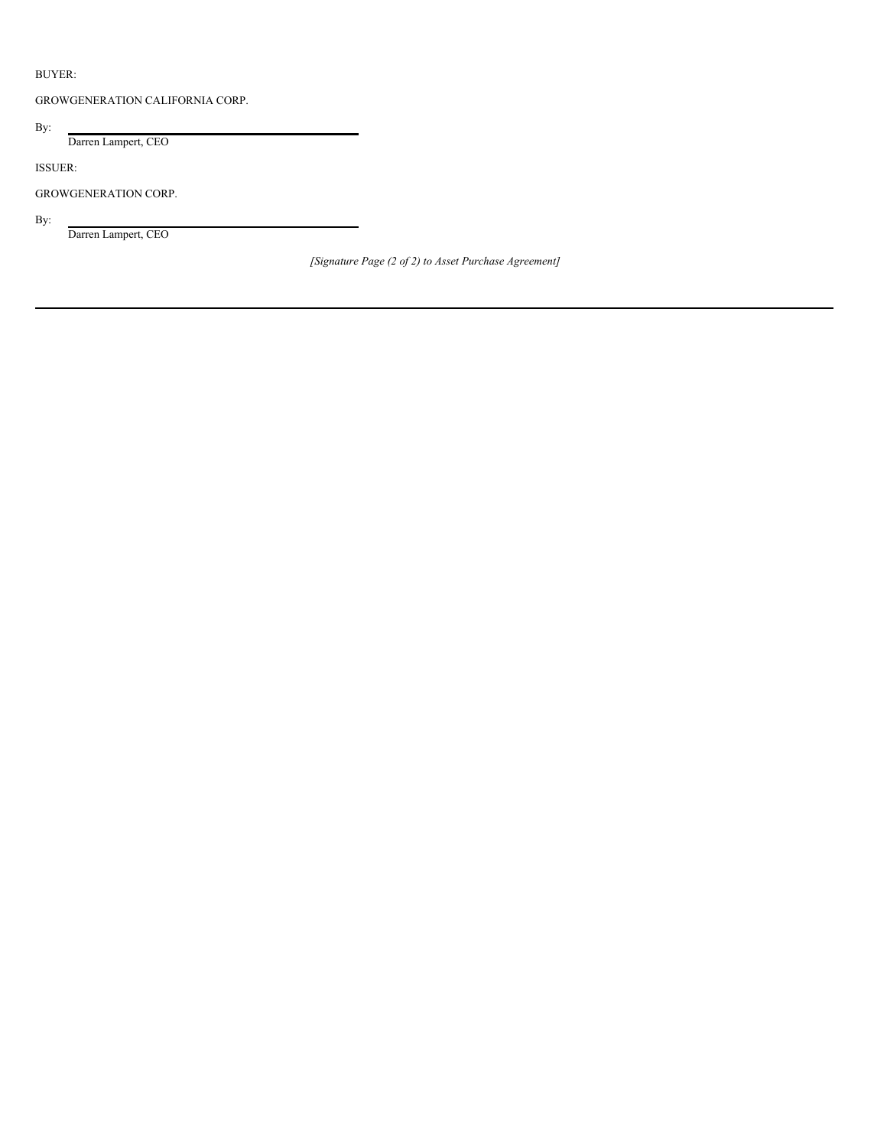# BUYER:

GROWGENERATION CALIFORNIA CORP.

By:

Darren Lampert, CEO

ISSUER:

GROWGENERATION CORP.

By:

Darren Lampert, CEO

*[Signature Page (2 of 2) to Asset Purchase Agreement]*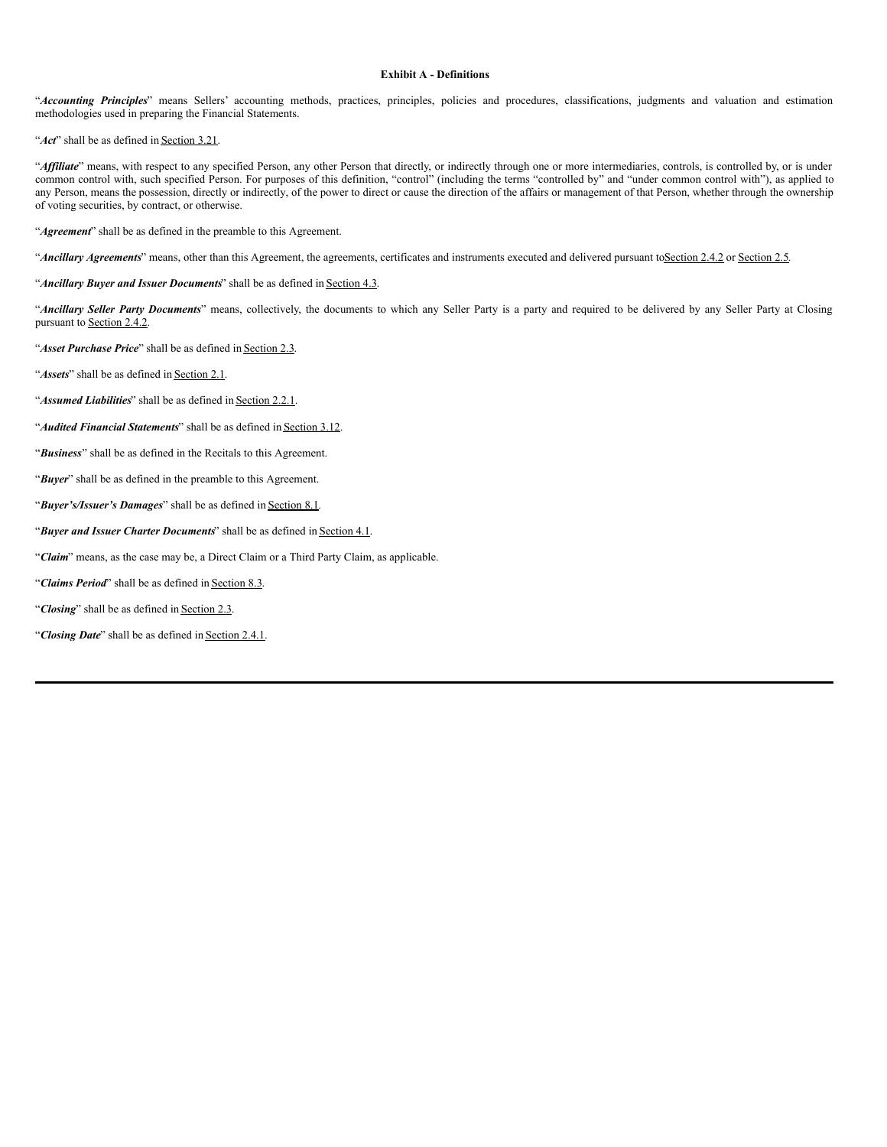#### **Exhibit A - Definitions**

"*Accounting Principles*" means Sellers' accounting methods, practices, principles, policies and procedures, classifications, judgments and valuation and estimation methodologies used in preparing the Financial Statements.

"*Act*" shall be as defined in **Section 3.21**.

"Affiliate" means, with respect to any specified Person, any other Person that directly, or indirectly through one or more intermediaries, controls, is controlled by, or is under common control with, such specified Person. For purposes of this definition, "control" (including the terms "controlled by" and "under common control with"), as applied to any Person, means the possession, directly or indirectly, of the power to direct or cause the direction of the affairs or management of that Person, whether through the ownership of voting securities, by contract, or otherwise.

"*Agreement*" shall be as defined in the preamble to this Agreement.

"*Ancillary Agreements*" means, other than this Agreement, the agreements, certificates and instruments executed and delivered pursuant toSection 2.4.2 or Section 2.5*.*

"*Ancillary Buyer and Issuer Documents*" shall be as defined in Section 4.3.

"*Ancillary Seller Party Documents*" means, collectively, the documents to which any Seller Party is a party and required to be delivered by any Seller Party at Closing pursuant to Section 2.4.2.

"*Asset Purchase Price*" shall be as defined in Section 2.3.

"**Assets**" shall be as defined in Section 2.1.

"**Assumed Liabilities**" shall be as defined in Section 2.2.1.

"*Audited Financial Statements*" shall be as defined in Section 3.12.

"*Business*" shall be as defined in the Recitals to this Agreement.

"*Buyer*" shall be as defined in the preamble to this Agreement.

"*Buyer's/Issuer's Damages*" shall be as defined in Section 8.1.

"*Buyer and Issuer Charter Documents*" shall be as defined in Section 4.1.

"*Claim*" means, as the case may be, a Direct Claim or a Third Party Claim, as applicable.

"*Claims Period*" shall be as defined in Section 8.3.

"Closing" shall be as defined in Section 2.3.

"*Closing Date*" shall be as defined in Section 2.4.1.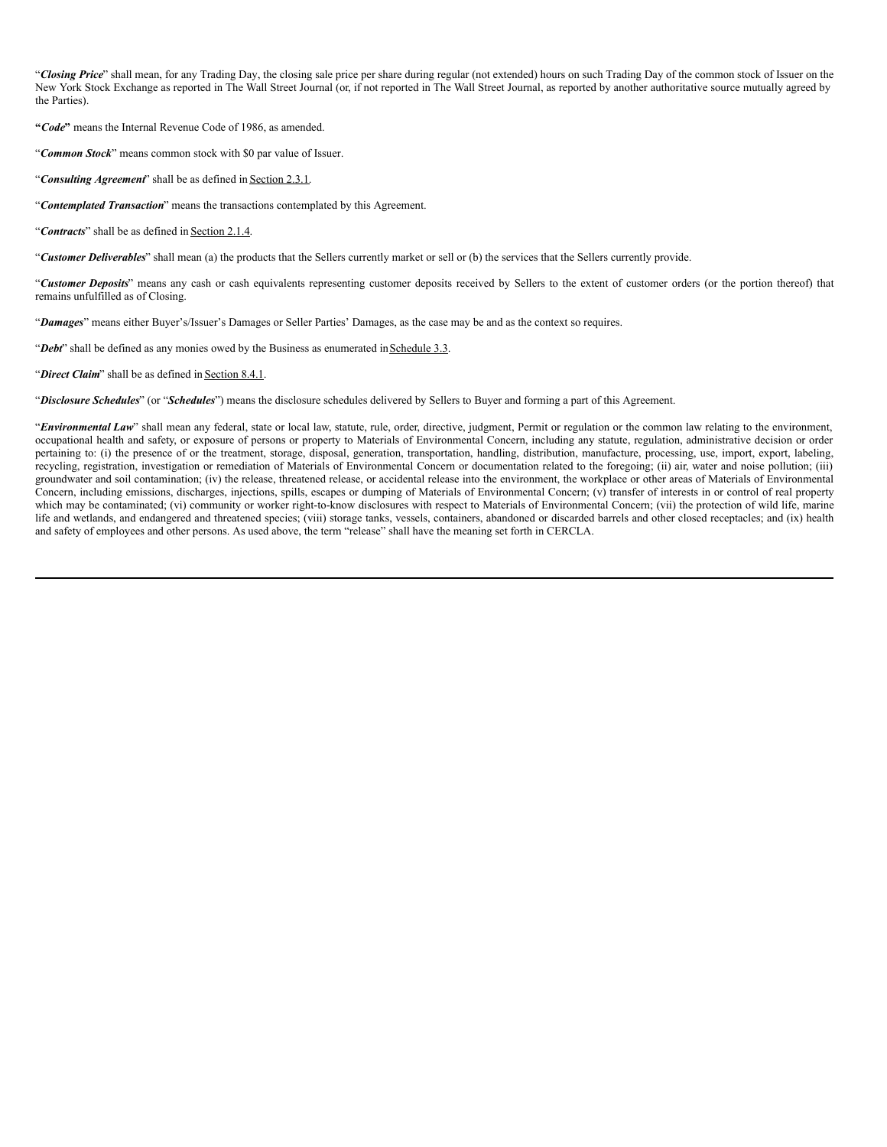"*Closing Price*" shall mean, for any Trading Day, the closing sale price per share during regular (not extended) hours on such Trading Day of the common stock of Issuer on the New York Stock Exchange as reported in The Wall Street Journal (or, if not reported in The Wall Street Journal, as reported by another authoritative source mutually agreed by the Parties).

**"***Code***"** means the Internal Revenue Code of 1986, as amended.

"*Common Stock*" means common stock with \$0 par value of Issuer.

"*Consulting Agreement*" shall be as defined in Section 2.3.1.

"*Contemplated Transaction*" means the transactions contemplated by this Agreement.

"*Contracts*" shall be as defined in Section 2.1.4.

"*Customer Deliverables*" shall mean (a) the products that the Sellers currently market or sell or (b) the services that the Sellers currently provide.

"*Customer Deposits*" means any cash or cash equivalents representing customer deposits received by Sellers to the extent of customer orders (or the portion thereof) that remains unfulfilled as of Closing.

"*Damages*" means either Buyer's/Issuer's Damages or Seller Parties' Damages, as the case may be and as the context so requires.

"*Debt*" shall be defined as any monies owed by the Business as enumerated inSchedule 3.3.

"Direct Claim" shall be as defined in Section 8.4.1.

"*Disclosure Schedules*" (or "*Schedules*") means the disclosure schedules delivered by Sellers to Buyer and forming a part of this Agreement.

"*Environmental Law*" shall mean any federal, state or local law, statute, rule, order, directive, judgment, Permit or regulation or the common law relating to the environment, occupational health and safety, or exposure of persons or property to Materials of Environmental Concern, including any statute, regulation, administrative decision or order pertaining to: (i) the presence of or the treatment, storage, disposal, generation, transportation, handling, distribution, manufacture, processing, use, import, export, labeling, recycling, registration, investigation or remediation of Materials of Environmental Concern or documentation related to the foregoing; (ii) air, water and noise pollution; (iii) groundwater and soil contamination; (iv) the release, threatened release, or accidental release into the environment, the workplace or other areas of Materials of Environmental Concern, including emissions, discharges, injections, spills, escapes or dumping of Materials of Environmental Concern;  $(v)$  transfer of interests in or control of real property which may be contaminated; (vi) community or worker right-to-know disclosures with respect to Materials of Environmental Concern; (vii) the protection of wild life, marine life and wetlands, and endangered and threatened species; (viii) storage tanks, vessels, containers, abandoned or discarded barrels and other closed receptacles; and (ix) health and safety of employees and other persons. As used above, the term "release" shall have the meaning set forth in CERCLA.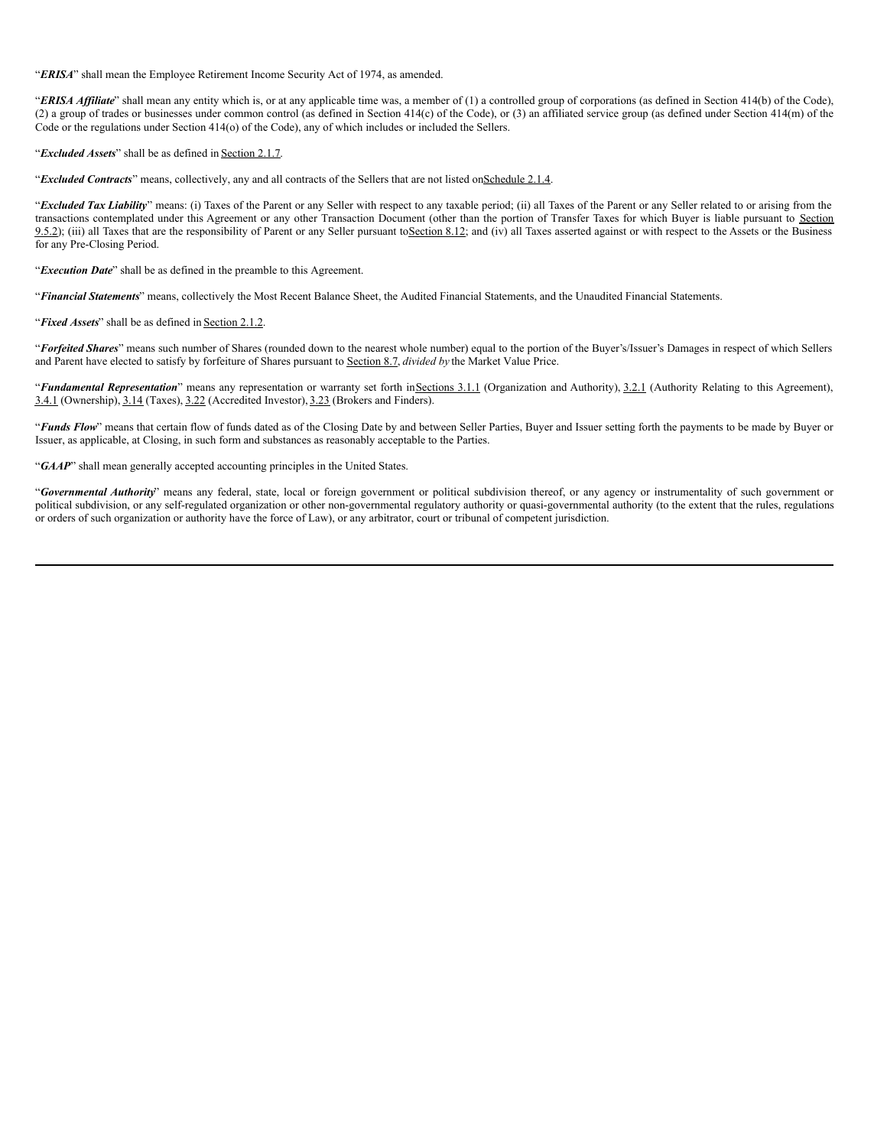"*ERISA*" shall mean the Employee Retirement Income Security Act of 1974, as amended.

"ERISA Affiliate" shall mean any entity which is, or at any applicable time was, a member of (1) a controlled group of corporations (as defined in Section 414(b) of the Code), (2) a group of trades or businesses under common control (as defined in Section 414(c) of the Code), or (3) an affiliated service group (as defined under Section 414(m) of the Code or the regulations under Section 414(o) of the Code), any of which includes or included the Sellers.

"*Excluded Assets*" shall be as defined in Section 2.1.7.

"*Excluded Contracts*" means, collectively, any and all contracts of the Sellers that are not listed onSchedule 2.1.4.

"*Excluded Tax Liability*" means: (i) Taxes of the Parent or any Seller with respect to any taxable period; (ii) all Taxes of the Parent or any Seller related to or arising from the transactions contemplated under this Agreement or any other Transaction Document (other than the portion of Transfer Taxes for which Buyer is liable pursuant to Section 9.5.2); (iii) all Taxes that are the responsibility of Parent or any Seller pursuant to Section 8.12; and (iv) all Taxes asserted against or with respect to the Assets or the Business for any Pre-Closing Period.

"*Execution Date*" shall be as defined in the preamble to this Agreement.

"*Financial Statements*" means, collectively the Most Recent Balance Sheet, the Audited Financial Statements, and the Unaudited Financial Statements.

"*Fixed Assets*" shall be as defined in Section 2.1.2.

"*Forfeited Shares*" means such number of Shares (rounded down to the nearest whole number) equal to the portion of the Buyer's/Issuer's Damages in respect of which Sellers and Parent have elected to satisfy by forfeiture of Shares pursuant to Section 8.7, *divided by* the Market Value Price.

"*Fundamental Representation*" means any representation or warranty set forth inSections 3.1.1 (Organization and Authority), 3.2.1 (Authority Relating to this Agreement), 3.4.1 (Ownership), 3.14 (Taxes), 3.22 (Accredited Investor), 3.23 (Brokers and Finders).

"*Funds Flow*" means that certain flow of funds dated as of the Closing Date by and between Seller Parties, Buyer and Issuer setting forth the payments to be made by Buyer or Issuer, as applicable, at Closing, in such form and substances as reasonably acceptable to the Parties.

"*GAAP*" shall mean generally accepted accounting principles in the United States.

"*Governmental Authority*" means any federal, state, local or foreign government or political subdivision thereof, or any agency or instrumentality of such government or political subdivision, or any self-regulated organization or other non-governmental regulatory authority or quasi-governmental authority (to the extent that the rules, regulations or orders of such organization or authority have the force of Law), or any arbitrator, court or tribunal of competent jurisdiction.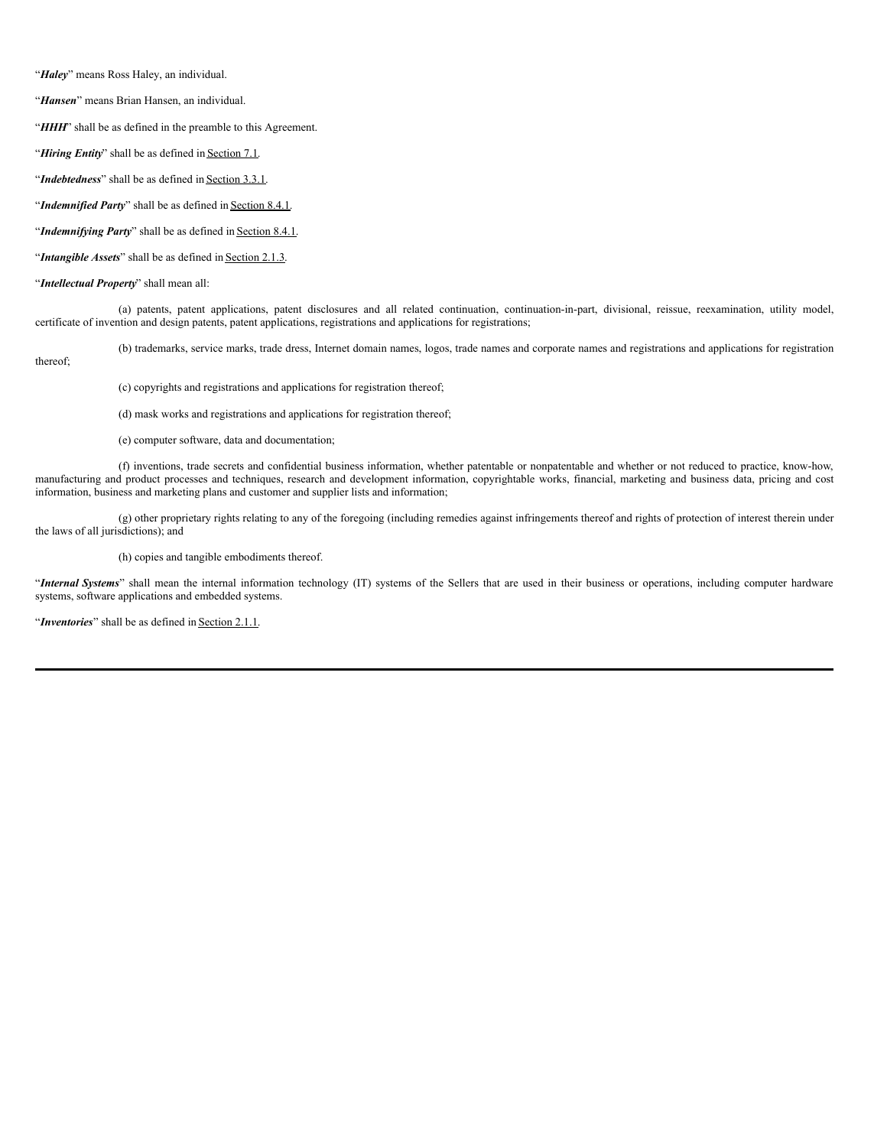"*Haley*" means Ross Haley, an individual.

"*Hansen*" means Brian Hansen, an individual.

"**HHH**" shall be as defined in the preamble to this Agreement.

"*Hiring Entity*" shall be as defined in Section 7.1.

"*Indebtedness*" shall be as defined in Section 3.3.1.

"*Indemnified Party*" shall be as defined in **Section 8.4.1**.

"*Indemnifying Party*" shall be as defined in Section 8.4.1.

"*Intangible Assets*" shall be as defined in Section 2.1.3.

"*Intellectual Property*" shall mean all:

(a) patents, patent applications, patent disclosures and all related continuation, continuation-in-part, divisional, reissue, reexamination, utility model, certificate of invention and design patents, patent applications, registrations and applications for registrations;

(b) trademarks, service marks, trade dress, Internet domain names, logos, trade names and corporate names and registrations and applications for registration

thereof;

(c) copyrights and registrations and applications for registration thereof;

(d) mask works and registrations and applications for registration thereof;

(e) computer software, data and documentation;

(f) inventions, trade secrets and confidential business information, whether patentable or nonpatentable and whether or not reduced to practice, know-how, manufacturing and product processes and techniques, research and development information, copyrightable works, financial, marketing and business data, pricing and cost information, business and marketing plans and customer and supplier lists and information;

(g) other proprietary rights relating to any of the foregoing (including remedies against infringements thereof and rights of protection of interest therein under the laws of all jurisdictions); and

(h) copies and tangible embodiments thereof.

"*Internal Systems*" shall mean the internal information technology (IT) systems of the Sellers that are used in their business or operations, including computer hardware systems, software applications and embedded systems.

"*Inventories*" shall be as defined in **Section 2.1.1**.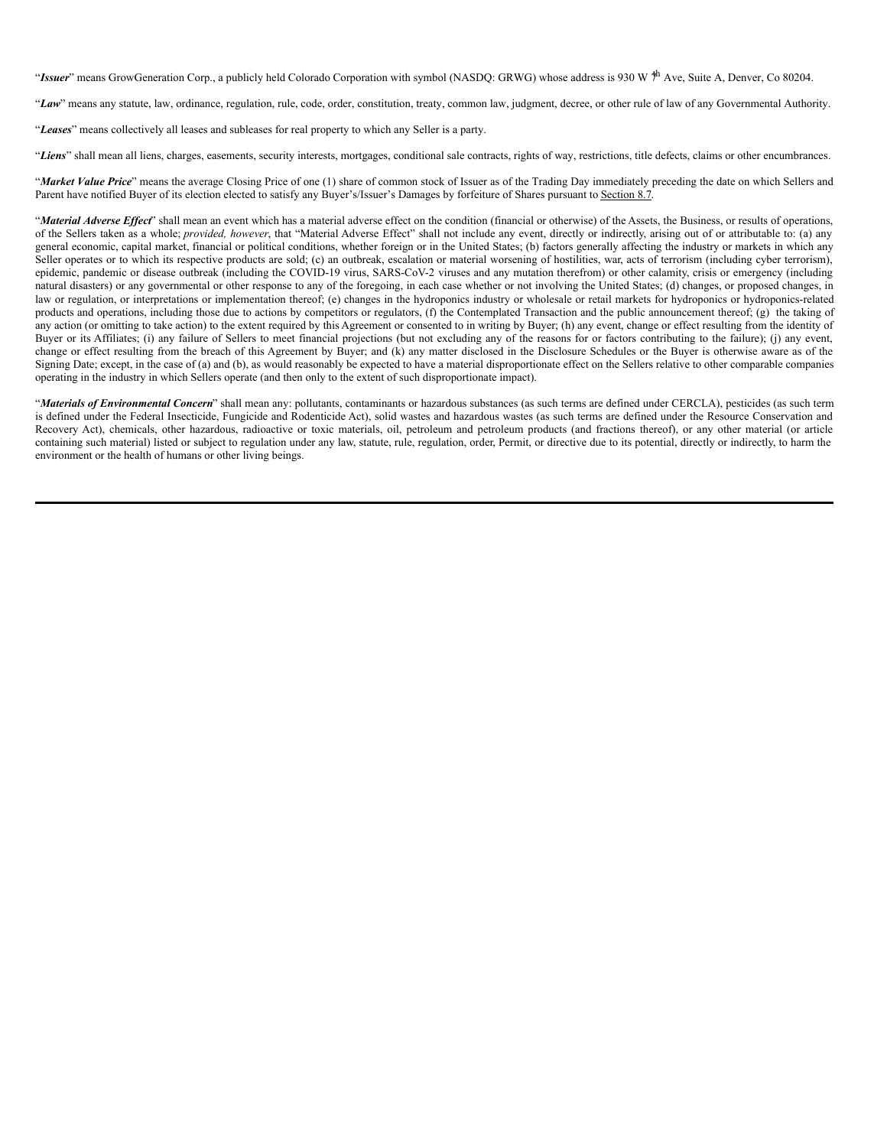"Issuer" means GrowGeneration Corp., a publicly held Colorado Corporation with symbol (NASDQ: GRWG) whose address is 930 W <sup>†h</sup> Ave, Suite A, Denver, Co 80204.

"*Law*" means any statute, law, ordinance, regulation, rule, code, order, constitution, treaty, common law, judgment, decree, or other rule of law of any Governmental Authority.

"*Leases*" means collectively all leases and subleases for real property to which any Seller is a party.

"*Liens*" shall mean all liens, charges, easements, security interests, mortgages, conditional sale contracts, rights of way, restrictions, title defects, claims or other encumbrances.

"*Market Value Price*" means the average Closing Price of one (1) share of common stock of Issuer as of the Trading Day immediately preceding the date on which Sellers and Parent have notified Buyer of its election elected to satisfy any Buyer's/Issuer's Damages by forfeiture of Shares pursuant to Section 8.7.

"Material Adverse Effect" shall mean an event which has a material adverse effect on the condition (financial or otherwise) of the Assets, the Business, or results of operations, of the Sellers taken as a whole; *provided, however*, that "Material Adverse Effect" shall not include any event, directly or indirectly, arising out of or attributable to: (a) any general economic, capital market, financial or political conditions, whether foreign or in the United States; (b) factors generally affecting the industry or markets in which any Seller operates or to which its respective products are sold; (c) an outbreak, escalation or material worsening of hostilities, war, acts of terrorism (including cyber terrorism), epidemic, pandemic or disease outbreak (including the COVID-19 virus, SARS-CoV-2 viruses and any mutation therefrom) or other calamity, crisis or emergency (including natural disasters) or any governmental or other response to any of the foregoing, in each case whether or not involving the United States; (d) changes, or proposed changes, in law or regulation, or interpretations or implementation thereof; (e) changes in the hydroponics industry or wholesale or retail markets for hydroponics or hydroponics-related products and operations, including those due to actions by competitors or regulators, (f) the Contemplated Transaction and the public announcement thereof; (g) the taking of any action (or omitting to take action) to the extent required by this Agreement or consented to in writing by Buyer; (h) any event, change or effect resulting from the identity of Buyer or its Affiliates; (i) any failure of Sellers to meet financial projections (but not excluding any of the reasons for or factors contributing to the failure); (j) any event, change or effect resulting from the breach of this Agreement by Buyer; and (k) any matter disclosed in the Disclosure Schedules or the Buyer is otherwise aware as of the Signing Date; except, in the case of (a) and (b), as would reasonably be expected to have a material disproportionate effect on the Sellers relative to other comparable companies operating in the industry in which Sellers operate (and then only to the extent of such disproportionate impact).

"*Materials of Environmental Concern*" shall mean any: pollutants, contaminants or hazardous substances (as such terms are defined under CERCLA), pesticides (as such term is defined under the Federal Insecticide, Fungicide and Rodenticide Act), solid wastes and hazardous wastes (as such terms are defined under the Resource Conservation and Recovery Act), chemicals, other hazardous, radioactive or toxic materials, oil, petroleum and petroleum products (and fractions thereof), or any other material (or article containing such material) listed or subject to regulation under any law, statute, rule, regulation, order, Permit, or directive due to its potential, directly or indirectly, to harm the environment or the health of humans or other living beings.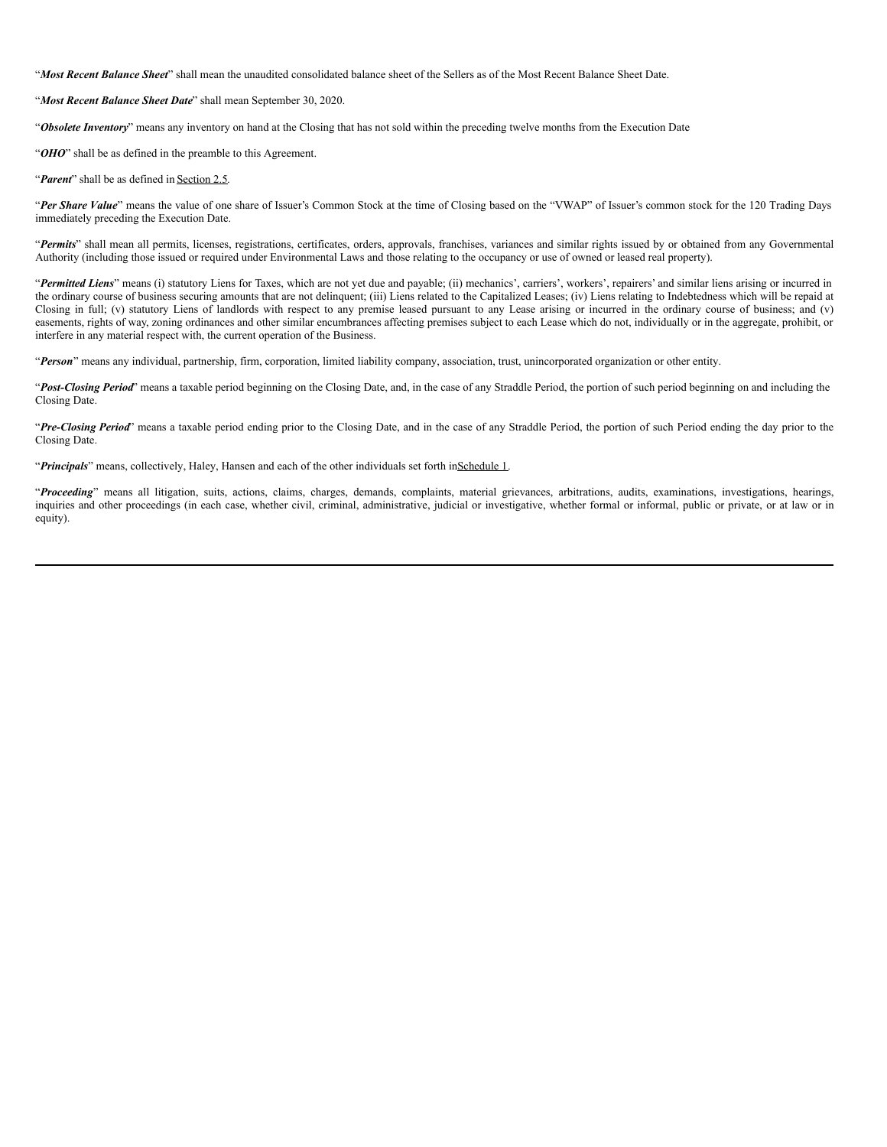"*Most Recent Balance Sheet*" shall mean the unaudited consolidated balance sheet of the Sellers as of the Most Recent Balance Sheet Date.

"*Most Recent Balance Sheet Date*" shall mean September 30, 2020.

"*Obsolete Inventory*" means any inventory on hand at the Closing that has not sold within the preceding twelve months from the Execution Date.

"OHO" shall be as defined in the preamble to this Agreement.

"*Parent*" shall be as defined in Section 2.5.

"*Per Share Value*" means the value of one share of Issuer's Common Stock at the time of Closing based on the "VWAP" of Issuer's common stock for the 120 Trading Days immediately preceding the Execution Date.

"*Permits*" shall mean all permits, licenses, registrations, certificates, orders, approvals, franchises, variances and similar rights issued by or obtained from any Governmental Authority (including those issued or required under Environmental Laws and those relating to the occupancy or use of owned or leased real property).

"*Permitted Liens*" means (i) statutory Liens for Taxes, which are not yet due and payable; (ii) mechanics', carriers', workers', repairers' and similar liens arising or incurred in the ordinary course of business securing amounts that are not delinquent; (iii) Liens related to the Capitalized Leases; (iv) Liens relating to Indebtedness which will be repaid at Closing in full; (v) statutory Liens of landlords with respect to any premise leased pursuant to any Lease arising or incurred in the ordinary course of business; and (v) easements, rights of way, zoning ordinances and other similar encumbrances affecting premises subject to each Lease which do not, individually or in the aggregate, prohibit, or interfere in any material respect with, the current operation of the Business.

"*Person*" means any individual, partnership, firm, corporation, limited liability company, association, trust, unincorporated organization or other entity.

"*Post-Closing Period*" means a taxable period beginning on the Closing Date, and, in the case of any Straddle Period, the portion of such period beginning on and including the Closing Date.

"*Pre-Closing Period*" means a taxable period ending prior to the Closing Date, and in the case of any Straddle Period, the portion of such Period ending the day prior to the Closing Date.

"*Principals*" means, collectively, Haley, Hansen and each of the other individuals set forth inSchedule 1.

"*Proceeding*" means all litigation, suits, actions, claims, charges, demands, complaints, material grievances, arbitrations, audits, examinations, investigations, hearings, inquiries and other proceedings (in each case, whether civil, criminal, administrative, judicial or investigative, whether formal or informal, public or private, or at law or in equity).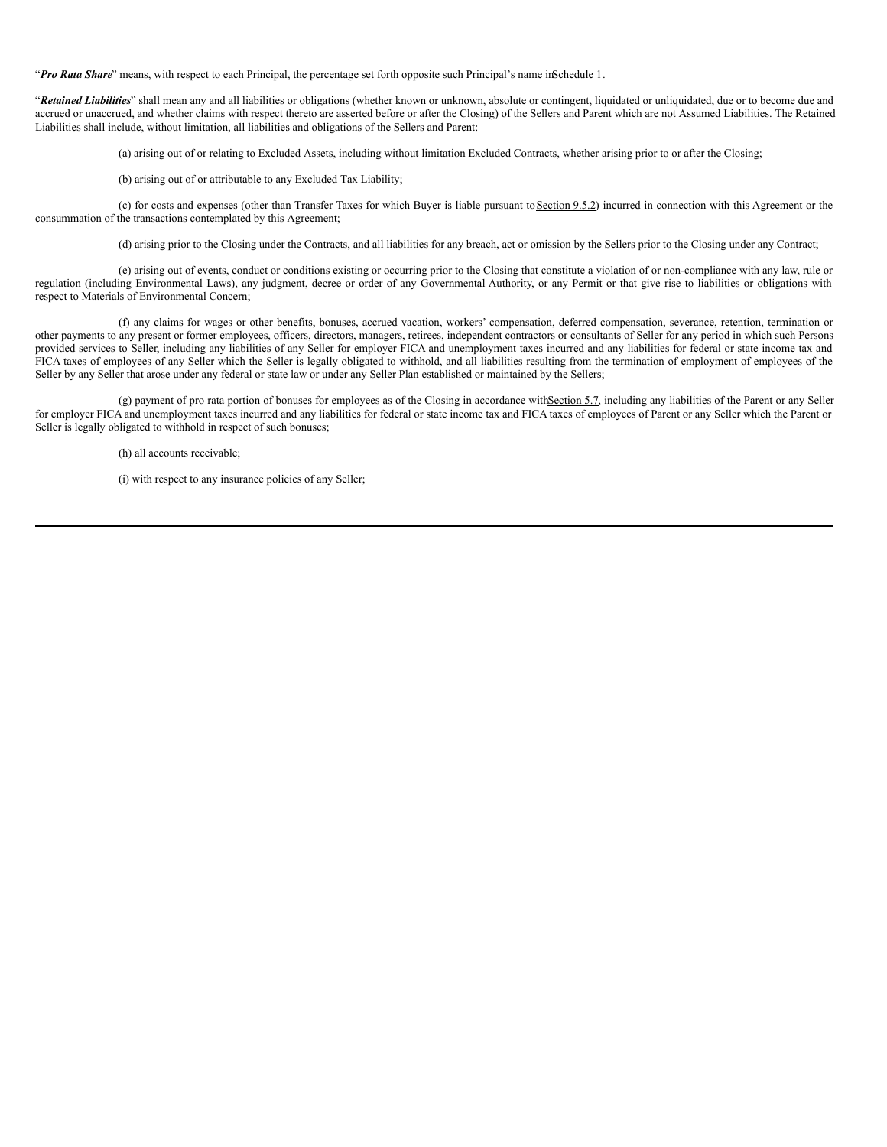"*Pro Rata Share*" means, with respect to each Principal, the percentage set forth opposite such Principal's name inSchedule 1.

"*Retained Liabilities*" shall mean any and all liabilities or obligations (whether known or unknown, absolute or contingent, liquidated or unliquidated, due or to become due and accrued or unaccrued, and whether claims with respect thereto are asserted before or after the Closing) of the Sellers and Parent which are not Assumed Liabilities. The Retained Liabilities shall include, without limitation, all liabilities and obligations of the Sellers and Parent:

(a) arising out of or relating to Excluded Assets, including without limitation Excluded Contracts, whether arising prior to or after the Closing;

(b) arising out of or attributable to any Excluded Tax Liability;

(c) for costs and expenses (other than Transfer Taxes for which Buyer is liable pursuant toSection 9.5.2) incurred in connection with this Agreement or the consummation of the transactions contemplated by this Agreement;

(d) arising prior to the Closing under the Contracts, and all liabilities for any breach, act or omission by the Sellers prior to the Closing under any Contract;

(e) arising out of events, conduct or conditions existing or occurring prior to the Closing that constitute a violation of or non-compliance with any law, rule or regulation (including Environmental Laws), any judgment, decree or order of any Governmental Authority, or any Permit or that give rise to liabilities or obligations with respect to Materials of Environmental Concern;

(f) any claims for wages or other benefits, bonuses, accrued vacation, workers' compensation, deferred compensation, severance, retention, termination or other payments to any present or former employees, officers, directors, managers, retirees, independent contractors or consultants of Seller for any period in which such Persons provided services to Seller, including any liabilities of any Seller for employer FICA and unemployment taxes incurred and any liabilities for federal or state income tax and FICA taxes of employees of any Seller which the Seller is legally obligated to withhold, and all liabilities resulting from the termination of employment of employees of the Seller by any Seller that arose under any federal or state law or under any Seller Plan established or maintained by the Sellers;

(g) payment of pro rata portion of bonuses for employees as of the Closing in accordance withSection 5.7, including any liabilities of the Parent or any Seller for employer FICA and unemployment taxes incurred and any liabilities for federal or state income tax and FICA taxes of employees of Parent or any Seller which the Parent or Seller is legally obligated to withhold in respect of such bonuses;

(h) all accounts receivable;

(i) with respect to any insurance policies of any Seller;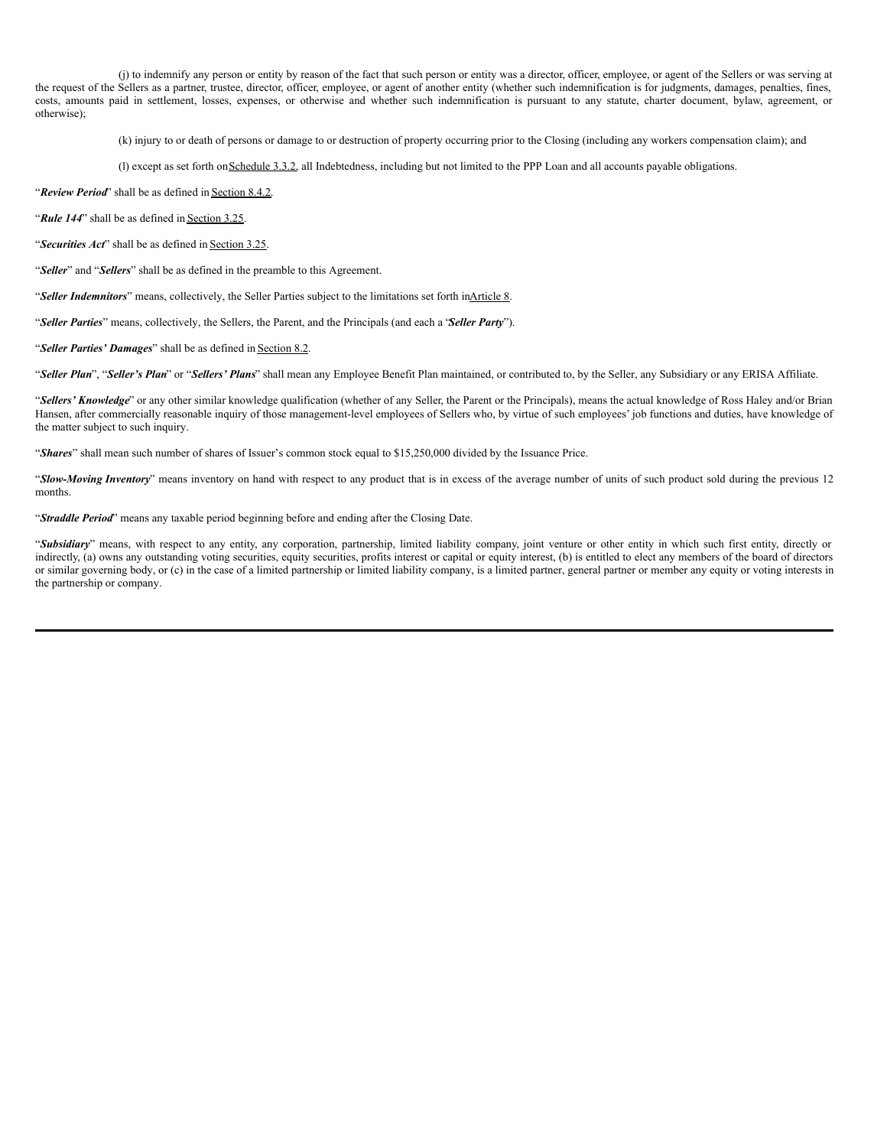(j) to indemnify any person or entity by reason of the fact that such person or entity was a director, officer, employee, or agent of the Sellers or was serving at the request of the Sellers as a partner, trustee, director, officer, employee, or agent of another entity (whether such indemnification is for judgments, damages, penalties, fines, costs, amounts paid in settlement, losses, expenses, or otherwise and whether such indemnification is pursuant to any statute, charter document, bylaw, agreement, or otherwise);

(k) injury to or death of persons or damage to or destruction of property occurring prior to the Closing (including any workers compensation claim); and

(l) except as set forth onSchedule 3.3.2, all Indebtedness, including but not limited to the PPP Loan and all accounts payable obligations.

"*Review Period*" shall be as defined in Section 8.4.2.

"*Rule 144*" shall be as defined in Section 3.25.

"*Securities Act*" shall be as defined in Section 3.25.

"*Seller*" and "*Sellers*" shall be as defined in the preamble to this Agreement.

"*Seller Indemnitors*" means, collectively, the Seller Parties subject to the limitations set forth inArticle 8.

"*Seller Parties*" means, collectively, the Sellers, the Parent, and the Principals (and each a "*Seller Party*").

"*Seller Parties' Damages*" shall be as defined in Section 8.2.

"*Seller Plan*", "*Seller's Plan*" or "*Sellers' Plans*" shall mean any Employee Benefit Plan maintained, or contributed to, by the Seller, any Subsidiary or any ERISA Affiliate.

"Sellers' Knowledge" or any other similar knowledge qualification (whether of any Seller, the Parent or the Principals), means the actual knowledge of Ross Haley and/or Brian Hansen, after commercially reasonable inquiry of those management-level employees of Sellers who, by virtue of such employees' job functions and duties, have knowledge of the matter subject to such inquiry.

"*Shares*" shall mean such number of shares of Issuer's common stock equal to \$15,250,000 divided by the Issuance Price.

"*Slow-Moving Inventory*" means inventory on hand with respect to any product that is in excess of the average number of units of such product sold during the previous 12 months.

"*Straddle Period*" means any taxable period beginning before and ending after the Closing Date.

"*Subsidiary*" means, with respect to any entity, any corporation, partnership, limited liability company, joint venture or other entity in which such first entity, directly or indirectly, (a) owns any outstanding voting securities, equity securities, profits interest or capital or equity interest, (b) is entitled to elect any members of the board of directors or similar governing body, or (c) in the case of a limited partnership or limited liability company, is a limited partner, general partner or member any equity or voting interests in the partnership or company.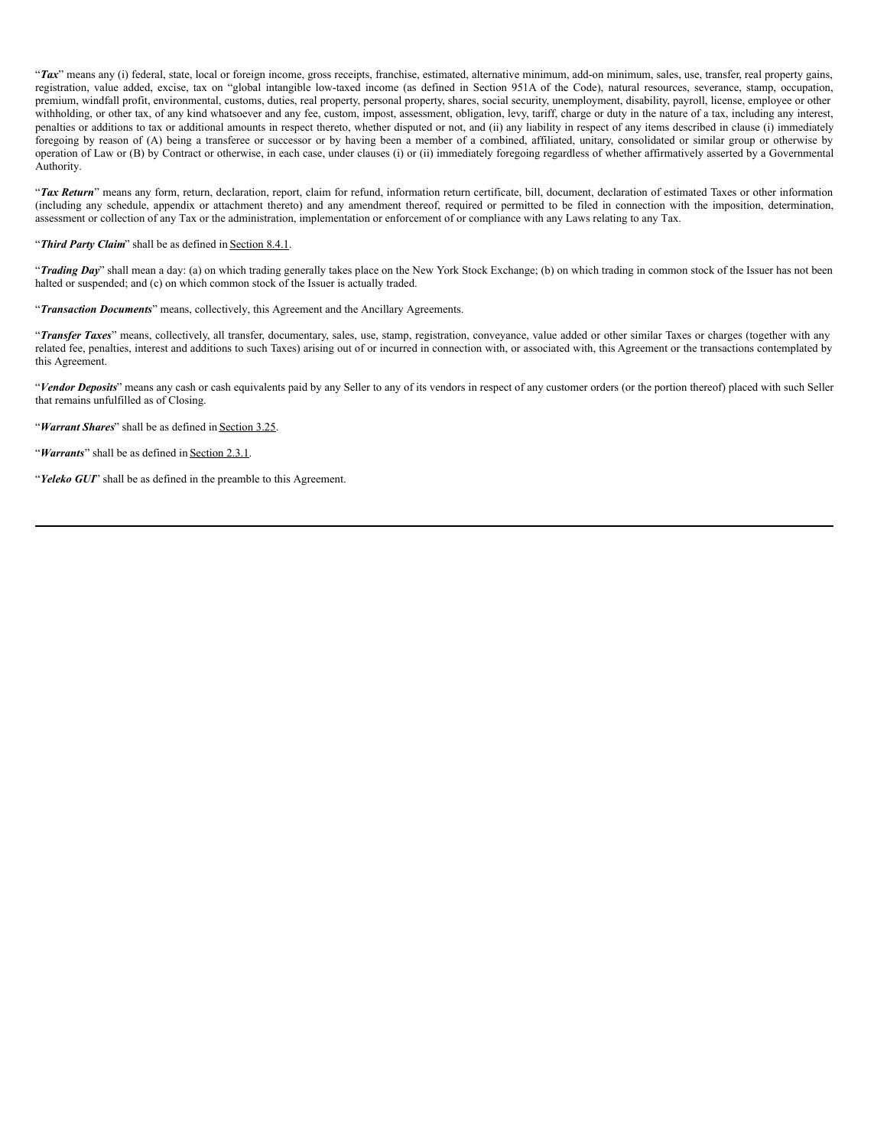"Tax" means any (i) federal, state, local or foreign income, gross receipts, franchise, estimated, alternative minimum, add-on minimum, sales, use, transfer, real property gains, registration, value added, excise, tax on "global intangible low-taxed income (as defined in Section 951A of the Code), natural resources, severance, stamp, occupation, premium, windfall profit, environmental, customs, duties, real property, personal property, shares, social security, unemployment, disability, payroll, license, employee or other withholding, or other tax, of any kind whatsoever and any fee, custom, impost, assessment, obligation, levy, tariff, charge or duty in the nature of a tax, including any interest, penalties or additions to tax or additional amounts in respect thereto, whether disputed or not, and (ii) any liability in respect of any items described in clause (i) immediately foregoing by reason of (A) being a transferee or successor or by having been a member of a combined, affiliated, unitary, consolidated or similar group or otherwise by operation of Law or (B) by Contract or otherwise, in each case, under clauses (i) or (ii) immediately foregoing regardless of whether affirmatively asserted by a Governmental Authority.

"*Tax Return*" means any form, return, declaration, report, claim for refund, information return certificate, bill, document, declaration of estimated Taxes or other information (including any schedule, appendix or attachment thereto) and any amendment thereof, required or permitted to be filed in connection with the imposition, determination, assessment or collection of any Tax or the administration, implementation or enforcement of or compliance with any Laws relating to any Tax.

#### "*Third Party Claim*" shall be as defined in Section 8.4.1.

"*Trading Day*" shall mean a day: (a) on which trading generally takes place on the New York Stock Exchange; (b) on which trading in common stock of the Issuer has not been halted or suspended; and (c) on which common stock of the Issuer is actually traded.

## "*Transaction Documents*" means, collectively, this Agreement and the Ancillary Agreements.

"*Transfer Taxes*" means, collectively, all transfer, documentary, sales, use, stamp, registration, conveyance, value added or other similar Taxes or charges (together with any related fee, penalties, interest and additions to such Taxes) arising out of or incurred in connection with, or associated with, this Agreement or the transactions contemplated by this Agreement.

"*Vendor Deposits*" means any cash or cash equivalents paid by any Seller to any of its vendors in respect of any customer orders (or the portion thereof) placed with such Seller that remains unfulfilled as of Closing.

"*Warrant Shares*" shall be as defined in Section 3.25.

"*Warrants*" shall be as defined in Section 2.3.1.

"*Yeleko GUI*" shall be as defined in the preamble to this Agreement.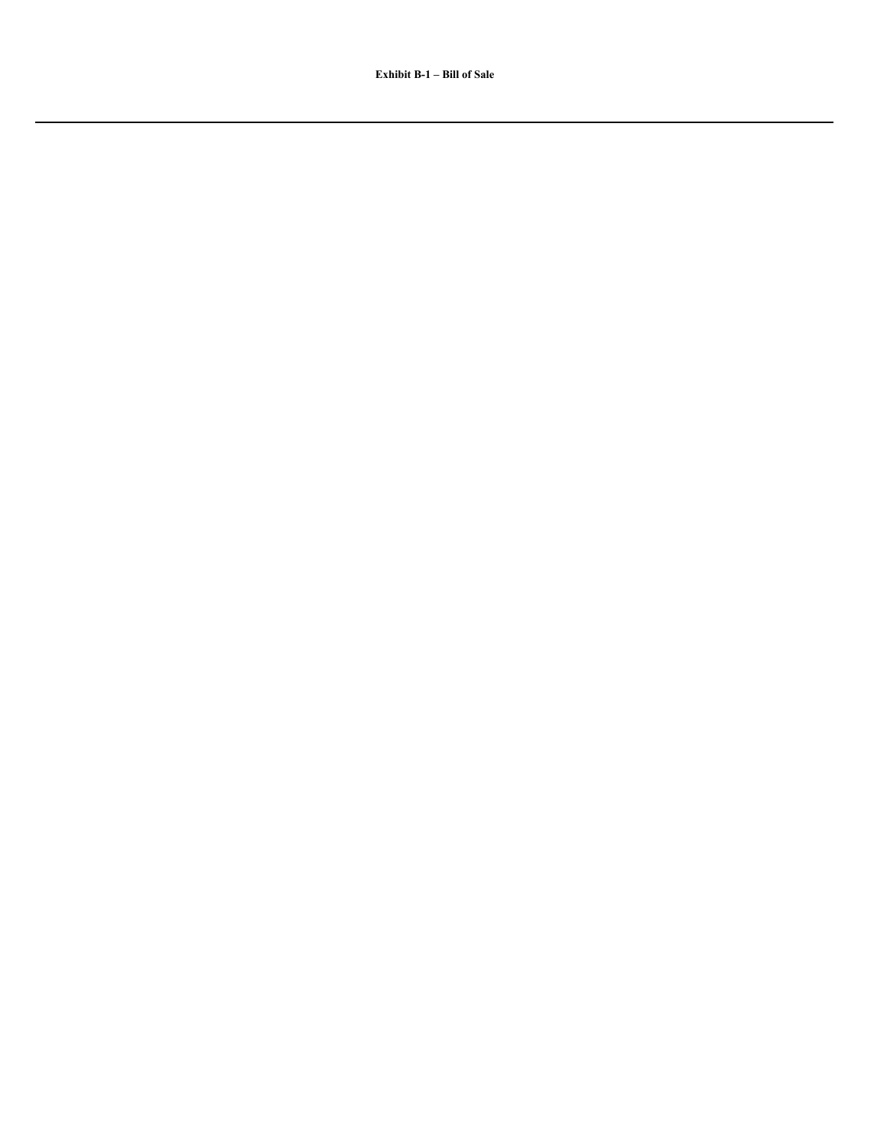**Exhibit B-1 – Bill of Sale**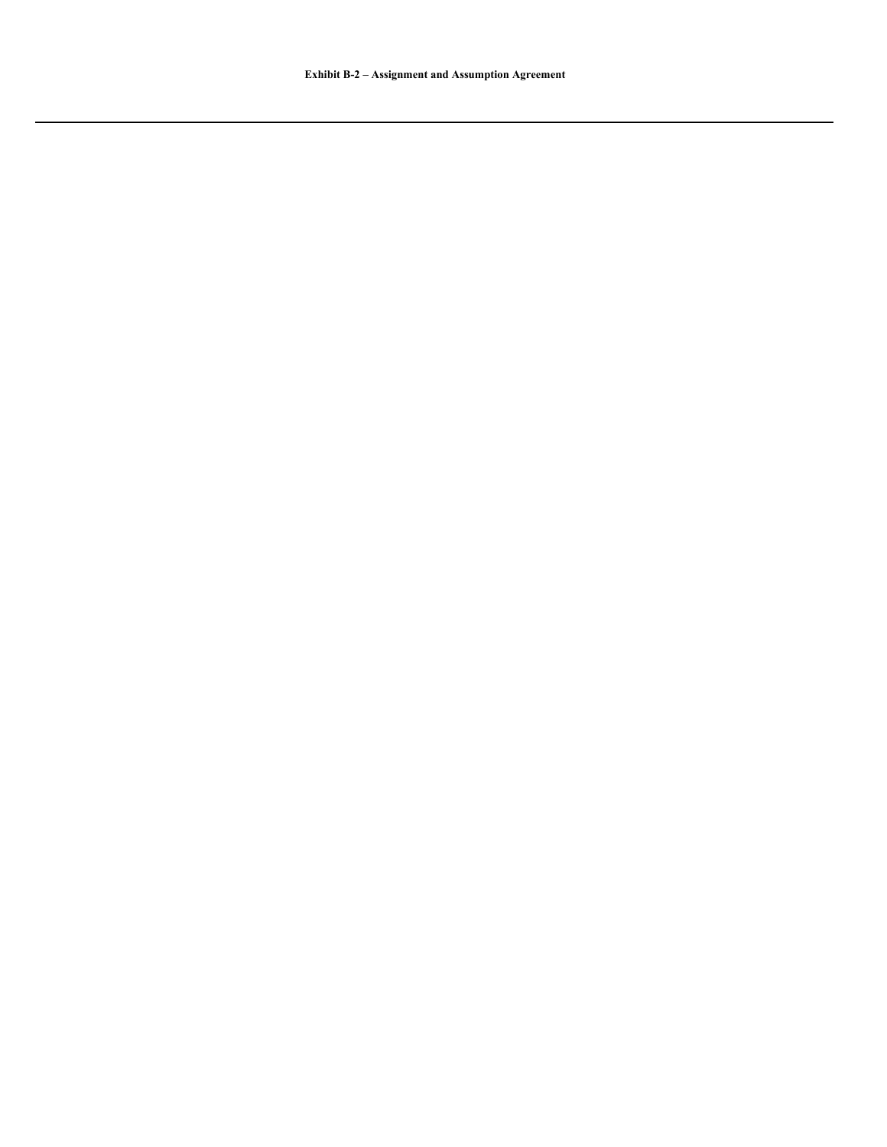**Exhibit B-2 – Assignment and Assumption Agreement**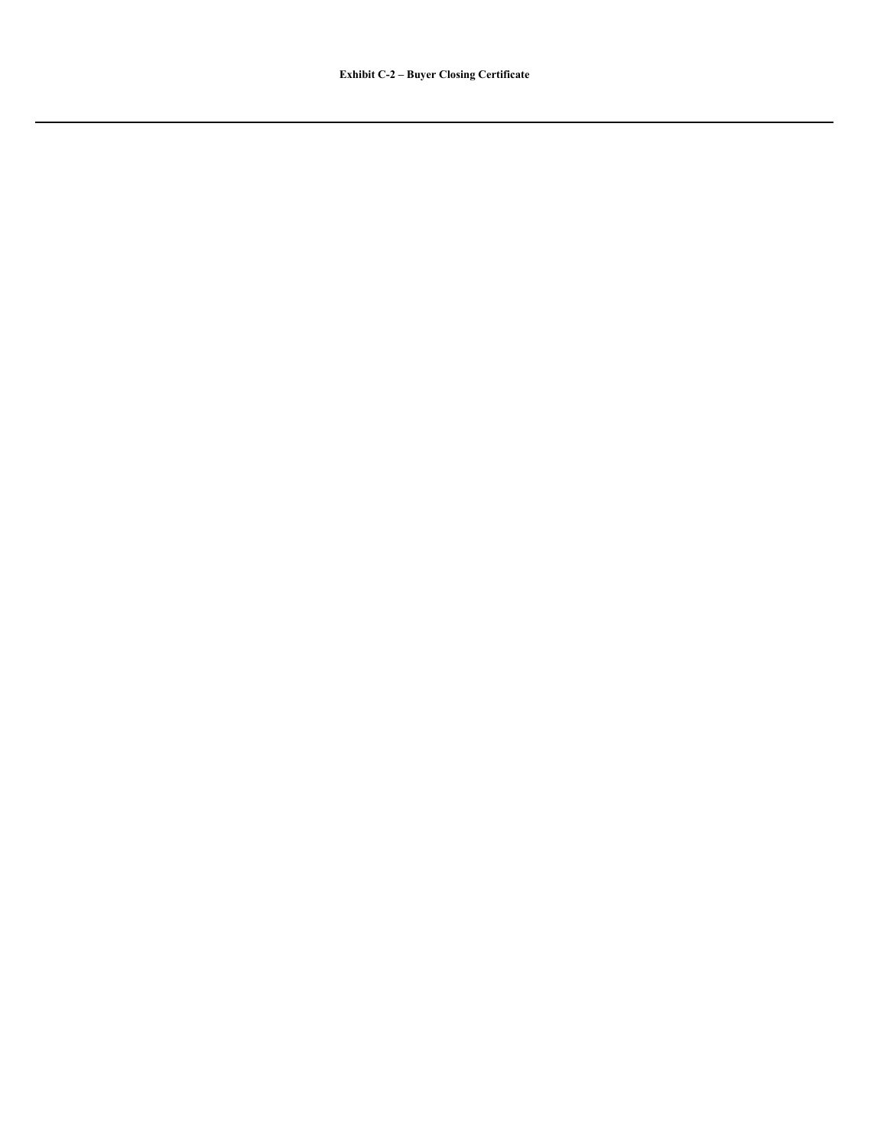**Exhibit C-2 – Buyer Closing Certificate**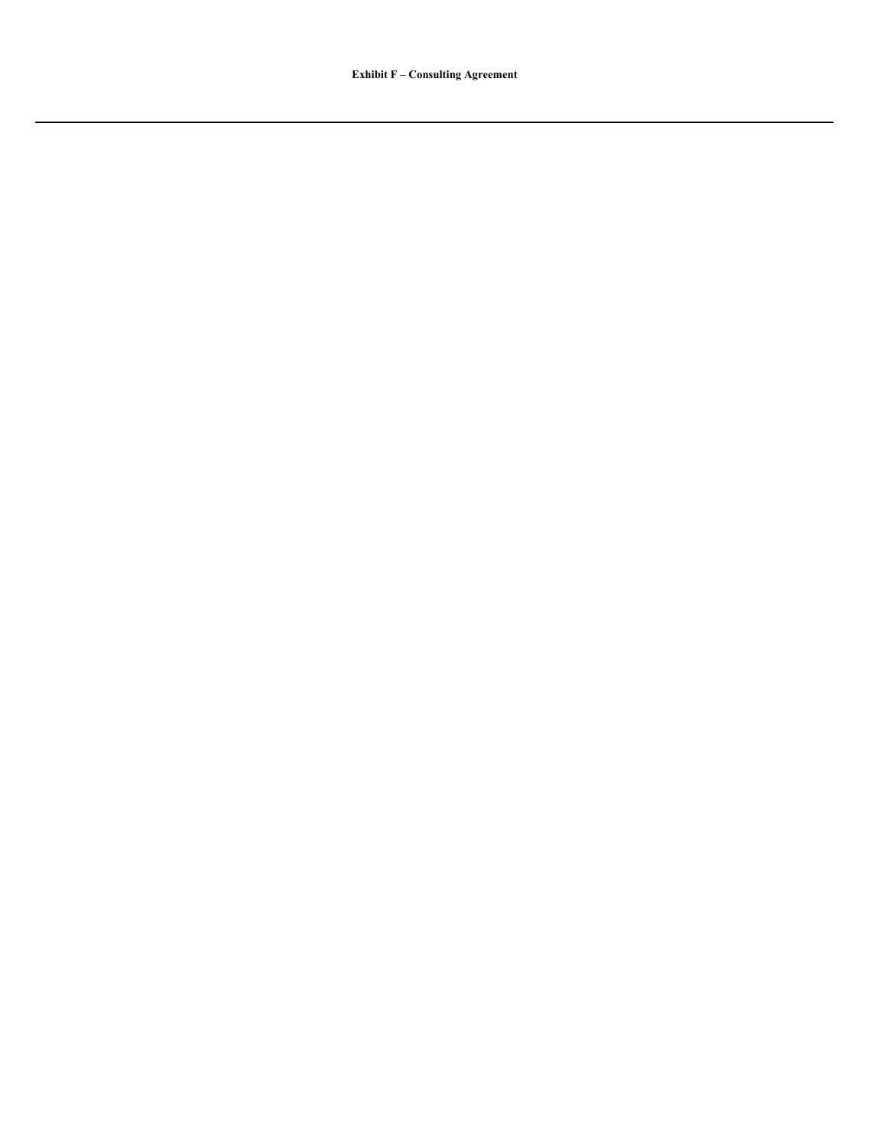**Exhibit F – Consulting Agreement**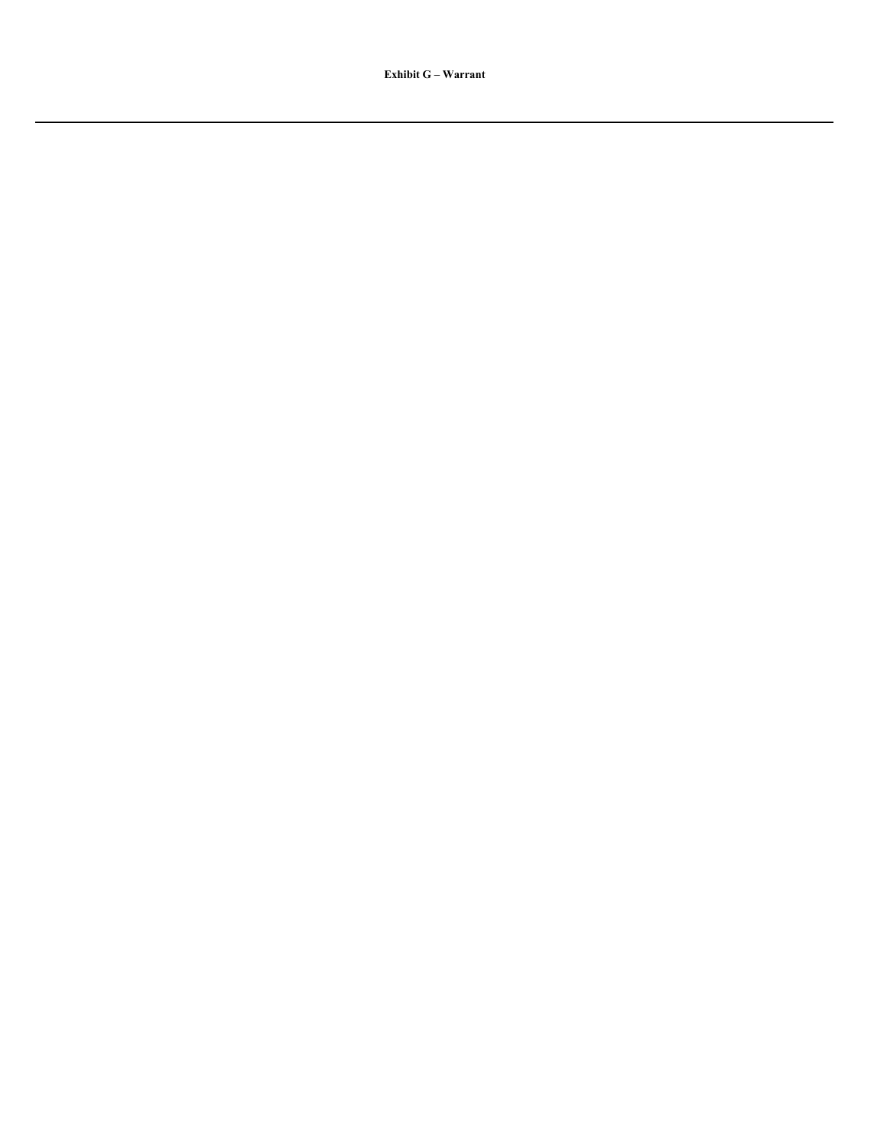**Exhibit G – Warrant**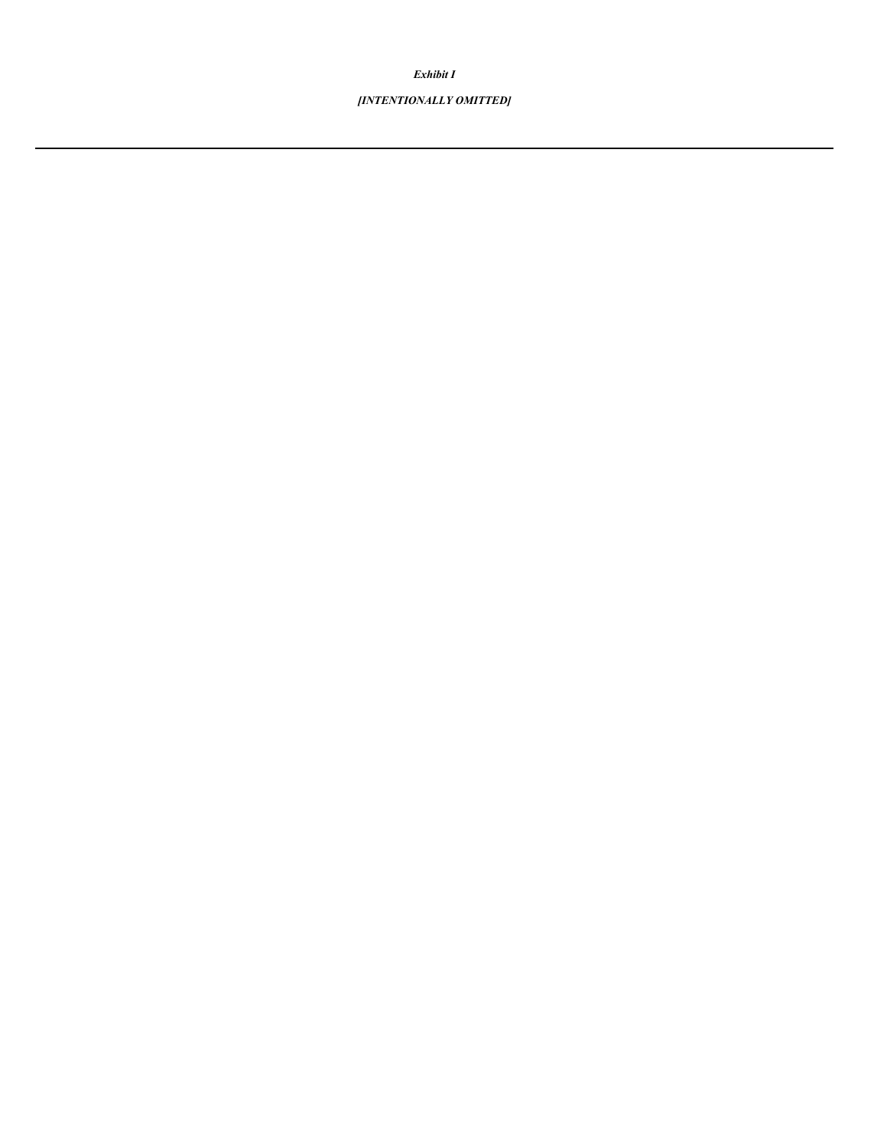*Exhibit I*

# *[INTENTIONALLY OMITTED]*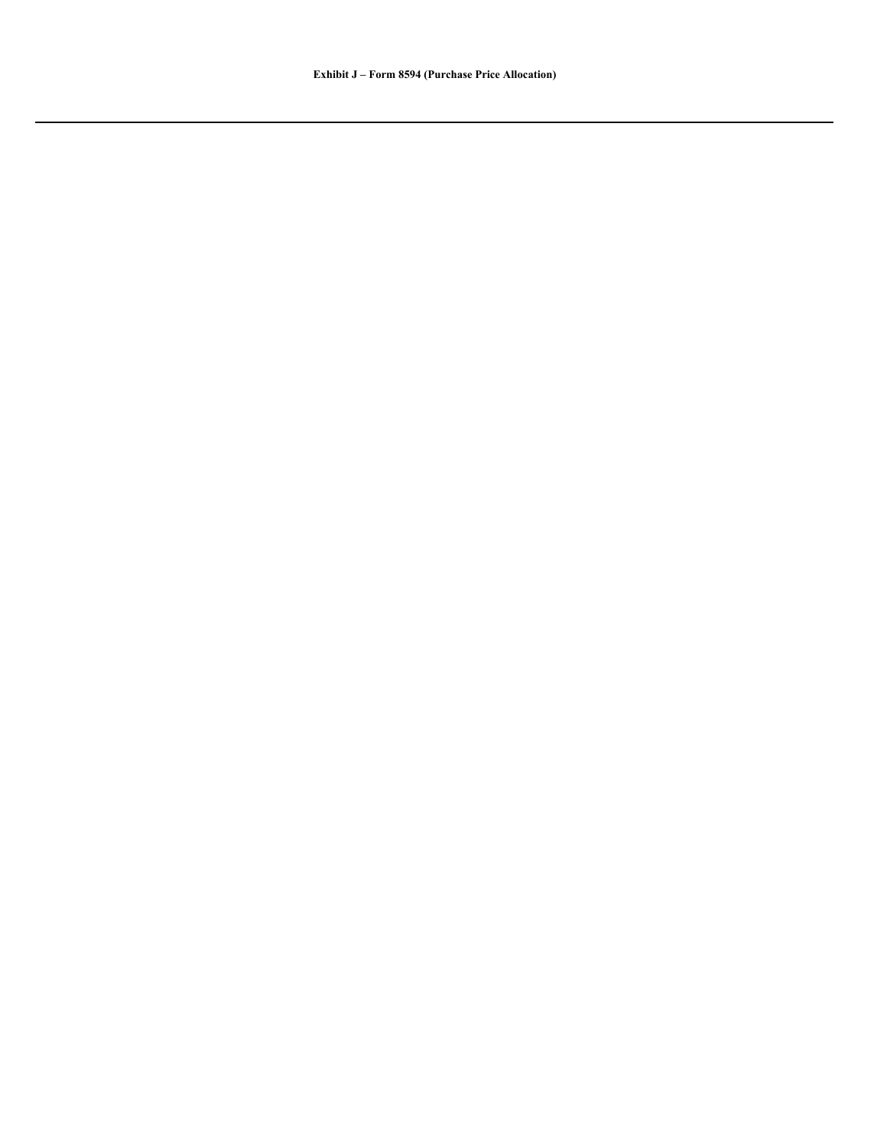**Exhibit J – Form 8594 (Purchase Price Allocation)**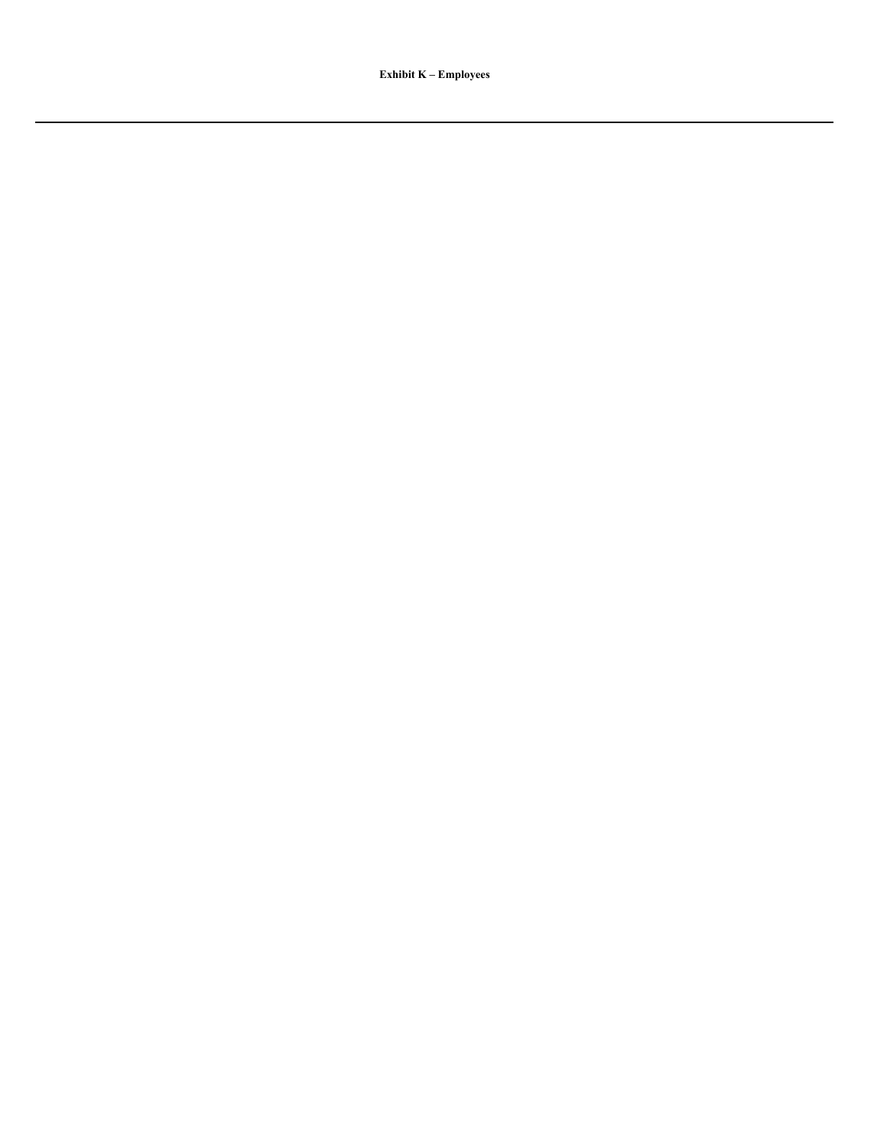**Exhibit K – Employees**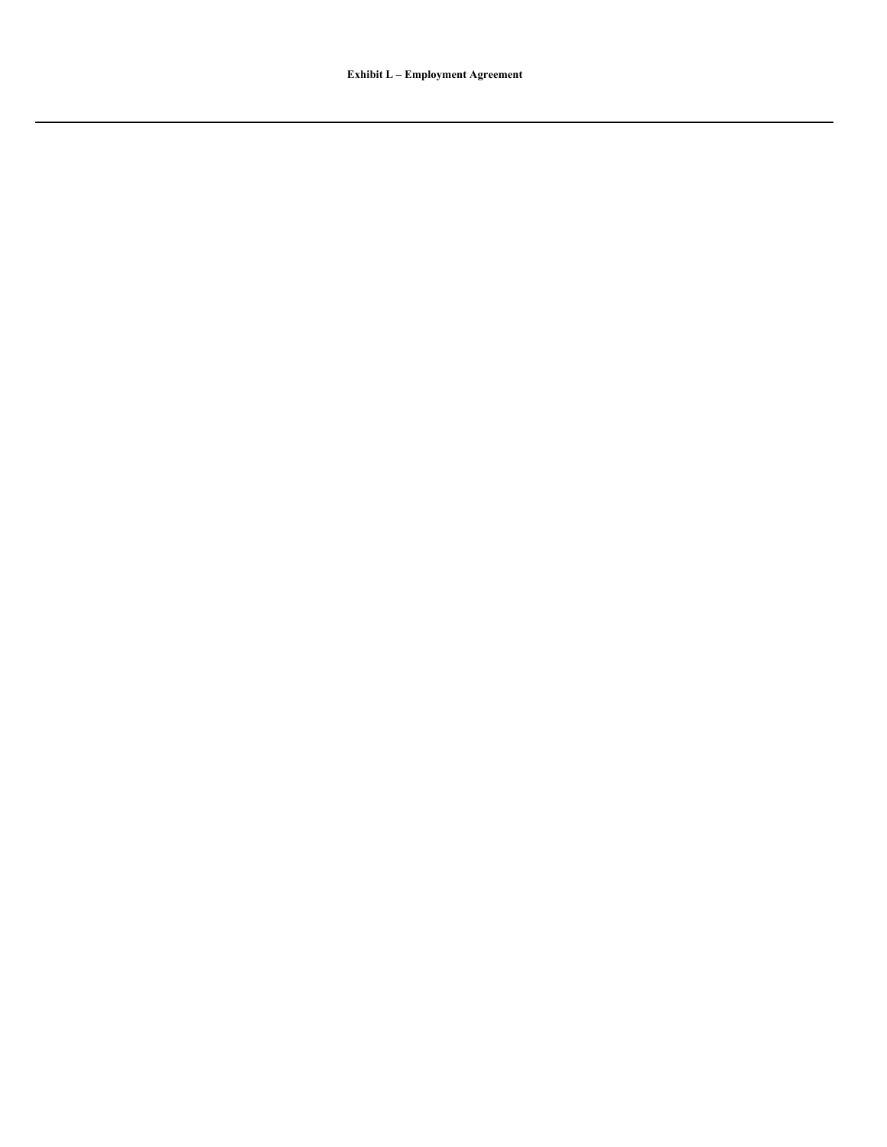**Exhibit L – Employment Agreement**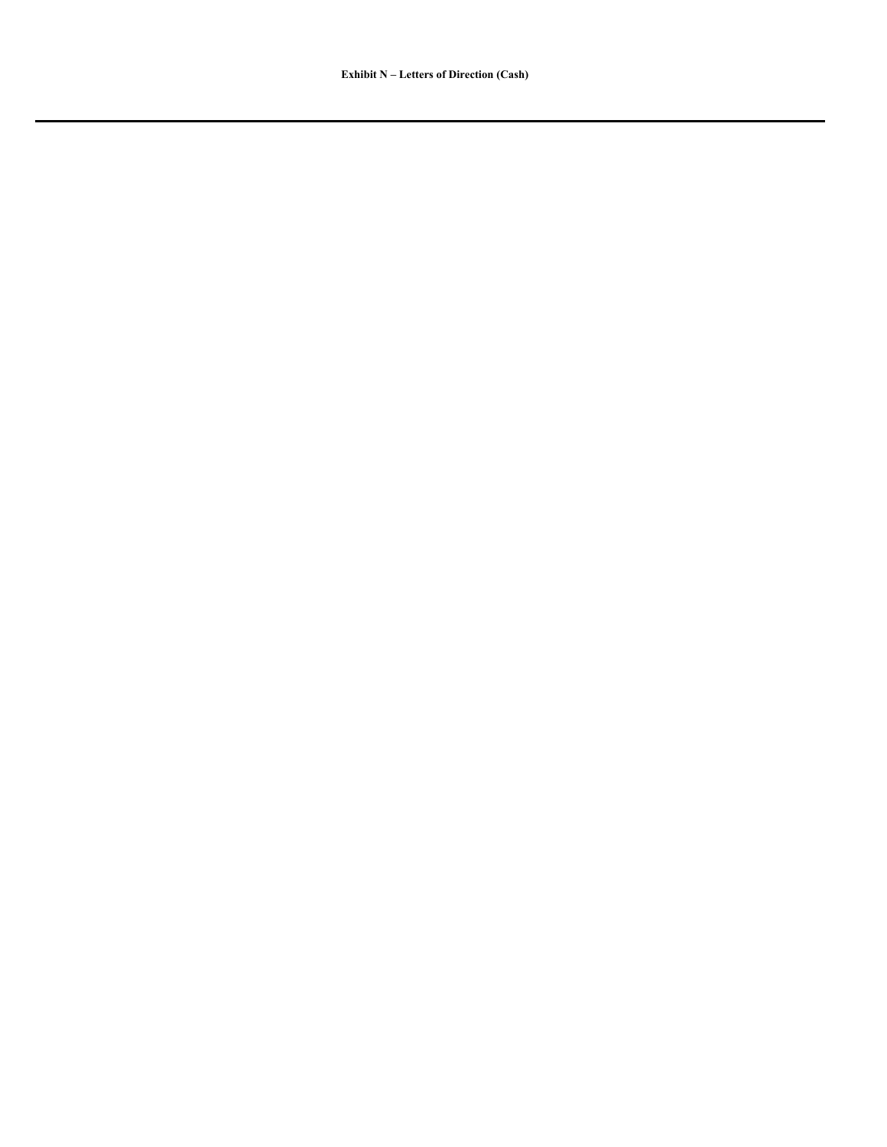**Exhibit N – Letters of Direction (Cash)**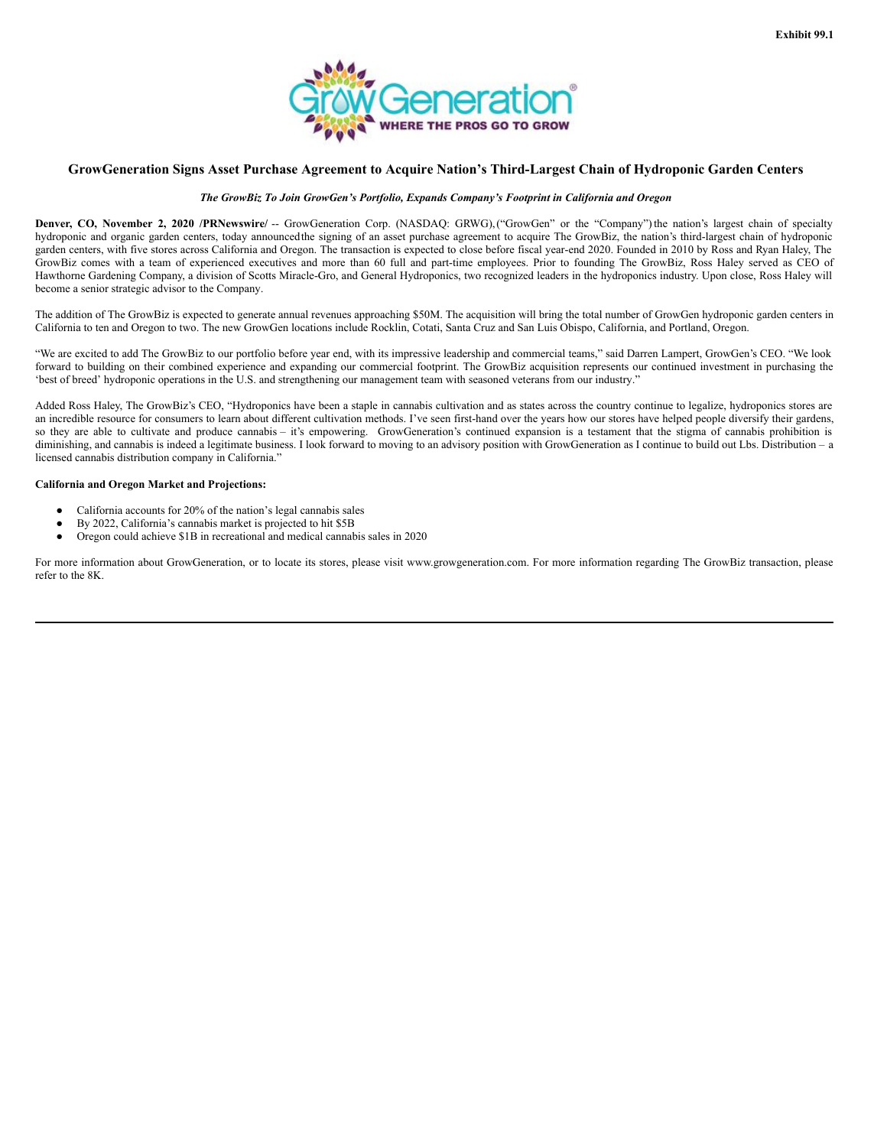

# <span id="page-67-0"></span>**GrowGeneration Signs Asset Purchase Agreement to Acquire Nation's Third-Largest Chain of Hydroponic Garden Centers**

#### *The GrowBiz To Join GrowGen's Portfolio, Expands Company's Footprint in California and Oregon*

**Denver, CO, November 2, 2020 /PRNewswire/** -- GrowGeneration Corp. (NASDAQ: GRWG),("GrowGen" or the "Company")the nation's largest chain of specialty hydroponic and organic garden centers, today announcedthe signing of an asset purchase agreement to acquire The GrowBiz, the nation's third-largest chain of hydroponic garden centers, with five stores across California and Oregon. The transaction is expected to close before fiscal year-end 2020. Founded in 2010 by Ross and Ryan Haley, The GrowBiz comes with a team of experienced executives and more than 60 full and part-time employees. Prior to founding The GrowBiz, Ross Haley served as CEO of Hawthorne Gardening Company, a division of Scotts Miracle-Gro, and General Hydroponics, two recognized leaders in the hydroponics industry. Upon close, Ross Haley will become a senior strategic advisor to the Company.

The addition of The GrowBiz is expected to generate annual revenues approaching \$50M. The acquisition will bring the total number of GrowGen hydroponic garden centers in California to ten and Oregon to two. The new GrowGen locations include Rocklin, Cotati, Santa Cruz and San Luis Obispo, California, and Portland, Oregon.

"We are excited to add The GrowBiz to our portfolio before year end, with its impressive leadership and commercial teams," said Darren Lampert, GrowGen's CEO. "We look forward to building on their combined experience and expanding our commercial footprint. The GrowBiz acquisition represents our continued investment in purchasing the 'best of breed' hydroponic operations in the U.S. and strengthening our management team with seasoned veterans from our industry."

Added Ross Haley, The GrowBiz's CEO, "Hydroponics have been a staple in cannabis cultivation and as states across the country continue to legalize, hydroponics stores are an incredible resource for consumers to learn about different cultivation methods. I've seen first-hand over the years how our stores have helped people diversify their gardens, so they are able to cultivate and produce cannabis – it's empowering. GrowGeneration's continued expansion is a testament that the stigma of cannabis prohibition is diminishing, and cannabis is indeed a legitimate business. I look forward to moving to an advisory position with GrowGeneration as I continue to build out Lbs. Distribution – a licensed cannabis distribution company in California."

## **California and Oregon Market and Projections:**

- California accounts for 20% of the nation's legal cannabis sales
- By 2022, California's cannabis market is projected to hit \$5B
- Oregon could achieve \$1B in recreational and medical cannabis sales in 2020

For more information about GrowGeneration, or to locate its stores, please visit www.growgeneration.com. For more information regarding The GrowBiz transaction, please refer to the 8K.